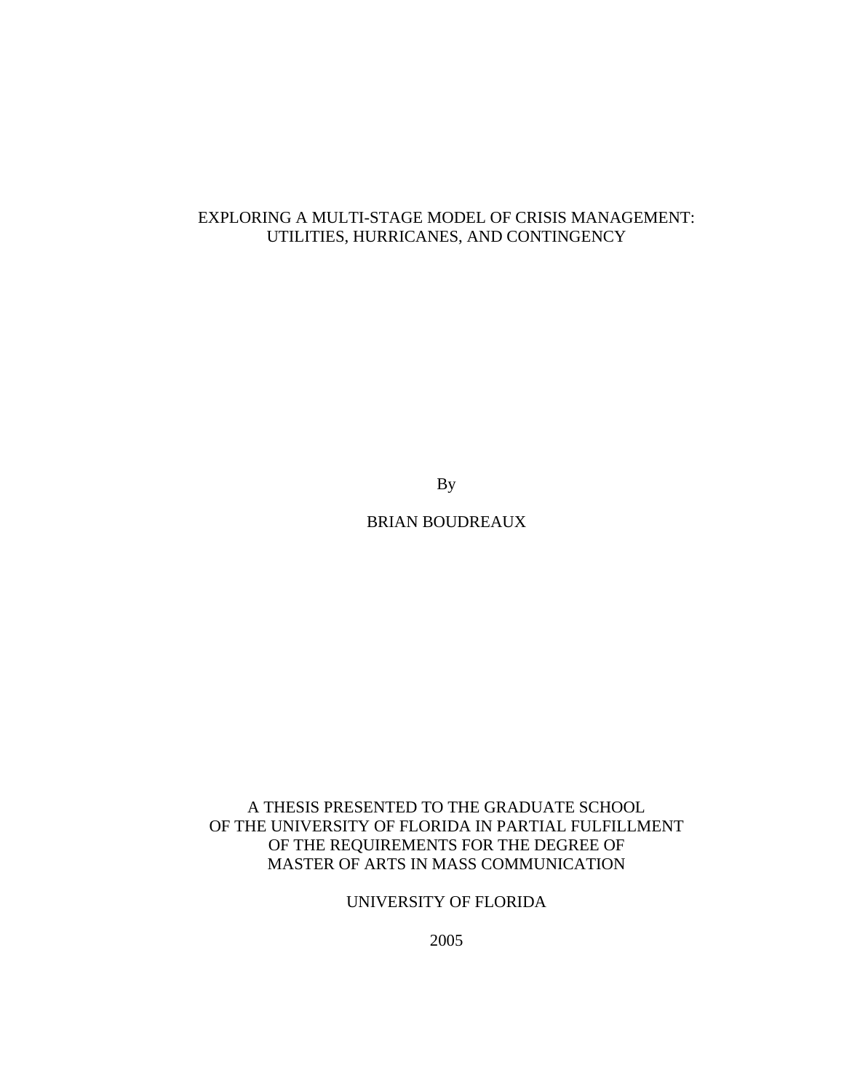# EXPLORING A MULTI-STAGE MODEL OF CRISIS MANAGEMENT: UTILITIES, HURRICANES, AND CONTINGENCY

By

BRIAN BOUDREAUX

# A THESIS PRESENTED TO THE GRADUATE SCHOOL OF THE UNIVERSITY OF FLORIDA IN PARTIAL FULFILLMENT OF THE REQUIREMENTS FOR THE DEGREE OF MASTER OF ARTS IN MASS COMMUNICATION

UNIVERSITY OF FLORIDA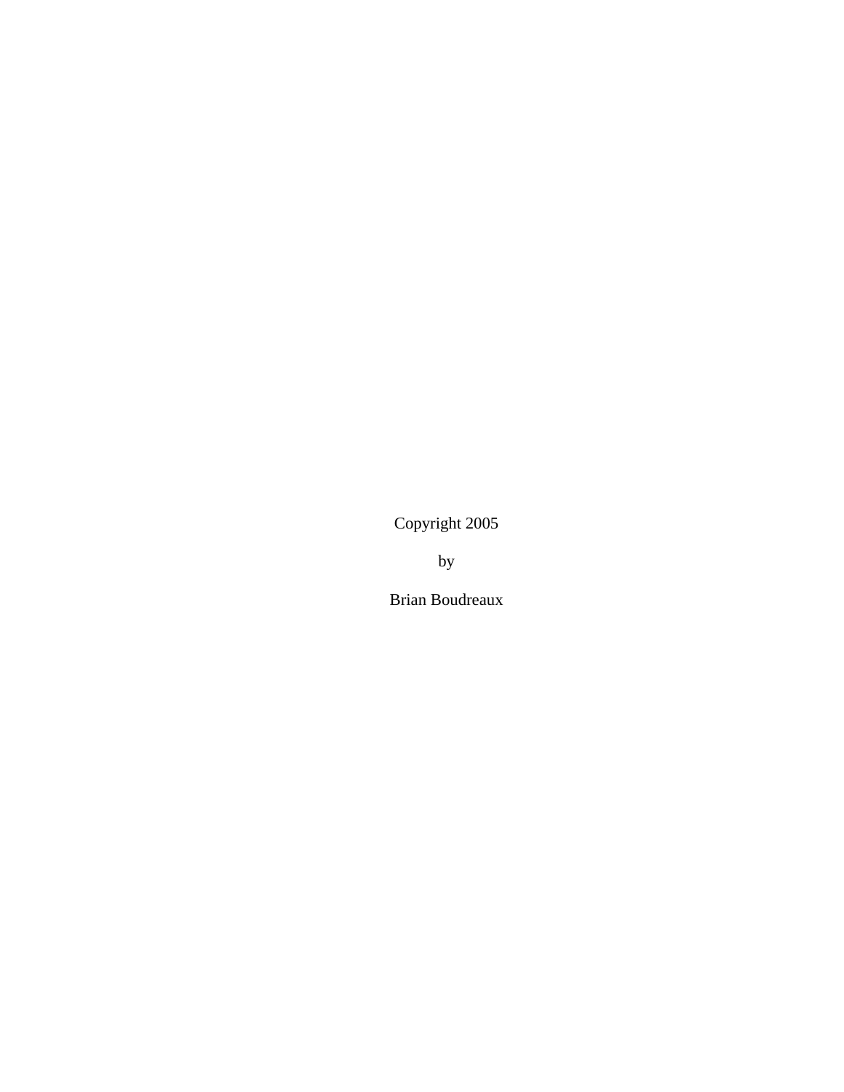Copyright 2005

by

Brian Boudreaux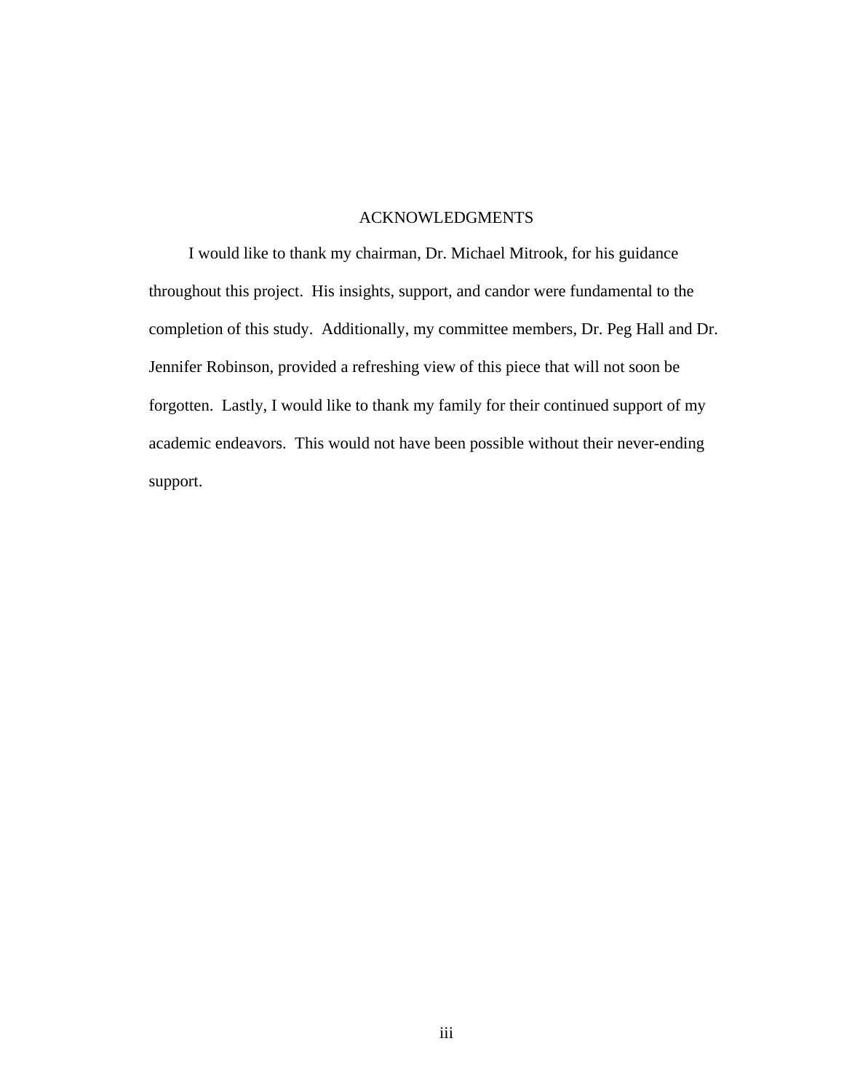## ACKNOWLEDGMENTS

<span id="page-2-0"></span>I would like to thank my chairman, Dr. Michael Mitrook, for his guidance throughout this project. His insights, support, and candor were fundamental to the completion of this study. Additionally, my committee members, Dr. Peg Hall and Dr. Jennifer Robinson, provided a refreshing view of this piece that will not soon be forgotten. Lastly, I would like to thank my family for their continued support of my academic endeavors. This would not have been possible without their never-ending support.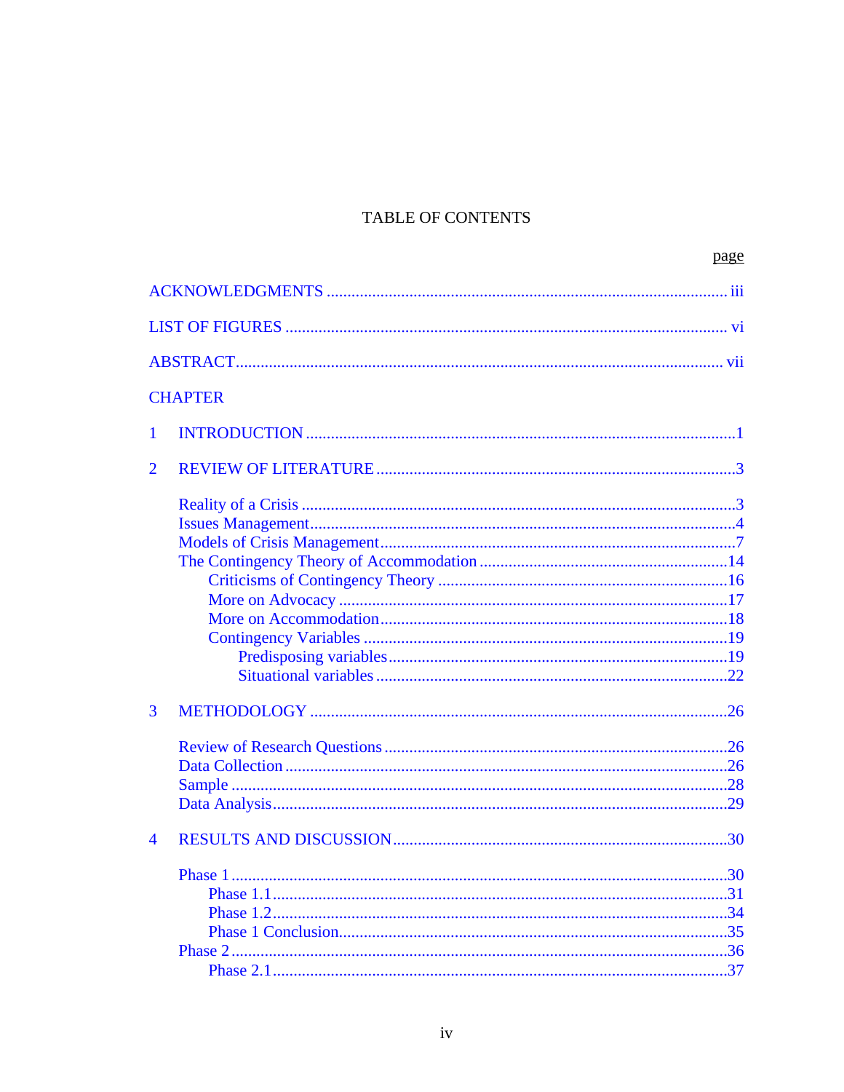# TABLE OF CONTENTS

|              |                | page |
|--------------|----------------|------|
|              |                |      |
|              |                |      |
|              |                |      |
|              | <b>CHAPTER</b> |      |
| $\mathbf{1}$ |                |      |
| 2            |                |      |
|              |                |      |
|              |                |      |
|              |                |      |
|              |                |      |
|              |                |      |
|              |                |      |
|              |                |      |
|              |                |      |
|              |                |      |
| 3            |                |      |
|              |                |      |
|              |                |      |
|              |                |      |
|              |                |      |
| 4            |                |      |
|              |                | .30  |
|              |                |      |
|              |                |      |
|              |                |      |
|              |                |      |
|              |                |      |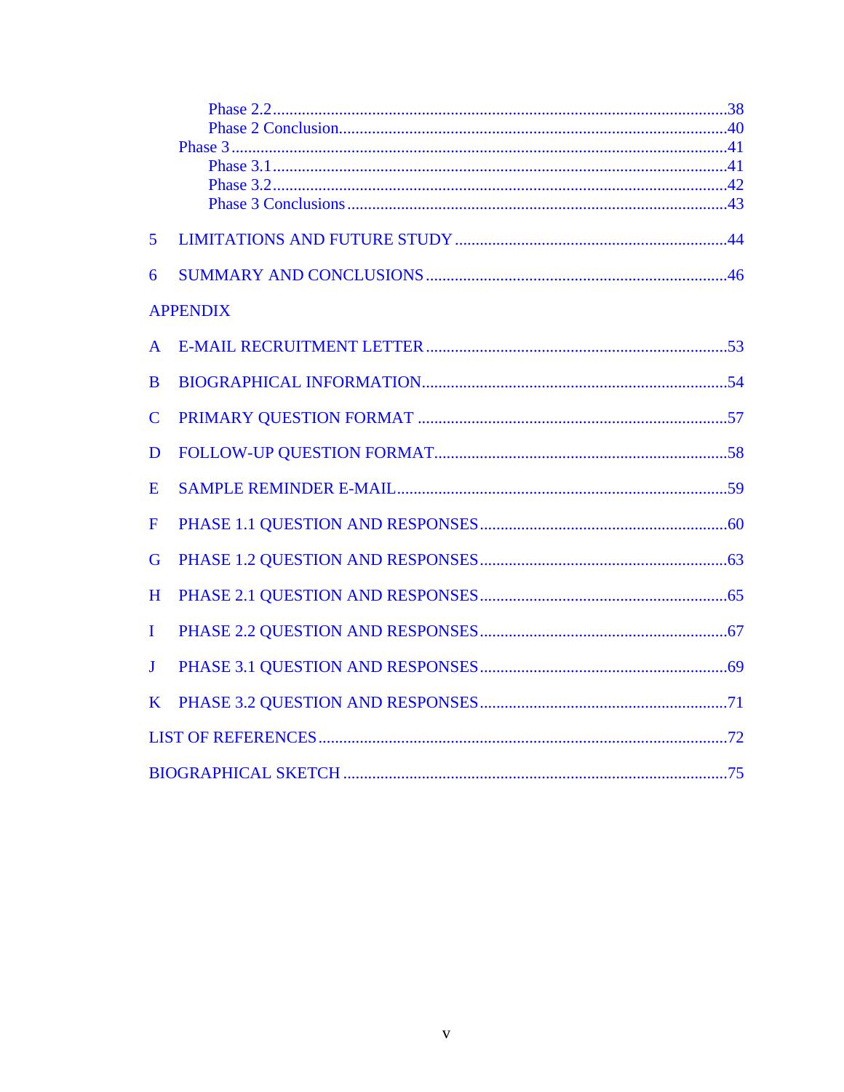| 5               |  |  |  |  |
|-----------------|--|--|--|--|
| 6               |  |  |  |  |
| <b>APPENDIX</b> |  |  |  |  |
| $\mathsf{A}$    |  |  |  |  |
| B               |  |  |  |  |
| $\mathbf C$     |  |  |  |  |
| D               |  |  |  |  |
| E               |  |  |  |  |
| F               |  |  |  |  |
| G               |  |  |  |  |
| H               |  |  |  |  |
| L               |  |  |  |  |
| $\mathbf{J}$    |  |  |  |  |
| K               |  |  |  |  |
|                 |  |  |  |  |
|                 |  |  |  |  |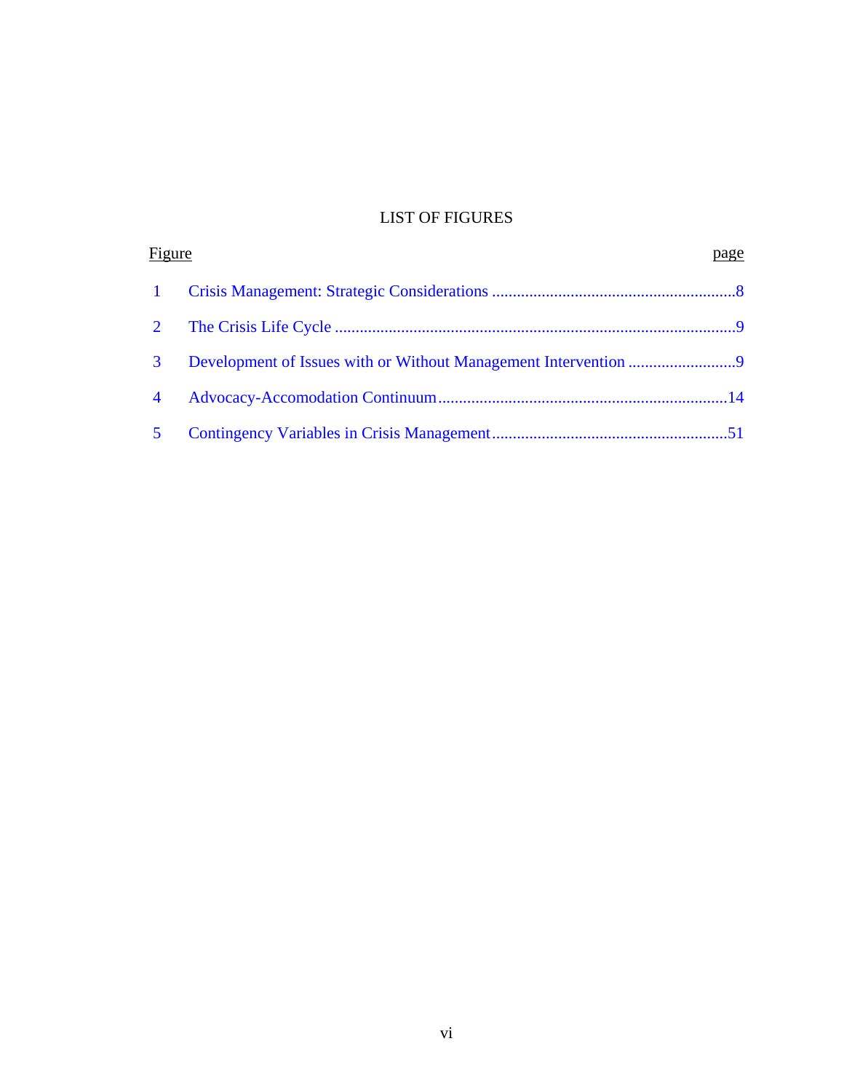# LIST OF FIGURES

<span id="page-5-0"></span>

| <u>Figure</u>  |  | page |
|----------------|--|------|
| $\mathbf{1}$   |  |      |
| $\overline{2}$ |  |      |
| $\mathbf{3}$   |  |      |
| $\overline{4}$ |  |      |
| 5 <sup>5</sup> |  |      |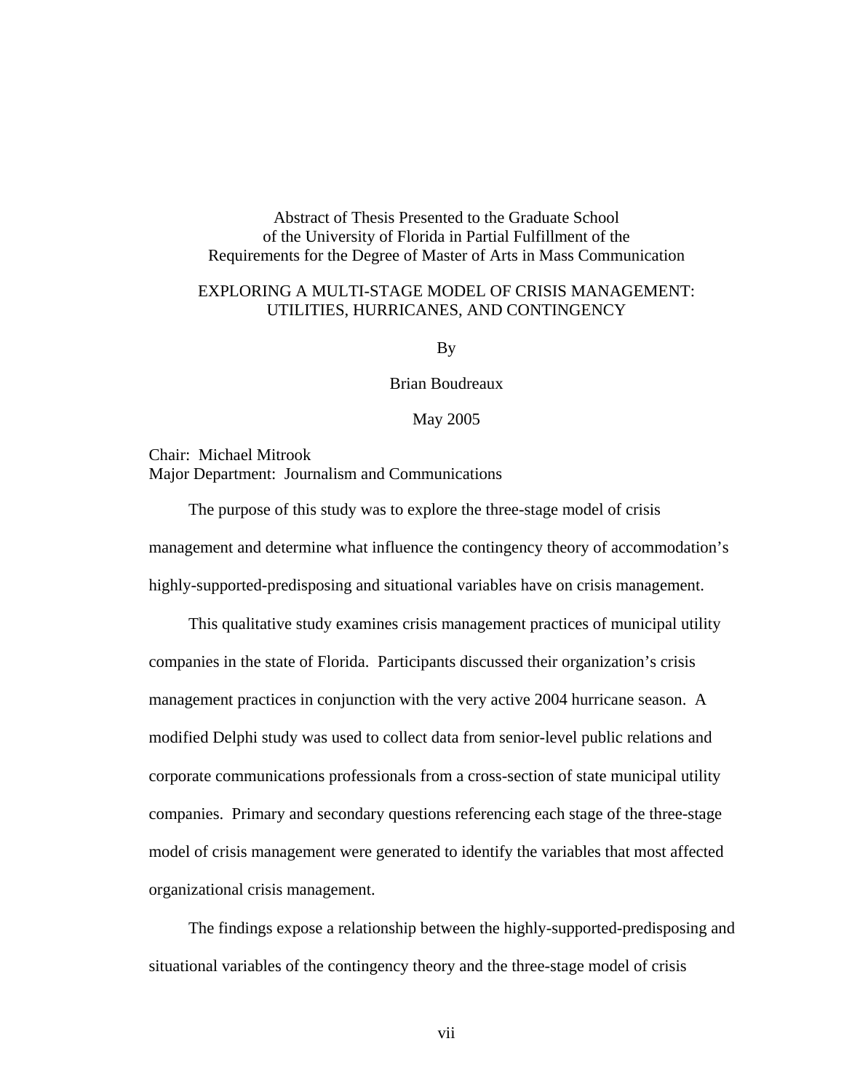<span id="page-6-0"></span>Abstract of Thesis Presented to the Graduate School of the University of Florida in Partial Fulfillment of the Requirements for the Degree of Master of Arts in Mass Communication

## EXPLORING A MULTI-STAGE MODEL OF CRISIS MANAGEMENT: UTILITIES, HURRICANES, AND CONTINGENCY

By

Brian Boudreaux

May 2005

Chair: Michael Mitrook Major Department: Journalism and Communications

The purpose of this study was to explore the three-stage model of crisis management and determine what influence the contingency theory of accommodation's highly-supported-predisposing and situational variables have on crisis management.

This qualitative study examines crisis management practices of municipal utility companies in the state of Florida. Participants discussed their organization's crisis management practices in conjunction with the very active 2004 hurricane season. A modified Delphi study was used to collect data from senior-level public relations and corporate communications professionals from a cross-section of state municipal utility companies. Primary and secondary questions referencing each stage of the three-stage model of crisis management were generated to identify the variables that most affected organizational crisis management.

The findings expose a relationship between the highly-supported-predisposing and situational variables of the contingency theory and the three-stage model of crisis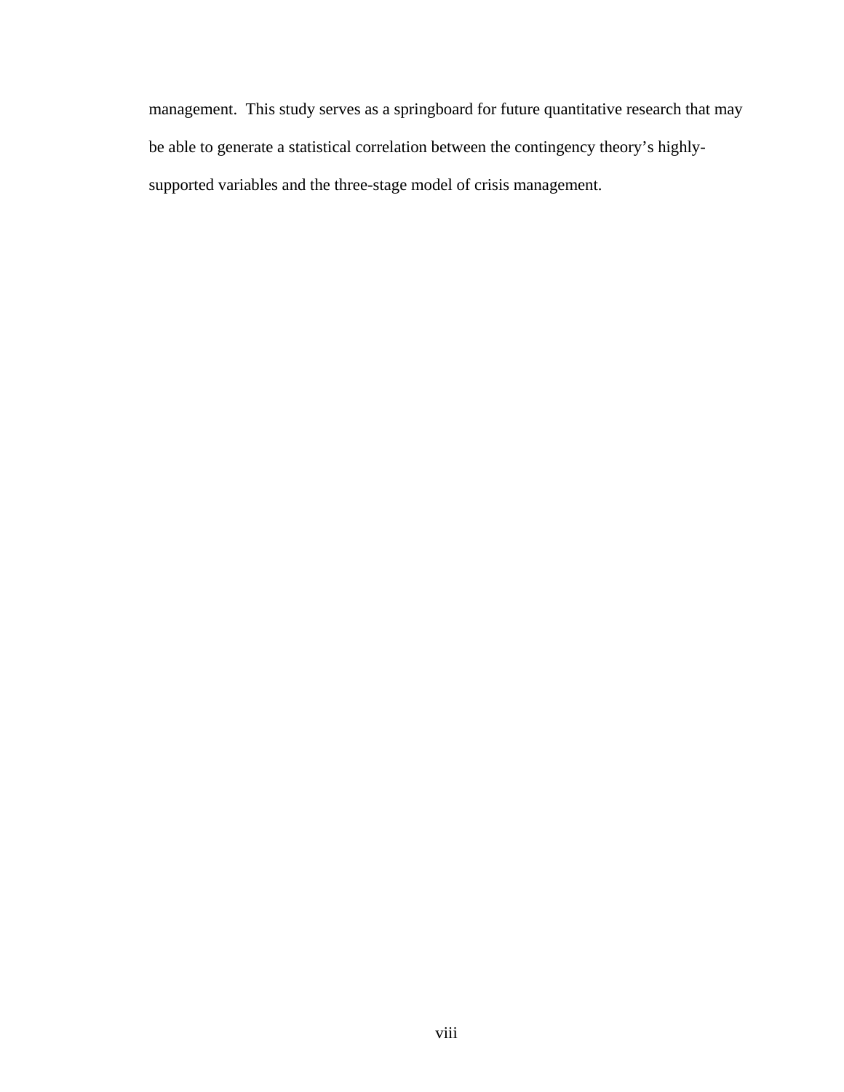management. This study serves as a springboard for future quantitative research that may be able to generate a statistical correlation between the contingency theory's highlysupported variables and the three-stage model of crisis management.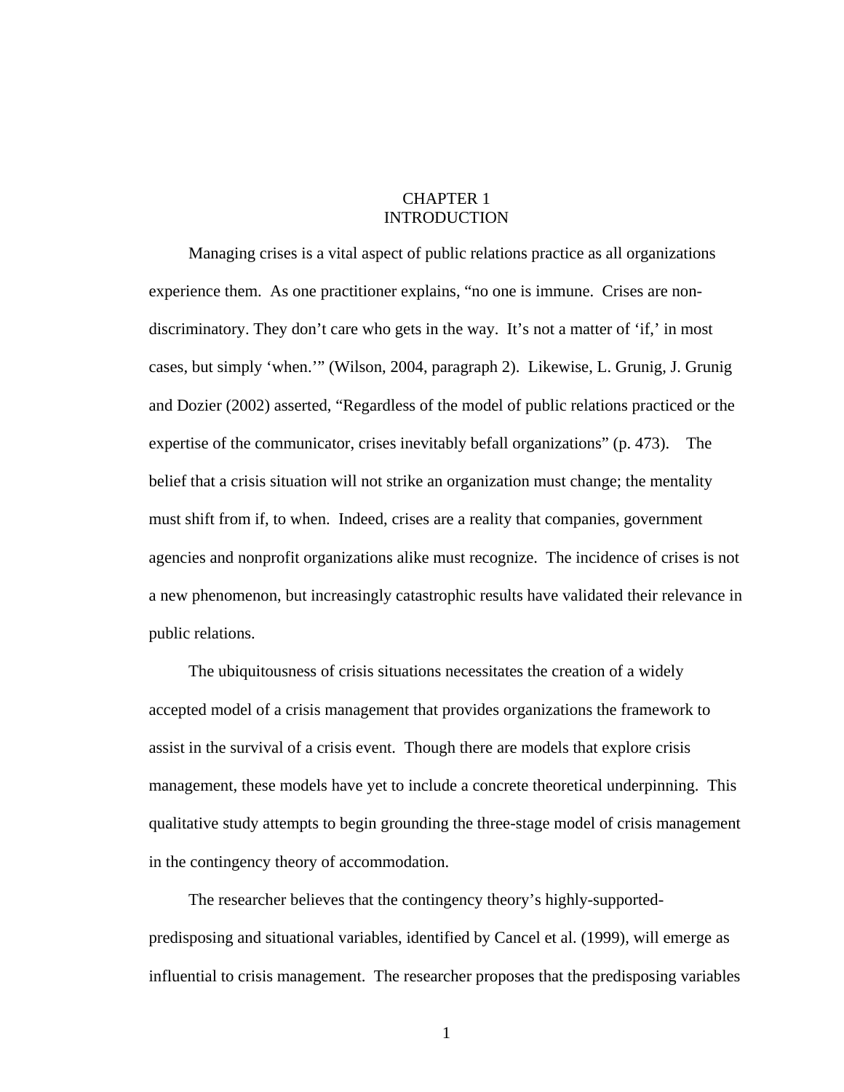# CHAPTER 1 INTRODUCTION

<span id="page-8-0"></span>Managing crises is a vital aspect of public relations practice as all organizations experience them. As one practitioner explains, "no one is immune. Crises are nondiscriminatory. They don't care who gets in the way. It's not a matter of 'if,' in most cases, but simply 'when.'" (Wilson, 2004, paragraph 2). Likewise, L. Grunig, J. Grunig and Dozier (2002) asserted, "Regardless of the model of public relations practiced or the expertise of the communicator, crises inevitably befall organizations" (p. 473). The belief that a crisis situation will not strike an organization must change; the mentality must shift from if, to when. Indeed, crises are a reality that companies, government agencies and nonprofit organizations alike must recognize. The incidence of crises is not a new phenomenon, but increasingly catastrophic results have validated their relevance in public relations.

The ubiquitousness of crisis situations necessitates the creation of a widely accepted model of a crisis management that provides organizations the framework to assist in the survival of a crisis event. Though there are models that explore crisis management, these models have yet to include a concrete theoretical underpinning. This qualitative study attempts to begin grounding the three-stage model of crisis management in the contingency theory of accommodation.

The researcher believes that the contingency theory's highly-supportedpredisposing and situational variables, identified by Cancel et al. (1999), will emerge as influential to crisis management. The researcher proposes that the predisposing variables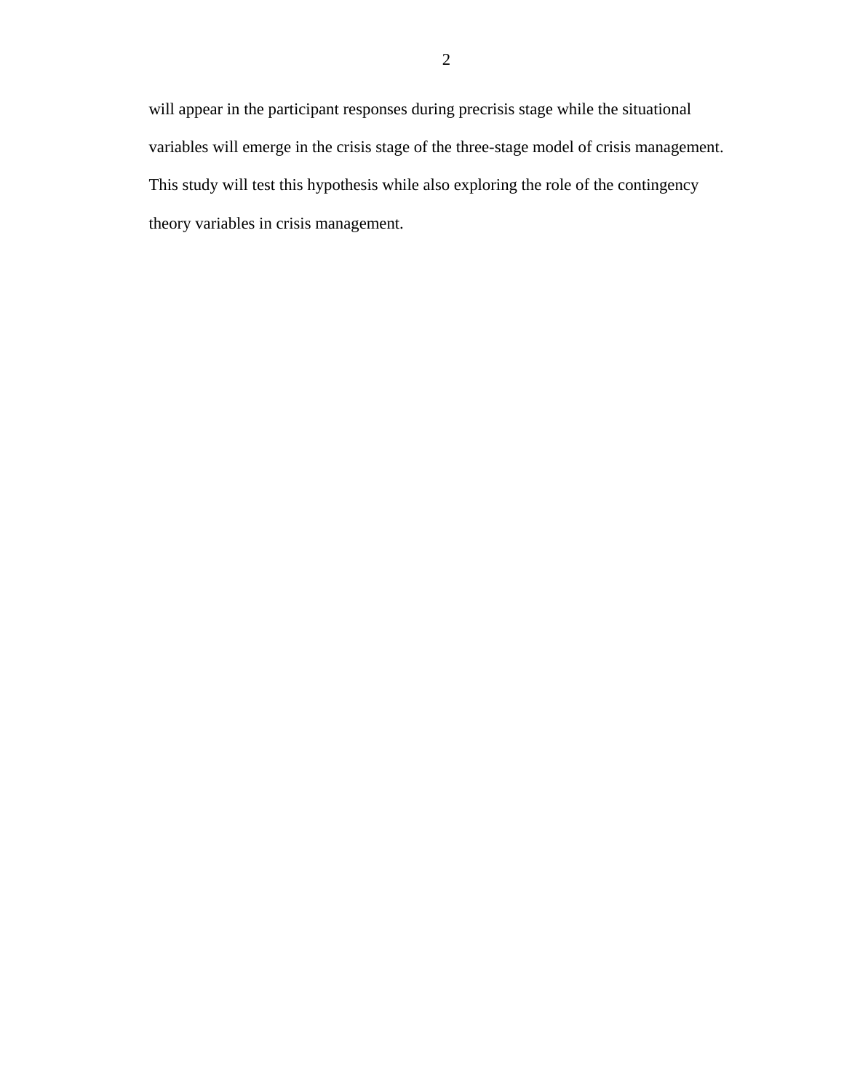will appear in the participant responses during precrisis stage while the situational variables will emerge in the crisis stage of the three-stage model of crisis management. This study will test this hypothesis while also exploring the role of the contingency theory variables in crisis management.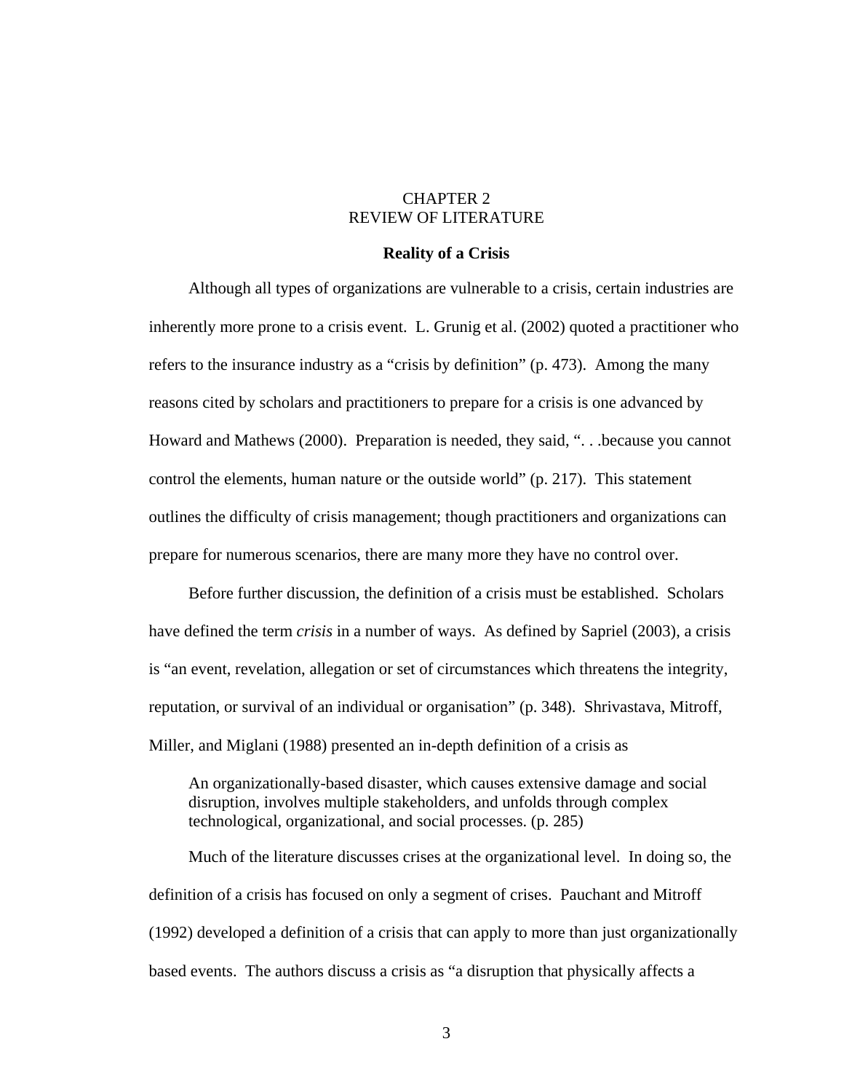# CHAPTER 2 REVIEW OF LITERATURE

#### **Reality of a Crisis**

<span id="page-10-0"></span>Although all types of organizations are vulnerable to a crisis, certain industries are inherently more prone to a crisis event. L. Grunig et al. (2002) quoted a practitioner who refers to the insurance industry as a "crisis by definition" (p. 473). Among the many reasons cited by scholars and practitioners to prepare for a crisis is one advanced by Howard and Mathews (2000). Preparation is needed, they said, ". . .because you cannot control the elements, human nature or the outside world" (p. 217). This statement outlines the difficulty of crisis management; though practitioners and organizations can prepare for numerous scenarios, there are many more they have no control over.

Before further discussion, the definition of a crisis must be established. Scholars have defined the term *crisis* in a number of ways. As defined by Sapriel (2003), a crisis is "an event, revelation, allegation or set of circumstances which threatens the integrity, reputation, or survival of an individual or organisation" (p. 348). Shrivastava, Mitroff, Miller, and Miglani (1988) presented an in-depth definition of a crisis as

An organizationally-based disaster, which causes extensive damage and social disruption, involves multiple stakeholders, and unfolds through complex technological, organizational, and social processes. (p. 285)

Much of the literature discusses crises at the organizational level. In doing so, the definition of a crisis has focused on only a segment of crises. Pauchant and Mitroff (1992) developed a definition of a crisis that can apply to more than just organizationally based events. The authors discuss a crisis as "a disruption that physically affects a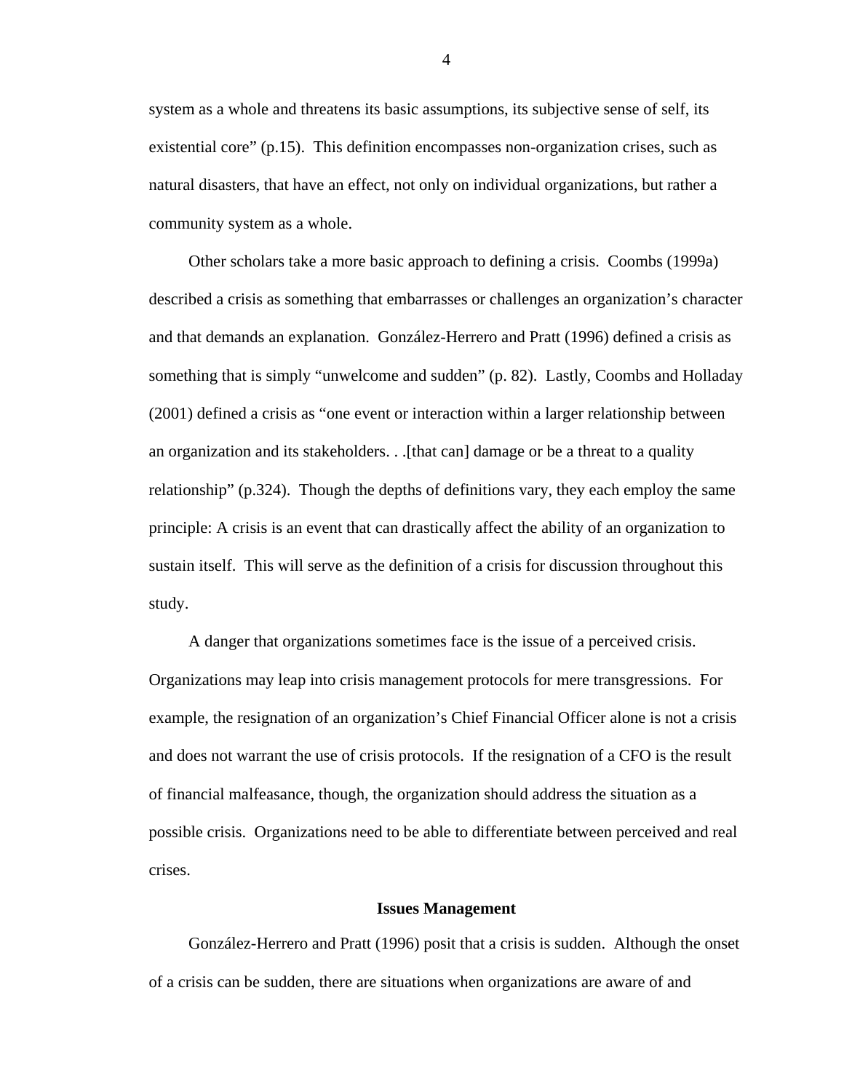<span id="page-11-0"></span>system as a whole and threatens its basic assumptions, its subjective sense of self, its existential core" (p.15). This definition encompasses non-organization crises, such as natural disasters, that have an effect, not only on individual organizations, but rather a community system as a whole.

Other scholars take a more basic approach to defining a crisis. Coombs (1999a) described a crisis as something that embarrasses or challenges an organization's character and that demands an explanation. González-Herrero and Pratt (1996) defined a crisis as something that is simply "unwelcome and sudden" (p. 82). Lastly, Coombs and Holladay (2001) defined a crisis as "one event or interaction within a larger relationship between an organization and its stakeholders. . .[that can] damage or be a threat to a quality relationship" (p.324). Though the depths of definitions vary, they each employ the same principle: A crisis is an event that can drastically affect the ability of an organization to sustain itself. This will serve as the definition of a crisis for discussion throughout this study.

A danger that organizations sometimes face is the issue of a perceived crisis. Organizations may leap into crisis management protocols for mere transgressions. For example, the resignation of an organization's Chief Financial Officer alone is not a crisis and does not warrant the use of crisis protocols. If the resignation of a CFO is the result of financial malfeasance, though, the organization should address the situation as a possible crisis. Organizations need to be able to differentiate between perceived and real crises.

#### **Issues Management**

González-Herrero and Pratt (1996) posit that a crisis is sudden. Although the onset of a crisis can be sudden, there are situations when organizations are aware of and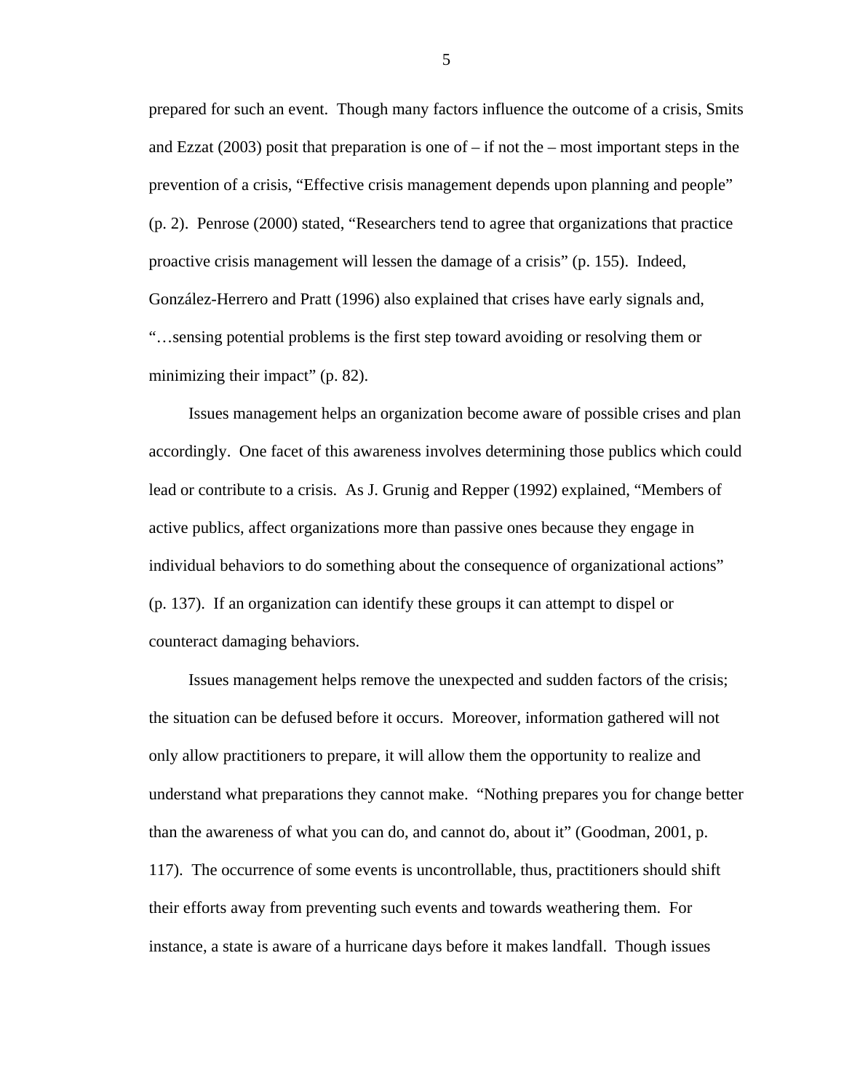prepared for such an event. Though many factors influence the outcome of a crisis, Smits and Ezzat  $(2003)$  posit that preparation is one of – if not the – most important steps in the prevention of a crisis, "Effective crisis management depends upon planning and people" (p. 2). Penrose (2000) stated, "Researchers tend to agree that organizations that practice proactive crisis management will lessen the damage of a crisis" (p. 155). Indeed, González-Herrero and Pratt (1996) also explained that crises have early signals and, "…sensing potential problems is the first step toward avoiding or resolving them or minimizing their impact" (p. 82).

Issues management helps an organization become aware of possible crises and plan accordingly. One facet of this awareness involves determining those publics which could lead or contribute to a crisis. As J. Grunig and Repper (1992) explained, "Members of active publics, affect organizations more than passive ones because they engage in individual behaviors to do something about the consequence of organizational actions" (p. 137). If an organization can identify these groups it can attempt to dispel or counteract damaging behaviors.

Issues management helps remove the unexpected and sudden factors of the crisis; the situation can be defused before it occurs. Moreover, information gathered will not only allow practitioners to prepare, it will allow them the opportunity to realize and understand what preparations they cannot make. "Nothing prepares you for change better than the awareness of what you can do, and cannot do, about it" (Goodman, 2001, p. 117). The occurrence of some events is uncontrollable, thus, practitioners should shift their efforts away from preventing such events and towards weathering them. For instance, a state is aware of a hurricane days before it makes landfall. Though issues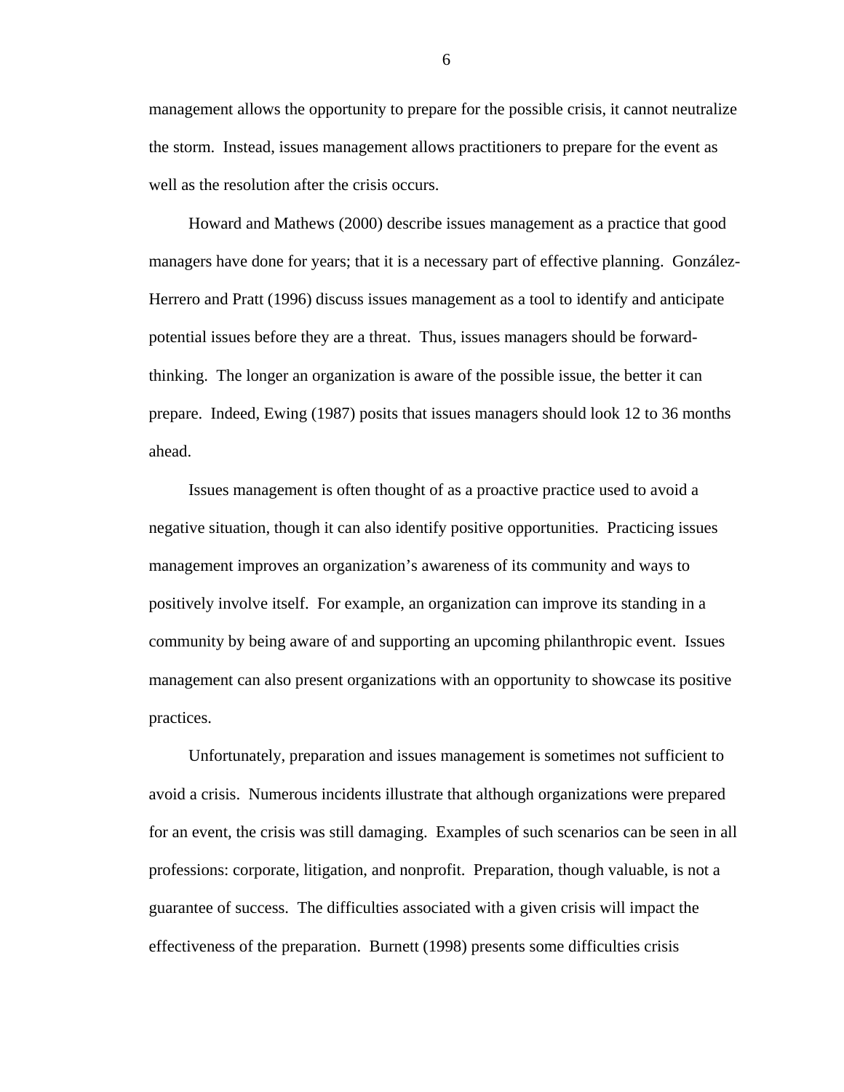management allows the opportunity to prepare for the possible crisis, it cannot neutralize the storm. Instead, issues management allows practitioners to prepare for the event as well as the resolution after the crisis occurs.

Howard and Mathews (2000) describe issues management as a practice that good managers have done for years; that it is a necessary part of effective planning. González-Herrero and Pratt (1996) discuss issues management as a tool to identify and anticipate potential issues before they are a threat. Thus, issues managers should be forwardthinking. The longer an organization is aware of the possible issue, the better it can prepare. Indeed, Ewing (1987) posits that issues managers should look 12 to 36 months ahead.

Issues management is often thought of as a proactive practice used to avoid a negative situation, though it can also identify positive opportunities. Practicing issues management improves an organization's awareness of its community and ways to positively involve itself. For example, an organization can improve its standing in a community by being aware of and supporting an upcoming philanthropic event. Issues management can also present organizations with an opportunity to showcase its positive practices.

Unfortunately, preparation and issues management is sometimes not sufficient to avoid a crisis. Numerous incidents illustrate that although organizations were prepared for an event, the crisis was still damaging. Examples of such scenarios can be seen in all professions: corporate, litigation, and nonprofit. Preparation, though valuable, is not a guarantee of success. The difficulties associated with a given crisis will impact the effectiveness of the preparation. Burnett (1998) presents some difficulties crisis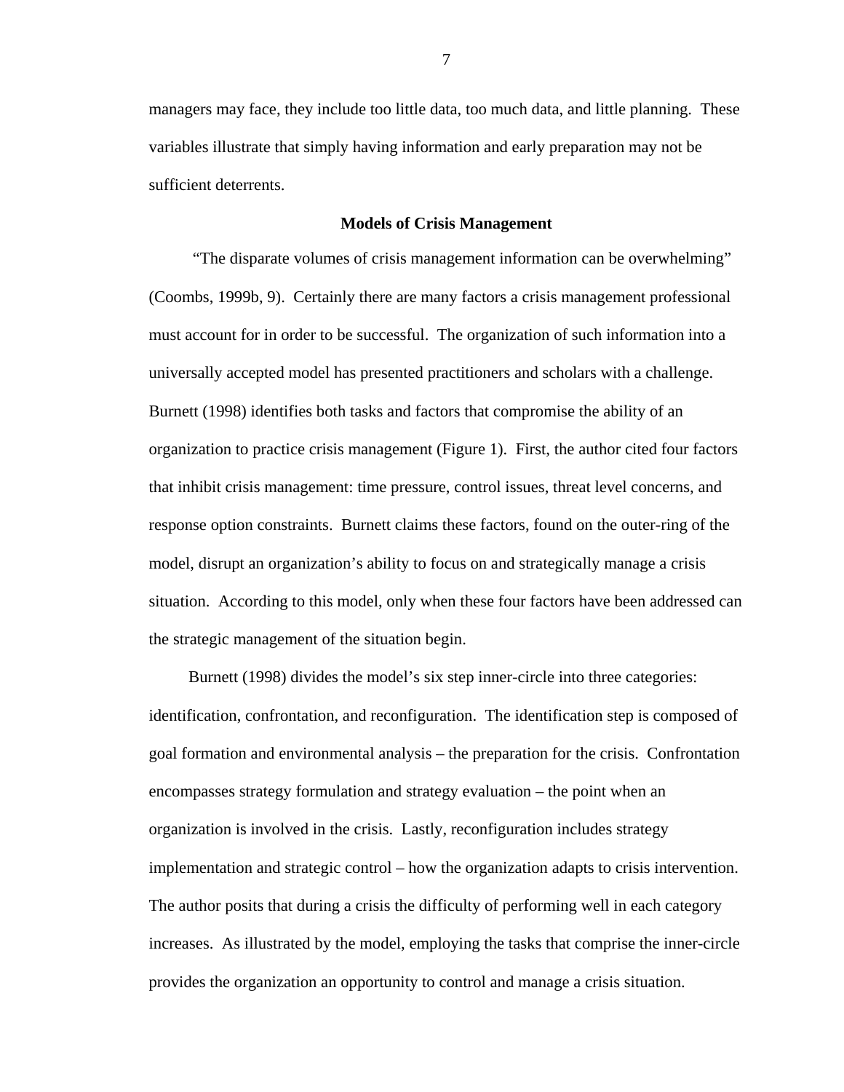<span id="page-14-0"></span>managers may face, they include too little data, too much data, and little planning. These variables illustrate that simply having information and early preparation may not be sufficient deterrents.

#### **Models of Crisis Management**

 "The disparate volumes of crisis management information can be overwhelming" (Coombs, 1999b, 9). Certainly there are many factors a crisis management professional must account for in order to be successful. The organization of such information into a universally accepted model has presented practitioners and scholars with a challenge. Burnett (1998) identifies both tasks and factors that compromise the ability of an organization to practice crisis management (Figure 1). First, the author cited four factors that inhibit crisis management: time pressure, control issues, threat level concerns, and response option constraints. Burnett claims these factors, found on the outer-ring of the model, disrupt an organization's ability to focus on and strategically manage a crisis situation. According to this model, only when these four factors have been addressed can the strategic management of the situation begin.

Burnett (1998) divides the model's six step inner-circle into three categories: identification, confrontation, and reconfiguration. The identification step is composed of goal formation and environmental analysis – the preparation for the crisis. Confrontation encompasses strategy formulation and strategy evaluation – the point when an organization is involved in the crisis. Lastly, reconfiguration includes strategy implementation and strategic control – how the organization adapts to crisis intervention. The author posits that during a crisis the difficulty of performing well in each category increases. As illustrated by the model, employing the tasks that comprise the inner-circle provides the organization an opportunity to control and manage a crisis situation.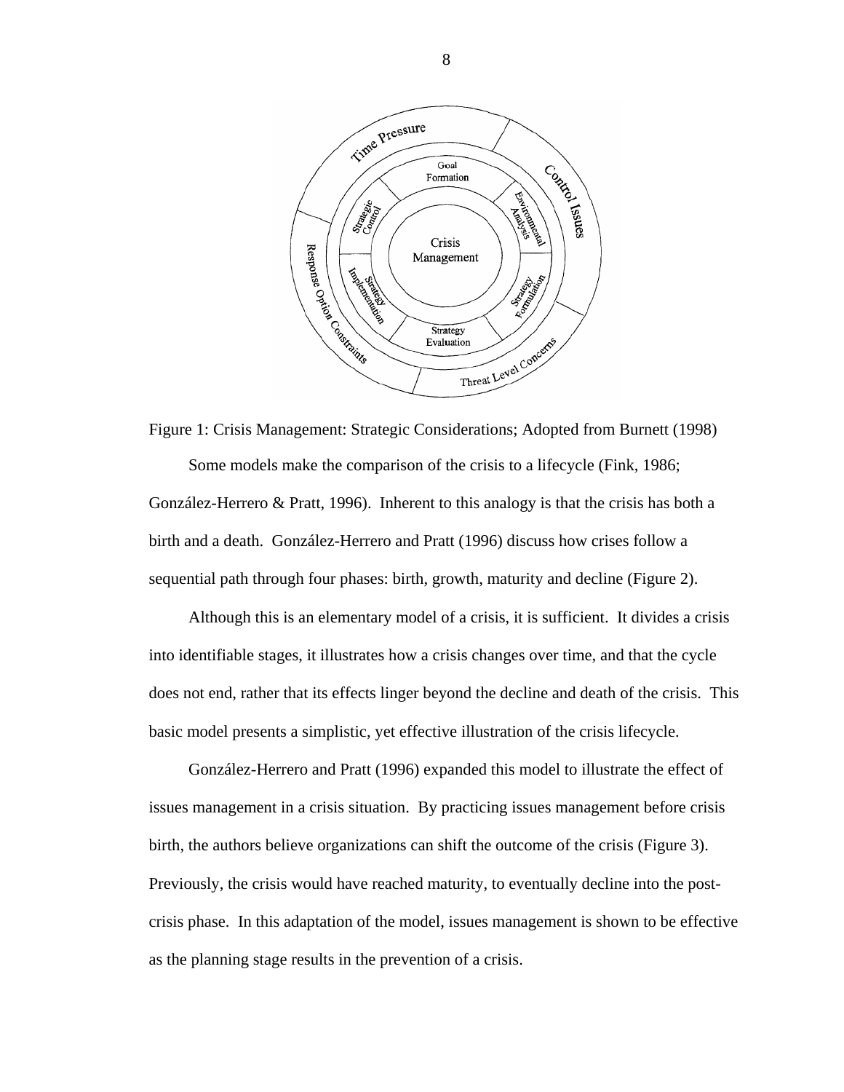<span id="page-15-0"></span>

Figure 1: Crisis Management: Strategic Considerations; Adopted from Burnett (1998) Some models make the comparison of the crisis to a lifecycle (Fink, 1986; González-Herrero & Pratt, 1996). Inherent to this analogy is that the crisis has both a birth and a death. González-Herrero and Pratt (1996) discuss how crises follow a sequential path through four phases: birth, growth, maturity and decline (Figure 2).

Although this is an elementary model of a crisis, it is sufficient. It divides a crisis into identifiable stages, it illustrates how a crisis changes over time, and that the cycle does not end, rather that its effects linger beyond the decline and death of the crisis. This basic model presents a simplistic, yet effective illustration of the crisis lifecycle.

González-Herrero and Pratt (1996) expanded this model to illustrate the effect of issues management in a crisis situation. By practicing issues management before crisis birth, the authors believe organizations can shift the outcome of the crisis (Figure 3). Previously, the crisis would have reached maturity, to eventually decline into the postcrisis phase. In this adaptation of the model, issues management is shown to be effective as the planning stage results in the prevention of a crisis.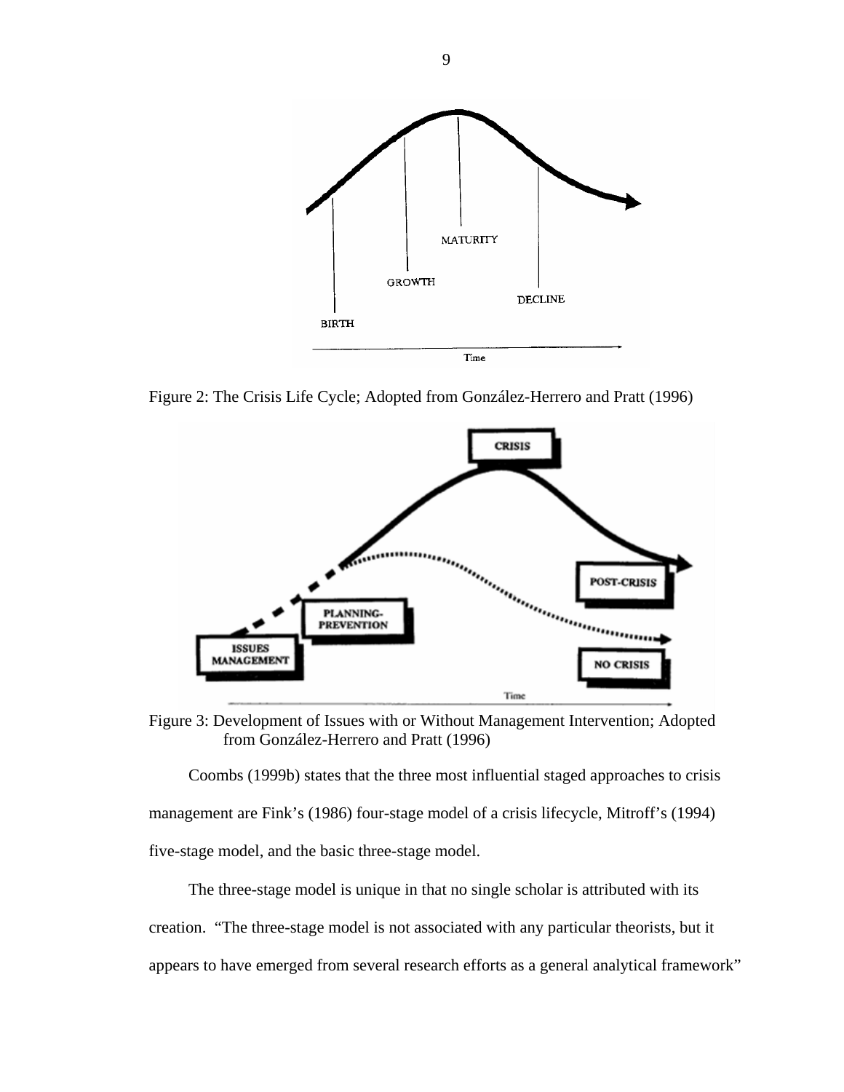<span id="page-16-0"></span>

Figure 2: The Crisis Life Cycle; Adopted from González-Herrero and Pratt (1996)



Figure 3: Development of Issues with or Without Management Intervention; Adopted from González-Herrero and Pratt (1996)

Coombs (1999b) states that the three most influential staged approaches to crisis management are Fink's (1986) four-stage model of a crisis lifecycle, Mitroff's (1994) five-stage model, and the basic three-stage model.

The three-stage model is unique in that no single scholar is attributed with its creation. "The three-stage model is not associated with any particular theorists, but it appears to have emerged from several research efforts as a general analytical framework"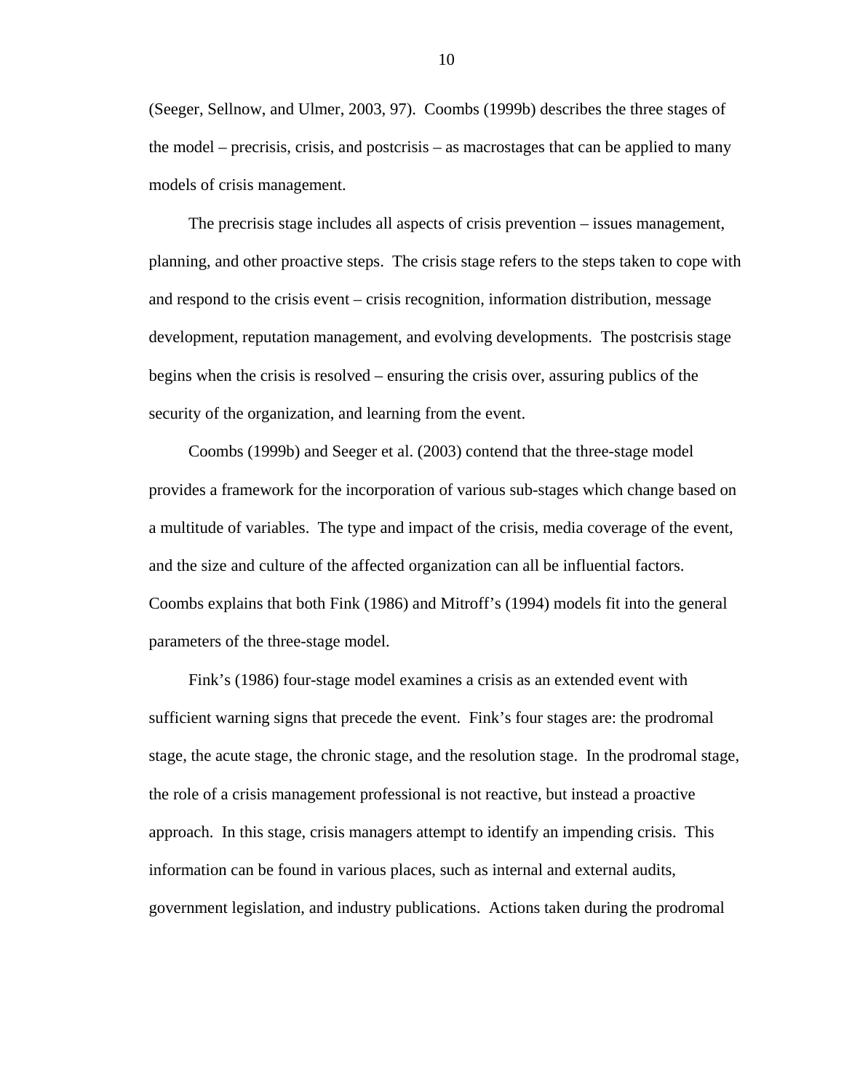(Seeger, Sellnow, and Ulmer, 2003, 97). Coombs (1999b) describes the three stages of the model – precrisis, crisis, and postcrisis – as macrostages that can be applied to many models of crisis management.

The precrisis stage includes all aspects of crisis prevention – issues management, planning, and other proactive steps. The crisis stage refers to the steps taken to cope with and respond to the crisis event – crisis recognition, information distribution, message development, reputation management, and evolving developments. The postcrisis stage begins when the crisis is resolved – ensuring the crisis over, assuring publics of the security of the organization, and learning from the event.

Coombs (1999b) and Seeger et al. (2003) contend that the three-stage model provides a framework for the incorporation of various sub-stages which change based on a multitude of variables. The type and impact of the crisis, media coverage of the event, and the size and culture of the affected organization can all be influential factors. Coombs explains that both Fink (1986) and Mitroff's (1994) models fit into the general parameters of the three-stage model.

Fink's (1986) four-stage model examines a crisis as an extended event with sufficient warning signs that precede the event. Fink's four stages are: the prodromal stage, the acute stage, the chronic stage, and the resolution stage. In the prodromal stage, the role of a crisis management professional is not reactive, but instead a proactive approach. In this stage, crisis managers attempt to identify an impending crisis. This information can be found in various places, such as internal and external audits, government legislation, and industry publications. Actions taken during the prodromal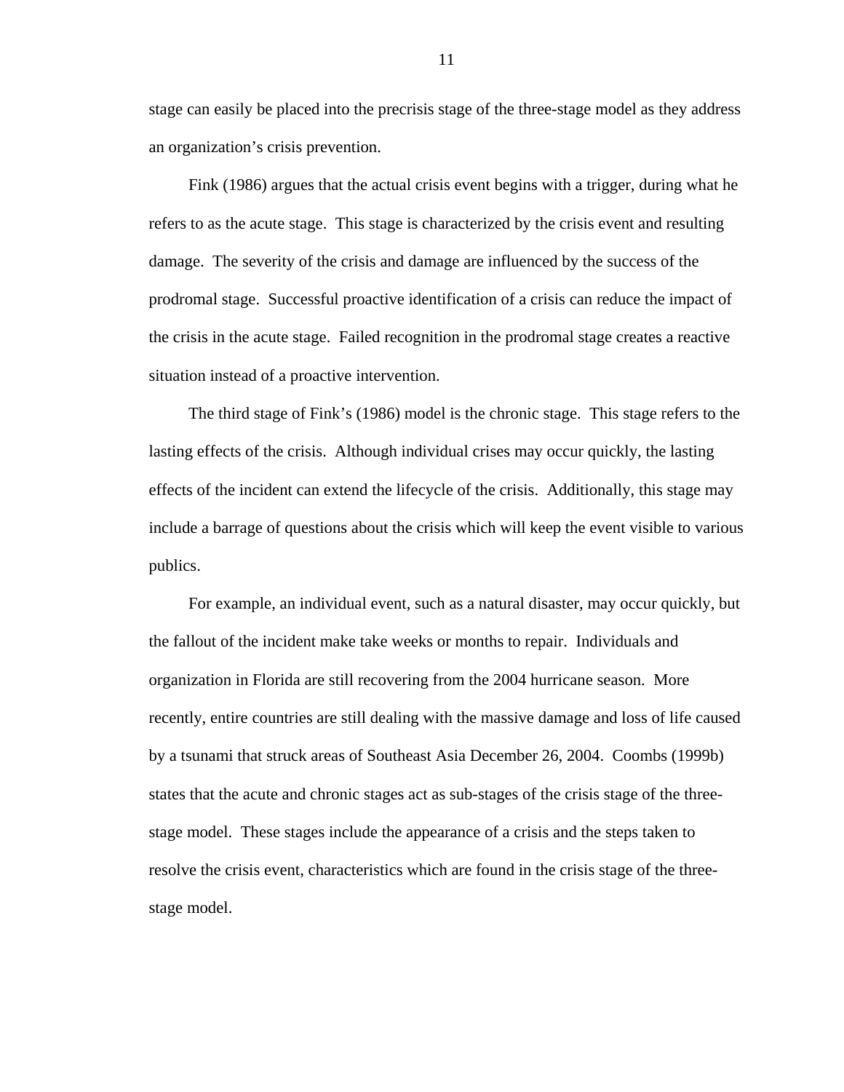stage can easily be placed into the precrisis stage of the three-stage model as they address an organization's crisis prevention.

Fink (1986) argues that the actual crisis event begins with a trigger, during what he refers to as the acute stage. This stage is characterized by the crisis event and resulting damage. The severity of the crisis and damage are influenced by the success of the prodromal stage. Successful proactive identification of a crisis can reduce the impact of the crisis in the acute stage. Failed recognition in the prodromal stage creates a reactive situation instead of a proactive intervention.

The third stage of Fink's (1986) model is the chronic stage. This stage refers to the lasting effects of the crisis. Although individual crises may occur quickly, the lasting effects of the incident can extend the lifecycle of the crisis. Additionally, this stage may include a barrage of questions about the crisis which will keep the event visible to various publics.

For example, an individual event, such as a natural disaster, may occur quickly, but the fallout of the incident make take weeks or months to repair. Individuals and organization in Florida are still recovering from the 2004 hurricane season. More recently, entire countries are still dealing with the massive damage and loss of life caused by a tsunami that struck areas of Southeast Asia December 26, 2004. Coombs (1999b) states that the acute and chronic stages act as sub-stages of the crisis stage of the threestage model. These stages include the appearance of a crisis and the steps taken to resolve the crisis event, characteristics which are found in the crisis stage of the threestage model.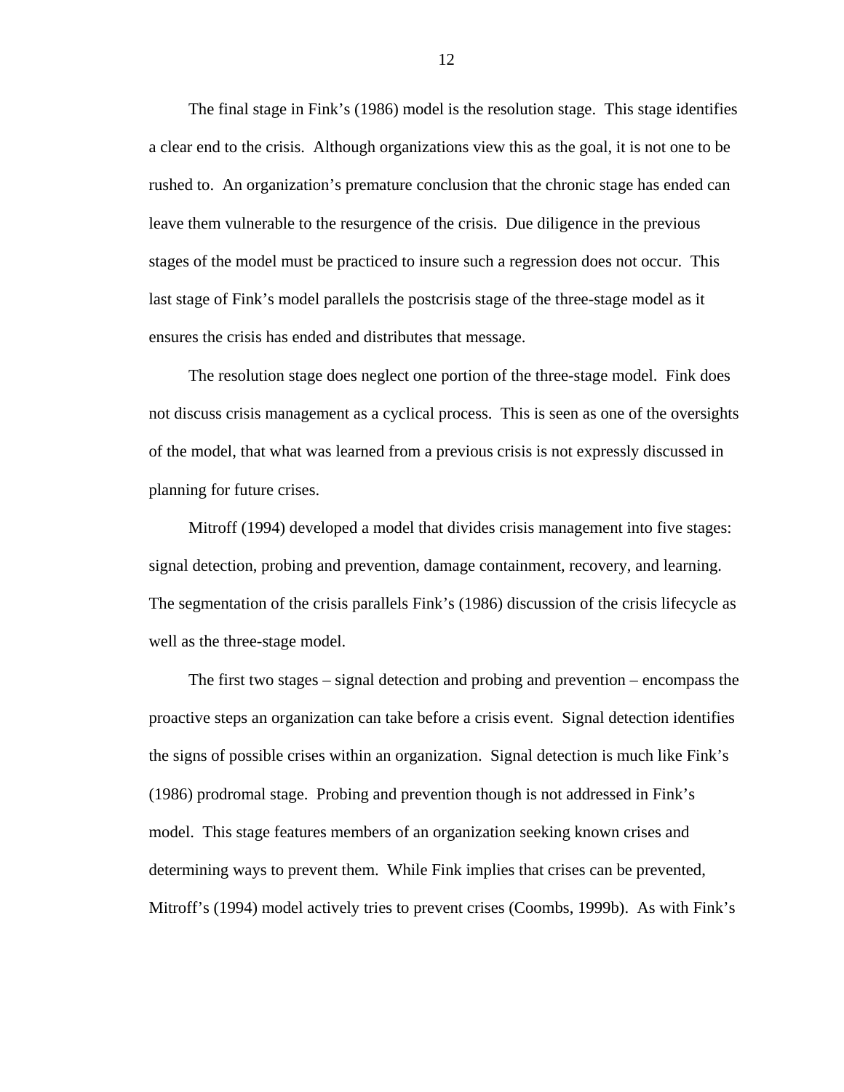The final stage in Fink's (1986) model is the resolution stage. This stage identifies a clear end to the crisis. Although organizations view this as the goal, it is not one to be rushed to. An organization's premature conclusion that the chronic stage has ended can leave them vulnerable to the resurgence of the crisis. Due diligence in the previous stages of the model must be practiced to insure such a regression does not occur. This last stage of Fink's model parallels the postcrisis stage of the three-stage model as it ensures the crisis has ended and distributes that message.

The resolution stage does neglect one portion of the three-stage model. Fink does not discuss crisis management as a cyclical process. This is seen as one of the oversights of the model, that what was learned from a previous crisis is not expressly discussed in planning for future crises.

Mitroff (1994) developed a model that divides crisis management into five stages: signal detection, probing and prevention, damage containment, recovery, and learning. The segmentation of the crisis parallels Fink's (1986) discussion of the crisis lifecycle as well as the three-stage model.

The first two stages – signal detection and probing and prevention – encompass the proactive steps an organization can take before a crisis event. Signal detection identifies the signs of possible crises within an organization. Signal detection is much like Fink's (1986) prodromal stage. Probing and prevention though is not addressed in Fink's model. This stage features members of an organization seeking known crises and determining ways to prevent them. While Fink implies that crises can be prevented, Mitroff's (1994) model actively tries to prevent crises (Coombs, 1999b). As with Fink's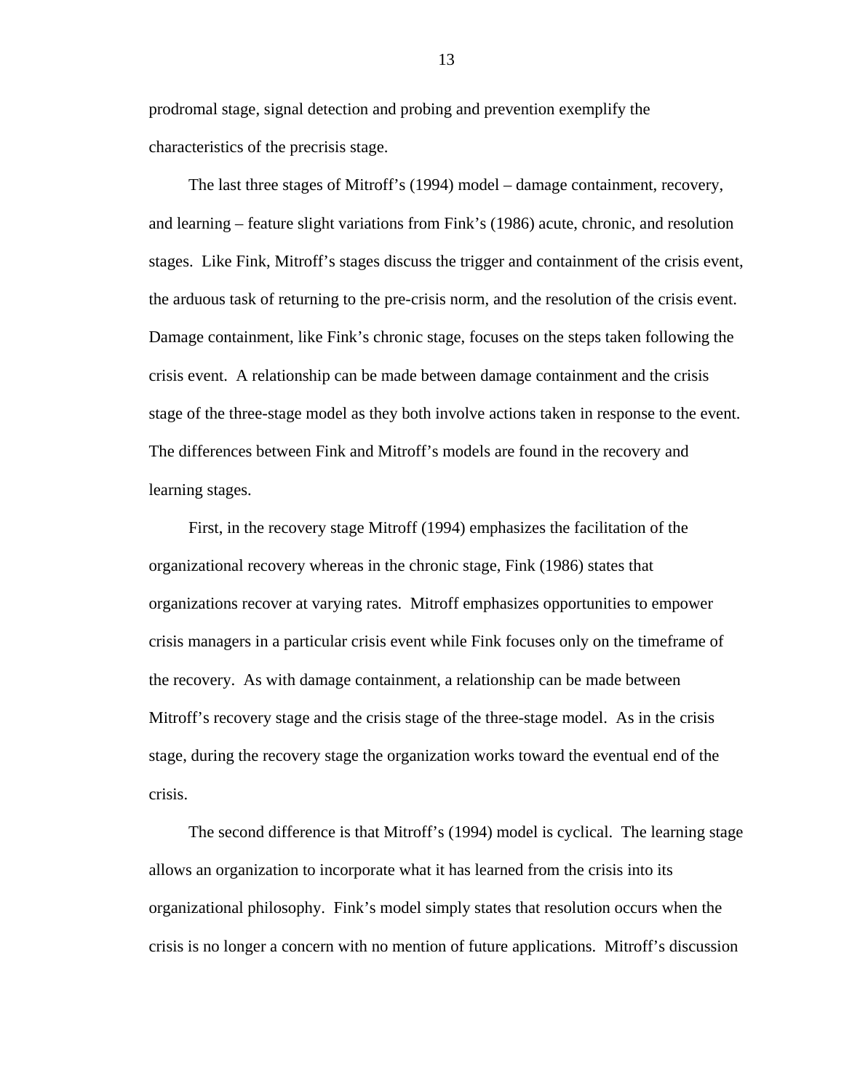prodromal stage, signal detection and probing and prevention exemplify the characteristics of the precrisis stage.

The last three stages of Mitroff's (1994) model – damage containment, recovery, and learning – feature slight variations from Fink's (1986) acute, chronic, and resolution stages. Like Fink, Mitroff's stages discuss the trigger and containment of the crisis event, the arduous task of returning to the pre-crisis norm, and the resolution of the crisis event. Damage containment, like Fink's chronic stage, focuses on the steps taken following the crisis event. A relationship can be made between damage containment and the crisis stage of the three-stage model as they both involve actions taken in response to the event. The differences between Fink and Mitroff's models are found in the recovery and learning stages.

First, in the recovery stage Mitroff (1994) emphasizes the facilitation of the organizational recovery whereas in the chronic stage, Fink (1986) states that organizations recover at varying rates. Mitroff emphasizes opportunities to empower crisis managers in a particular crisis event while Fink focuses only on the timeframe of the recovery. As with damage containment, a relationship can be made between Mitroff's recovery stage and the crisis stage of the three-stage model. As in the crisis stage, during the recovery stage the organization works toward the eventual end of the crisis.

The second difference is that Mitroff's (1994) model is cyclical. The learning stage allows an organization to incorporate what it has learned from the crisis into its organizational philosophy. Fink's model simply states that resolution occurs when the crisis is no longer a concern with no mention of future applications. Mitroff's discussion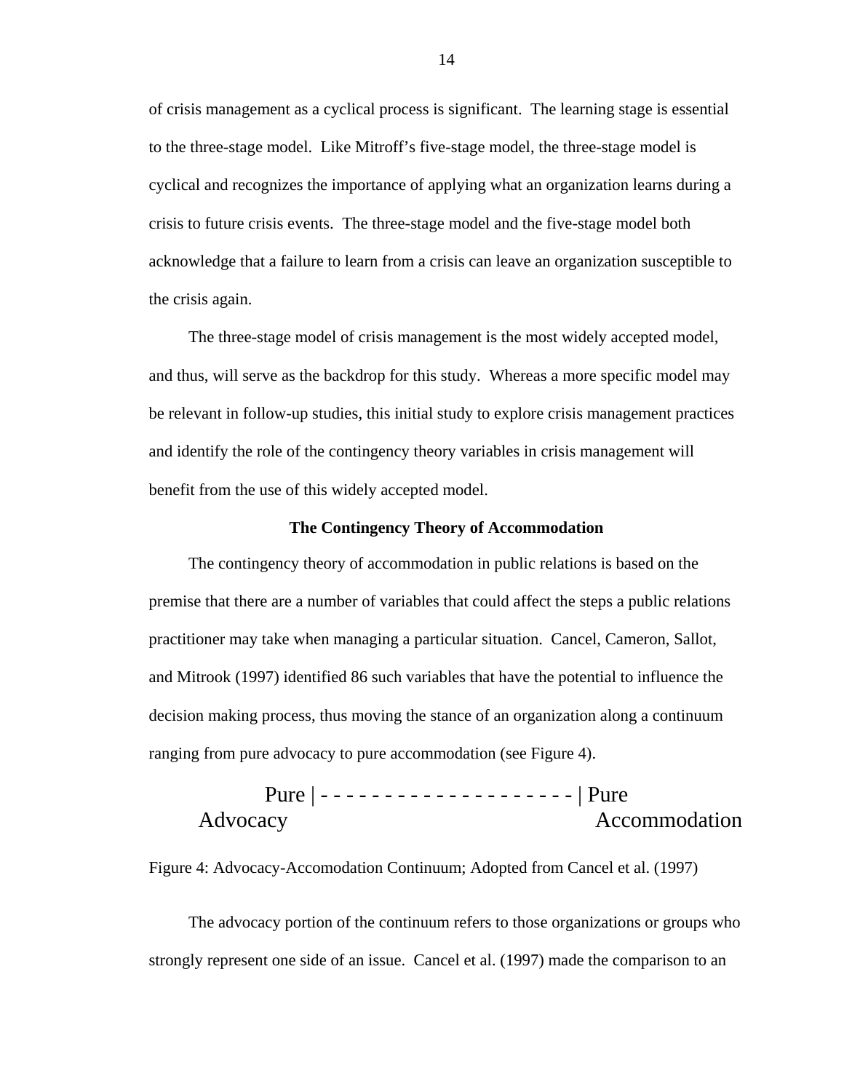<span id="page-21-0"></span>of crisis management as a cyclical process is significant. The learning stage is essential to the three-stage model. Like Mitroff's five-stage model, the three-stage model is cyclical and recognizes the importance of applying what an organization learns during a crisis to future crisis events. The three-stage model and the five-stage model both acknowledge that a failure to learn from a crisis can leave an organization susceptible to the crisis again.

The three-stage model of crisis management is the most widely accepted model, and thus, will serve as the backdrop for this study. Whereas a more specific model may be relevant in follow-up studies, this initial study to explore crisis management practices and identify the role of the contingency theory variables in crisis management will benefit from the use of this widely accepted model.

### **The Contingency Theory of Accommodation**

The contingency theory of accommodation in public relations is based on the premise that there are a number of variables that could affect the steps a public relations practitioner may take when managing a particular situation. Cancel, Cameron, Sallot, and Mitrook (1997) identified 86 such variables that have the potential to influence the decision making process, thus moving the stance of an organization along a continuum ranging from pure advocacy to pure accommodation (see Figure 4).

Pure | - - - - - - - - - - - - - - - - - - - - | Pure Advocacy Accommodation

Figure 4: Advocacy-Accomodation Continuum; Adopted from Cancel et al. (1997)

The advocacy portion of the continuum refers to those organizations or groups who strongly represent one side of an issue. Cancel et al. (1997) made the comparison to an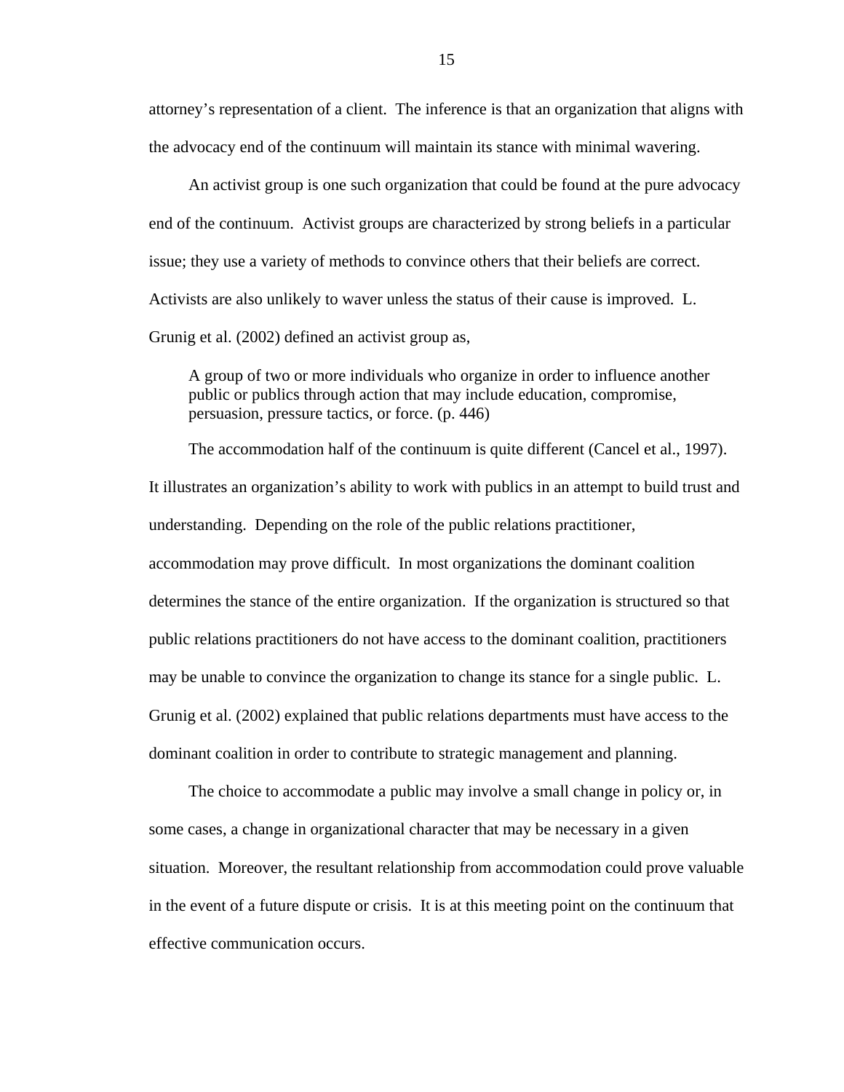attorney's representation of a client. The inference is that an organization that aligns with the advocacy end of the continuum will maintain its stance with minimal wavering.

An activist group is one such organization that could be found at the pure advocacy end of the continuum. Activist groups are characterized by strong beliefs in a particular issue; they use a variety of methods to convince others that their beliefs are correct. Activists are also unlikely to waver unless the status of their cause is improved. L. Grunig et al. (2002) defined an activist group as,

A group of two or more individuals who organize in order to influence another public or publics through action that may include education, compromise, persuasion, pressure tactics, or force. (p. 446)

The accommodation half of the continuum is quite different (Cancel et al., 1997). It illustrates an organization's ability to work with publics in an attempt to build trust and understanding. Depending on the role of the public relations practitioner, accommodation may prove difficult. In most organizations the dominant coalition determines the stance of the entire organization. If the organization is structured so that public relations practitioners do not have access to the dominant coalition, practitioners may be unable to convince the organization to change its stance for a single public. L. Grunig et al. (2002) explained that public relations departments must have access to the dominant coalition in order to contribute to strategic management and planning.

The choice to accommodate a public may involve a small change in policy or, in some cases, a change in organizational character that may be necessary in a given situation. Moreover, the resultant relationship from accommodation could prove valuable in the event of a future dispute or crisis. It is at this meeting point on the continuum that effective communication occurs.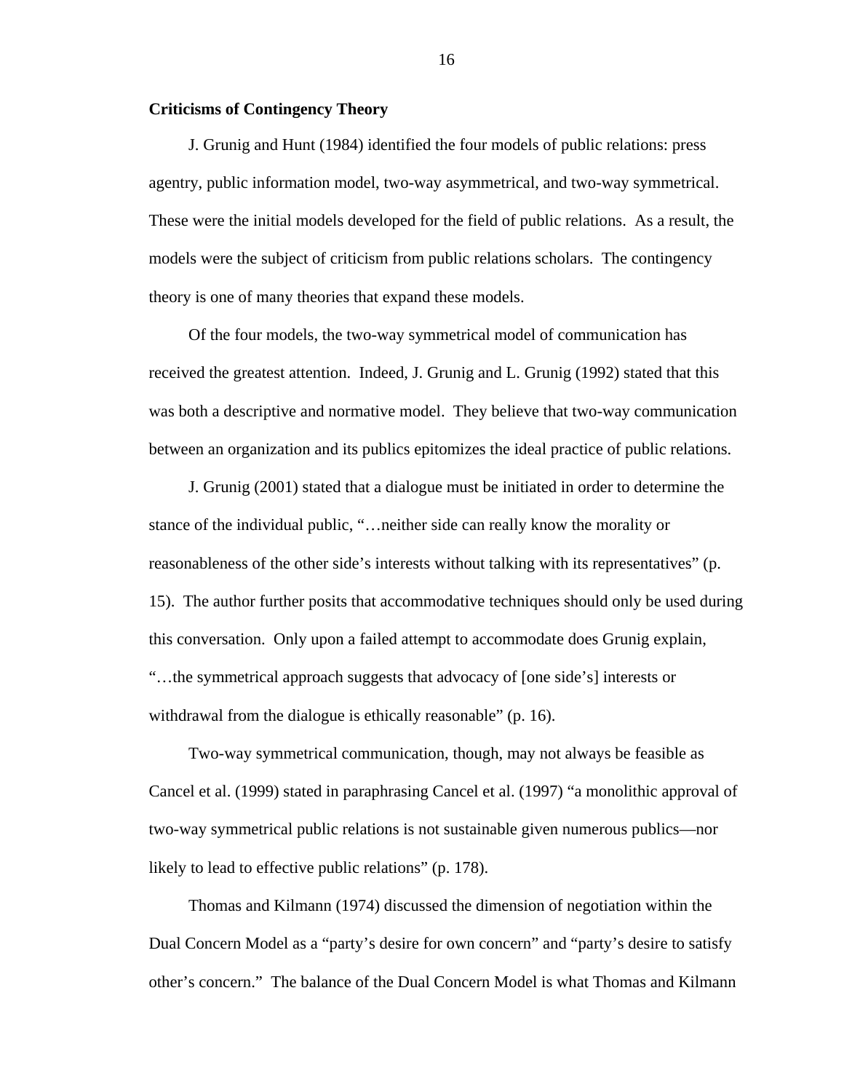## <span id="page-23-0"></span>**Criticisms of Contingency Theory**

J. Grunig and Hunt (1984) identified the four models of public relations: press agentry, public information model, two-way asymmetrical, and two-way symmetrical. These were the initial models developed for the field of public relations. As a result, the models were the subject of criticism from public relations scholars. The contingency theory is one of many theories that expand these models.

Of the four models, the two-way symmetrical model of communication has received the greatest attention. Indeed, J. Grunig and L. Grunig (1992) stated that this was both a descriptive and normative model. They believe that two-way communication between an organization and its publics epitomizes the ideal practice of public relations.

J. Grunig (2001) stated that a dialogue must be initiated in order to determine the stance of the individual public, "…neither side can really know the morality or reasonableness of the other side's interests without talking with its representatives" (p. 15). The author further posits that accommodative techniques should only be used during this conversation. Only upon a failed attempt to accommodate does Grunig explain, "…the symmetrical approach suggests that advocacy of [one side's] interests or withdrawal from the dialogue is ethically reasonable" (p. 16).

Two-way symmetrical communication, though, may not always be feasible as Cancel et al. (1999) stated in paraphrasing Cancel et al. (1997) "a monolithic approval of two-way symmetrical public relations is not sustainable given numerous publics—nor likely to lead to effective public relations" (p. 178).

Thomas and Kilmann (1974) discussed the dimension of negotiation within the Dual Concern Model as a "party's desire for own concern" and "party's desire to satisfy other's concern." The balance of the Dual Concern Model is what Thomas and Kilmann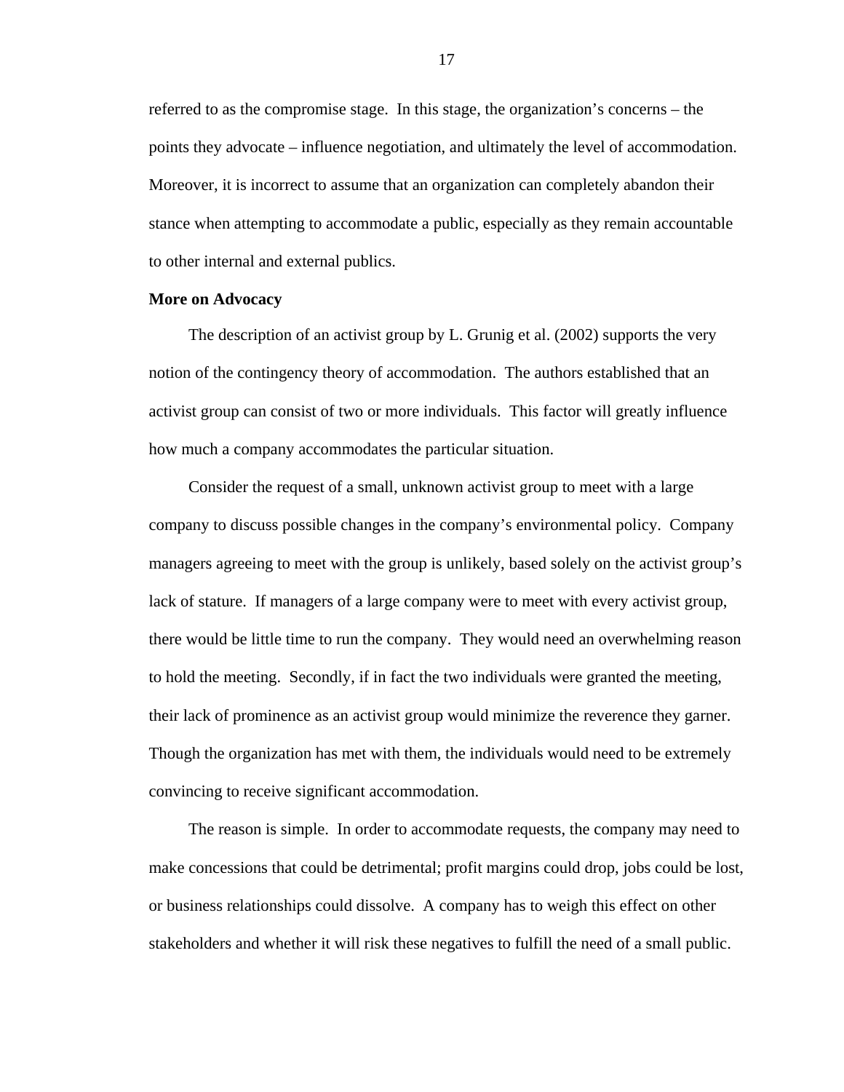<span id="page-24-0"></span>referred to as the compromise stage. In this stage, the organization's concerns – the points they advocate – influence negotiation, and ultimately the level of accommodation. Moreover, it is incorrect to assume that an organization can completely abandon their stance when attempting to accommodate a public, especially as they remain accountable to other internal and external publics.

### **More on Advocacy**

The description of an activist group by L. Grunig et al. (2002) supports the very notion of the contingency theory of accommodation. The authors established that an activist group can consist of two or more individuals. This factor will greatly influence how much a company accommodates the particular situation.

Consider the request of a small, unknown activist group to meet with a large company to discuss possible changes in the company's environmental policy. Company managers agreeing to meet with the group is unlikely, based solely on the activist group's lack of stature. If managers of a large company were to meet with every activist group, there would be little time to run the company. They would need an overwhelming reason to hold the meeting. Secondly, if in fact the two individuals were granted the meeting, their lack of prominence as an activist group would minimize the reverence they garner. Though the organization has met with them, the individuals would need to be extremely convincing to receive significant accommodation.

The reason is simple. In order to accommodate requests, the company may need to make concessions that could be detrimental; profit margins could drop, jobs could be lost, or business relationships could dissolve. A company has to weigh this effect on other stakeholders and whether it will risk these negatives to fulfill the need of a small public.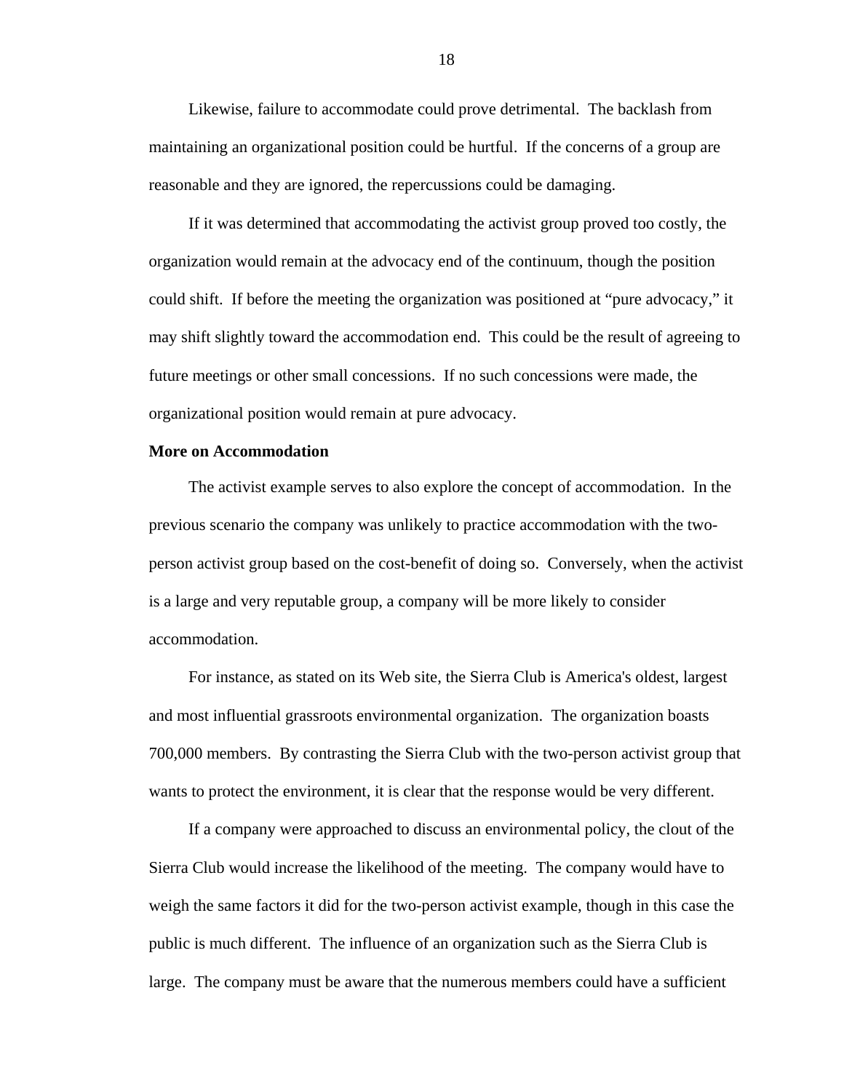<span id="page-25-0"></span>Likewise, failure to accommodate could prove detrimental. The backlash from maintaining an organizational position could be hurtful. If the concerns of a group are reasonable and they are ignored, the repercussions could be damaging.

If it was determined that accommodating the activist group proved too costly, the organization would remain at the advocacy end of the continuum, though the position could shift. If before the meeting the organization was positioned at "pure advocacy," it may shift slightly toward the accommodation end. This could be the result of agreeing to future meetings or other small concessions. If no such concessions were made, the organizational position would remain at pure advocacy.

### **More on Accommodation**

The activist example serves to also explore the concept of accommodation. In the previous scenario the company was unlikely to practice accommodation with the twoperson activist group based on the cost-benefit of doing so. Conversely, when the activist is a large and very reputable group, a company will be more likely to consider accommodation.

For instance, as stated on its Web site, the Sierra Club is America's oldest, largest and most influential grassroots environmental organization. The organization boasts 700,000 members. By contrasting the Sierra Club with the two-person activist group that wants to protect the environment, it is clear that the response would be very different.

If a company were approached to discuss an environmental policy, the clout of the Sierra Club would increase the likelihood of the meeting. The company would have to weigh the same factors it did for the two-person activist example, though in this case the public is much different. The influence of an organization such as the Sierra Club is large. The company must be aware that the numerous members could have a sufficient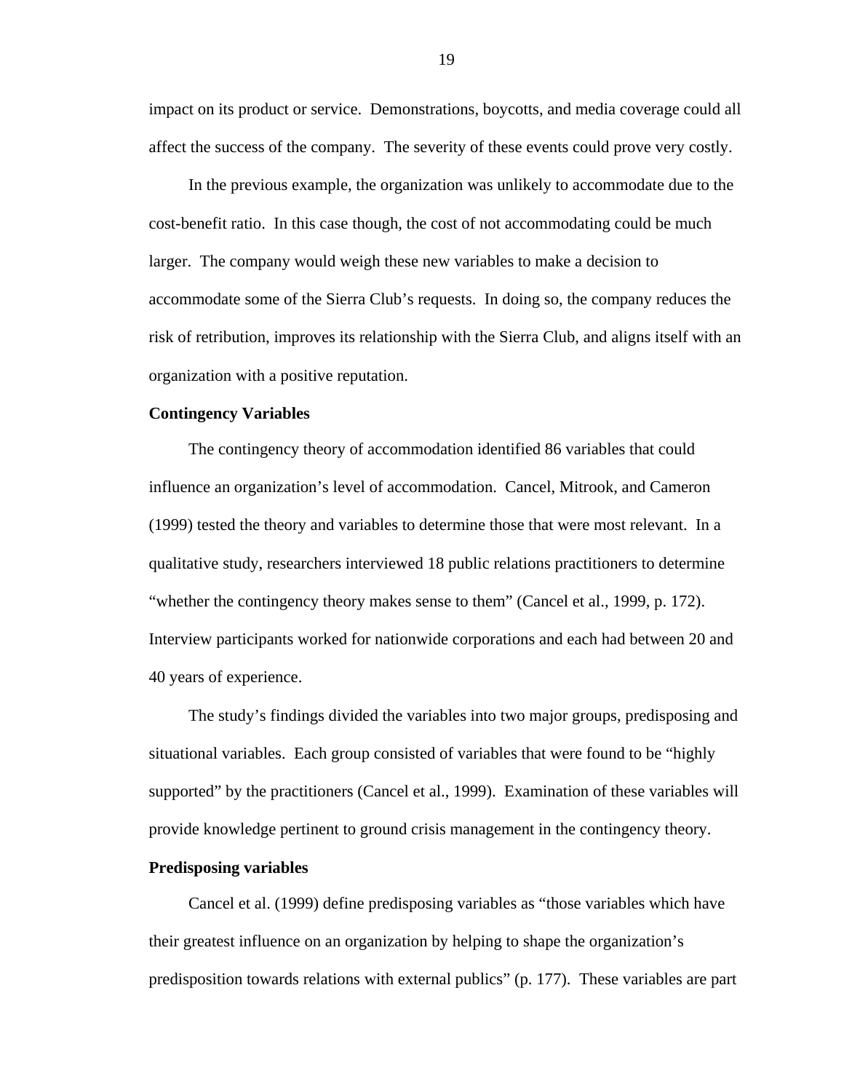<span id="page-26-0"></span>impact on its product or service. Demonstrations, boycotts, and media coverage could all affect the success of the company. The severity of these events could prove very costly.

In the previous example, the organization was unlikely to accommodate due to the cost-benefit ratio. In this case though, the cost of not accommodating could be much larger. The company would weigh these new variables to make a decision to accommodate some of the Sierra Club's requests. In doing so, the company reduces the risk of retribution, improves its relationship with the Sierra Club, and aligns itself with an organization with a positive reputation.

#### **Contingency Variables**

The contingency theory of accommodation identified 86 variables that could influence an organization's level of accommodation. Cancel, Mitrook, and Cameron (1999) tested the theory and variables to determine those that were most relevant. In a qualitative study, researchers interviewed 18 public relations practitioners to determine "whether the contingency theory makes sense to them" (Cancel et al., 1999, p. 172). Interview participants worked for nationwide corporations and each had between 20 and 40 years of experience.

The study's findings divided the variables into two major groups, predisposing and situational variables. Each group consisted of variables that were found to be "highly supported" by the practitioners (Cancel et al., 1999). Examination of these variables will provide knowledge pertinent to ground crisis management in the contingency theory.

## **Predisposing variables**

Cancel et al. (1999) define predisposing variables as "those variables which have their greatest influence on an organization by helping to shape the organization's predisposition towards relations with external publics" (p. 177). These variables are part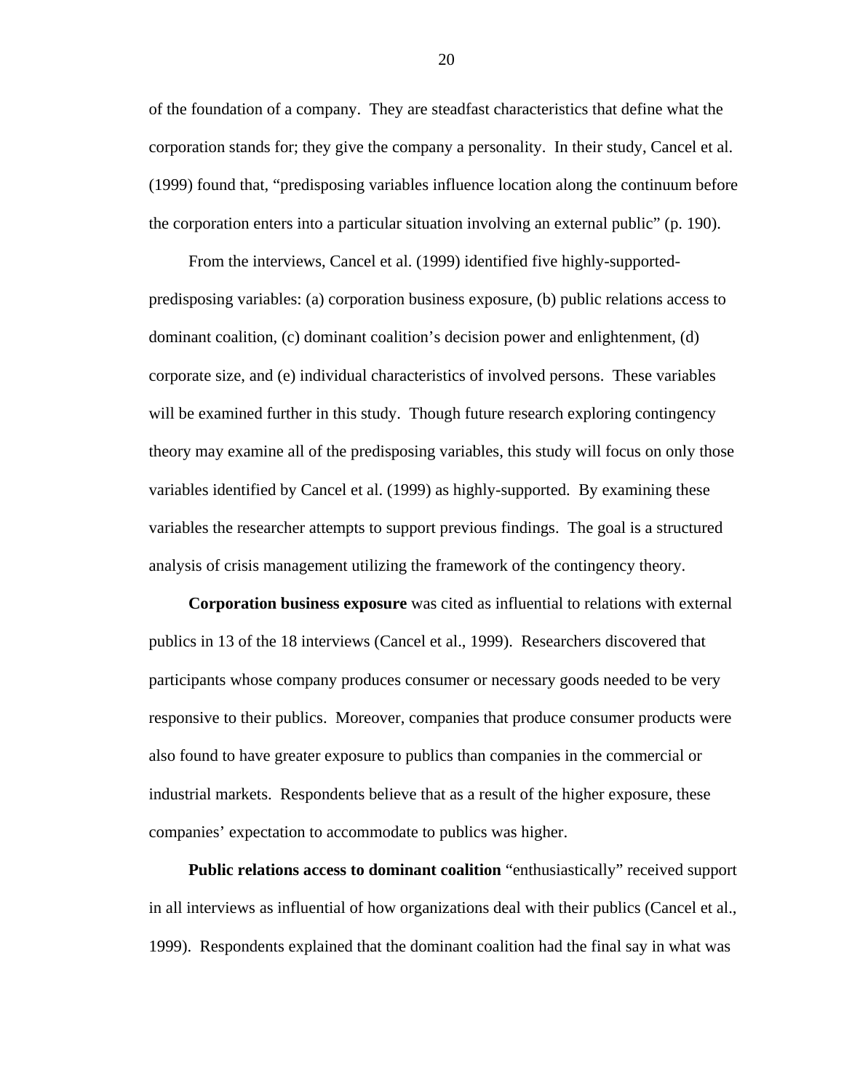of the foundation of a company. They are steadfast characteristics that define what the corporation stands for; they give the company a personality. In their study, Cancel et al. (1999) found that, "predisposing variables influence location along the continuum before the corporation enters into a particular situation involving an external public" (p. 190).

From the interviews, Cancel et al. (1999) identified five highly-supportedpredisposing variables: (a) corporation business exposure, (b) public relations access to dominant coalition, (c) dominant coalition's decision power and enlightenment, (d) corporate size, and (e) individual characteristics of involved persons. These variables will be examined further in this study. Though future research exploring contingency theory may examine all of the predisposing variables, this study will focus on only those variables identified by Cancel et al. (1999) as highly-supported. By examining these variables the researcher attempts to support previous findings. The goal is a structured analysis of crisis management utilizing the framework of the contingency theory.

**Corporation business exposure** was cited as influential to relations with external publics in 13 of the 18 interviews (Cancel et al., 1999). Researchers discovered that participants whose company produces consumer or necessary goods needed to be very responsive to their publics. Moreover, companies that produce consumer products were also found to have greater exposure to publics than companies in the commercial or industrial markets. Respondents believe that as a result of the higher exposure, these companies' expectation to accommodate to publics was higher.

**Public relations access to dominant coalition** "enthusiastically" received support in all interviews as influential of how organizations deal with their publics (Cancel et al., 1999). Respondents explained that the dominant coalition had the final say in what was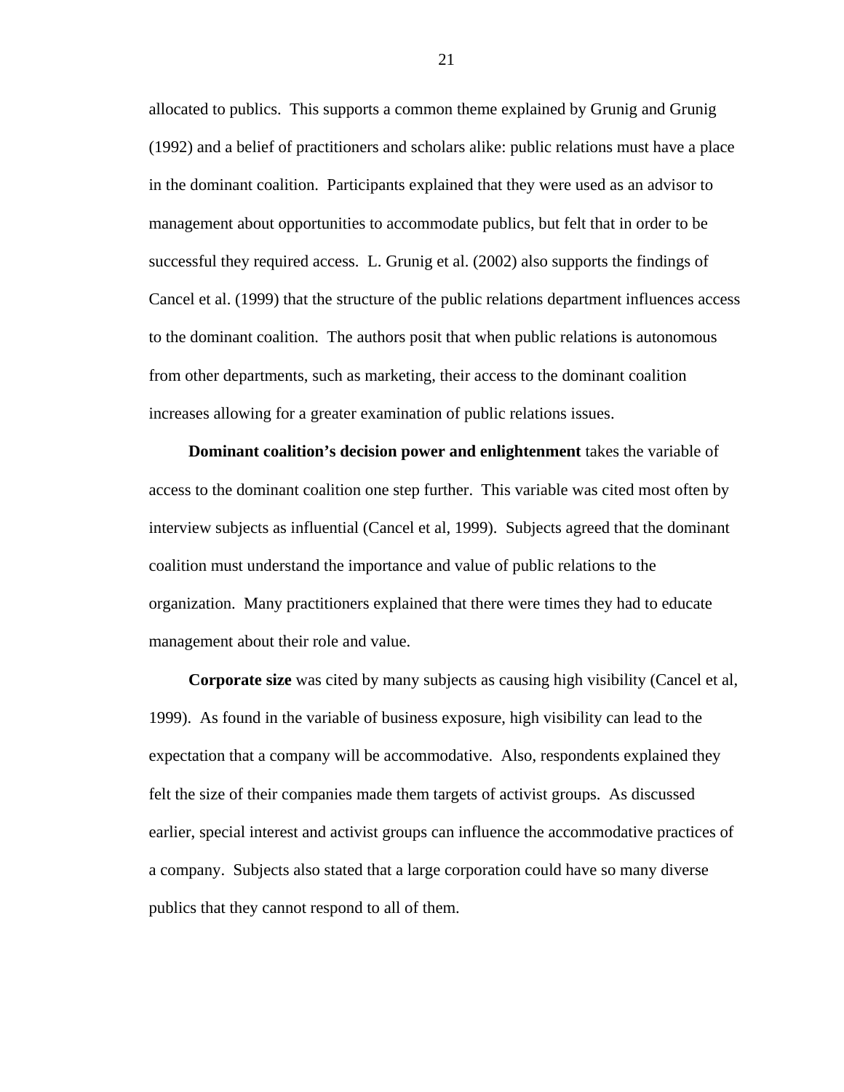allocated to publics. This supports a common theme explained by Grunig and Grunig (1992) and a belief of practitioners and scholars alike: public relations must have a place in the dominant coalition. Participants explained that they were used as an advisor to management about opportunities to accommodate publics, but felt that in order to be successful they required access. L. Grunig et al. (2002) also supports the findings of Cancel et al. (1999) that the structure of the public relations department influences access to the dominant coalition. The authors posit that when public relations is autonomous from other departments, such as marketing, their access to the dominant coalition increases allowing for a greater examination of public relations issues.

**Dominant coalition's decision power and enlightenment** takes the variable of access to the dominant coalition one step further. This variable was cited most often by interview subjects as influential (Cancel et al, 1999). Subjects agreed that the dominant coalition must understand the importance and value of public relations to the organization. Many practitioners explained that there were times they had to educate management about their role and value.

**Corporate size** was cited by many subjects as causing high visibility (Cancel et al, 1999). As found in the variable of business exposure, high visibility can lead to the expectation that a company will be accommodative. Also, respondents explained they felt the size of their companies made them targets of activist groups. As discussed earlier, special interest and activist groups can influence the accommodative practices of a company. Subjects also stated that a large corporation could have so many diverse publics that they cannot respond to all of them.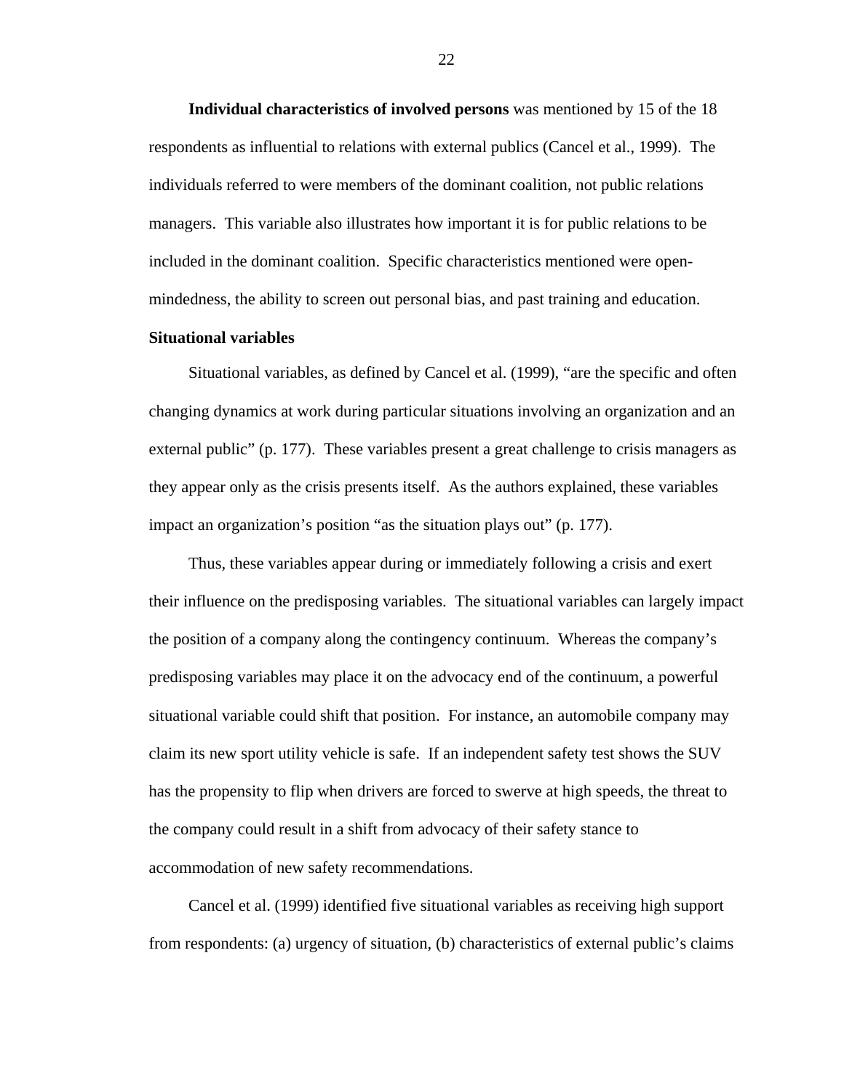<span id="page-29-0"></span>**Individual characteristics of involved persons** was mentioned by 15 of the 18 respondents as influential to relations with external publics (Cancel et al., 1999). The individuals referred to were members of the dominant coalition, not public relations managers. This variable also illustrates how important it is for public relations to be included in the dominant coalition. Specific characteristics mentioned were openmindedness, the ability to screen out personal bias, and past training and education.

## **Situational variables**

Situational variables, as defined by Cancel et al. (1999), "are the specific and often changing dynamics at work during particular situations involving an organization and an external public" (p. 177). These variables present a great challenge to crisis managers as they appear only as the crisis presents itself. As the authors explained, these variables impact an organization's position "as the situation plays out" (p. 177).

Thus, these variables appear during or immediately following a crisis and exert their influence on the predisposing variables. The situational variables can largely impact the position of a company along the contingency continuum. Whereas the company's predisposing variables may place it on the advocacy end of the continuum, a powerful situational variable could shift that position. For instance, an automobile company may claim its new sport utility vehicle is safe. If an independent safety test shows the SUV has the propensity to flip when drivers are forced to swerve at high speeds, the threat to the company could result in a shift from advocacy of their safety stance to accommodation of new safety recommendations.

Cancel et al. (1999) identified five situational variables as receiving high support from respondents: (a) urgency of situation, (b) characteristics of external public's claims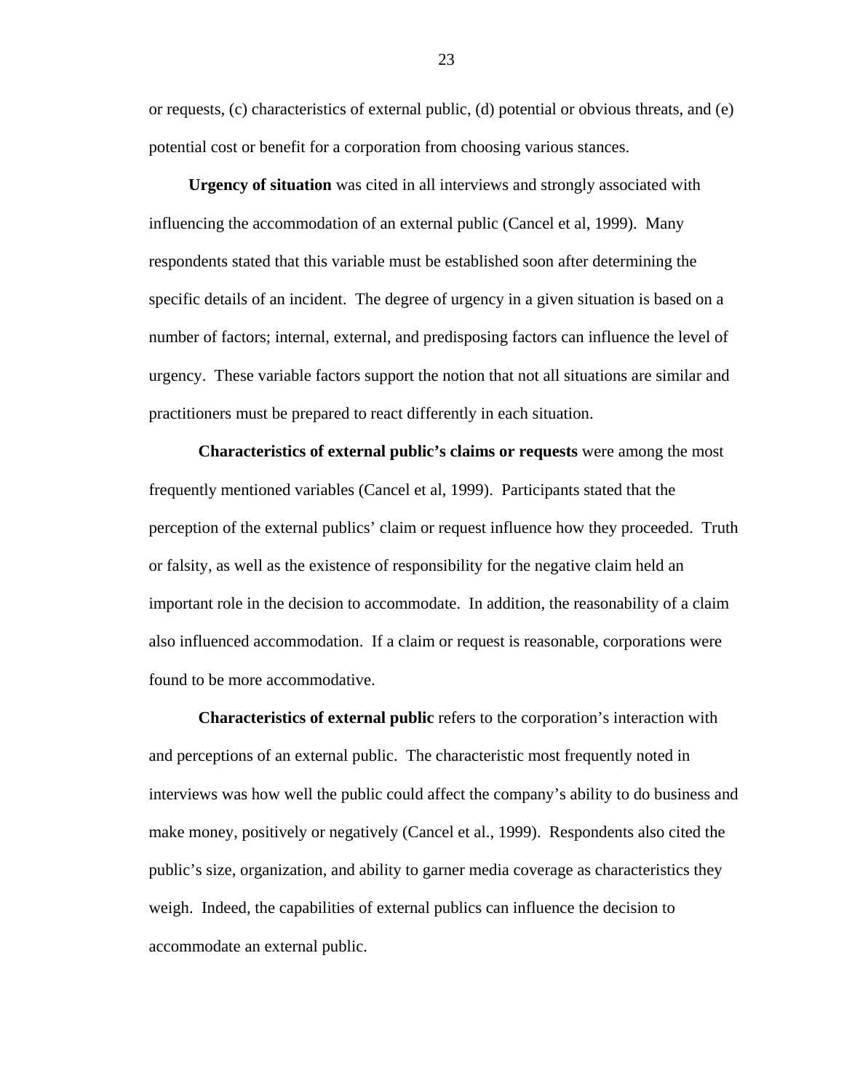or requests, (c) characteristics of external public, (d) potential or obvious threats, and (e) potential cost or benefit for a corporation from choosing various stances.

**Urgency of situation** was cited in all interviews and strongly associated with influencing the accommodation of an external public (Cancel et al, 1999). Many respondents stated that this variable must be established soon after determining the specific details of an incident. The degree of urgency in a given situation is based on a number of factors; internal, external, and predisposing factors can influence the level of urgency. These variable factors support the notion that not all situations are similar and practitioners must be prepared to react differently in each situation.

**Characteristics of external public's claims or requests** were among the most frequently mentioned variables (Cancel et al, 1999). Participants stated that the perception of the external publics' claim or request influence how they proceeded. Truth or falsity, as well as the existence of responsibility for the negative claim held an important role in the decision to accommodate. In addition, the reasonability of a claim also influenced accommodation. If a claim or request is reasonable, corporations were found to be more accommodative.

**Characteristics of external public** refers to the corporation's interaction with and perceptions of an external public. The characteristic most frequently noted in interviews was how well the public could affect the company's ability to do business and make money, positively or negatively (Cancel et al., 1999). Respondents also cited the public's size, organization, and ability to garner media coverage as characteristics they weigh. Indeed, the capabilities of external publics can influence the decision to accommodate an external public.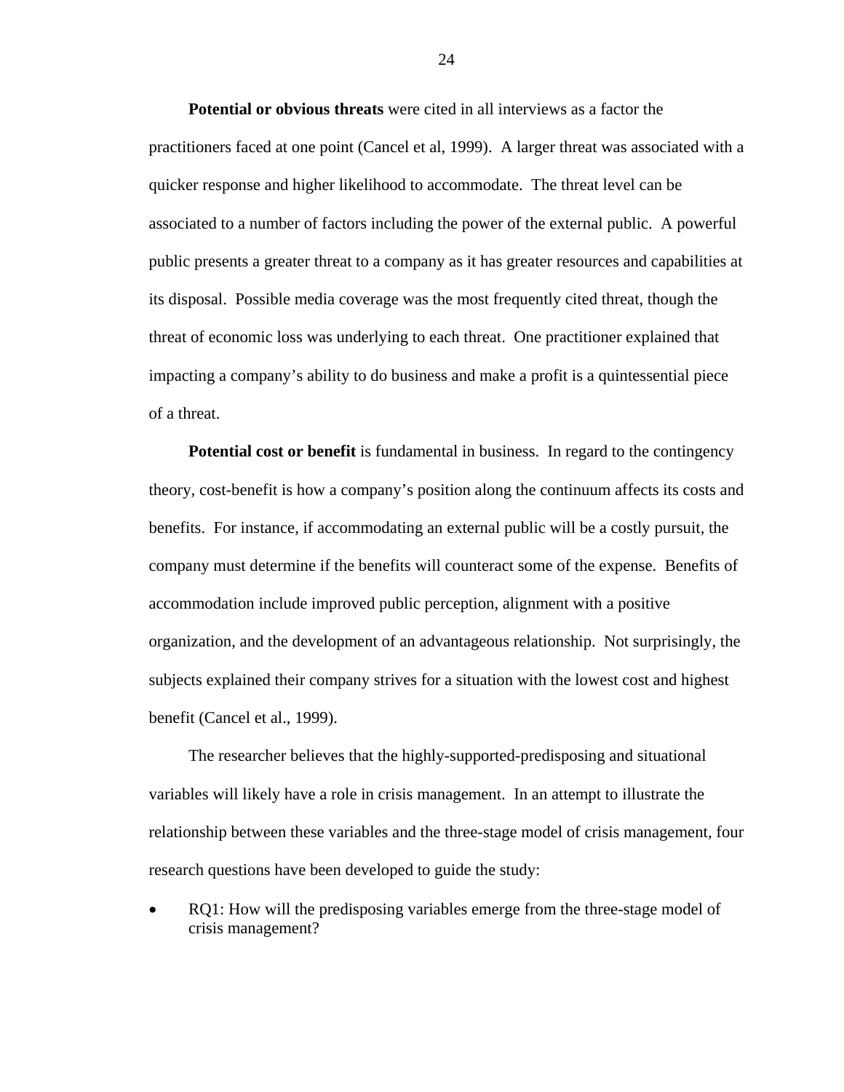**Potential or obvious threats** were cited in all interviews as a factor the practitioners faced at one point (Cancel et al, 1999). A larger threat was associated with a quicker response and higher likelihood to accommodate. The threat level can be associated to a number of factors including the power of the external public. A powerful public presents a greater threat to a company as it has greater resources and capabilities at its disposal. Possible media coverage was the most frequently cited threat, though the threat of economic loss was underlying to each threat. One practitioner explained that impacting a company's ability to do business and make a profit is a quintessential piece of a threat.

**Potential cost or benefit** is fundamental in business. In regard to the contingency theory, cost-benefit is how a company's position along the continuum affects its costs and benefits. For instance, if accommodating an external public will be a costly pursuit, the company must determine if the benefits will counteract some of the expense. Benefits of accommodation include improved public perception, alignment with a positive organization, and the development of an advantageous relationship. Not surprisingly, the subjects explained their company strives for a situation with the lowest cost and highest benefit (Cancel et al., 1999).

The researcher believes that the highly-supported-predisposing and situational variables will likely have a role in crisis management. In an attempt to illustrate the relationship between these variables and the three-stage model of crisis management, four research questions have been developed to guide the study:

RQ1: How will the predisposing variables emerge from the three-stage model of crisis management?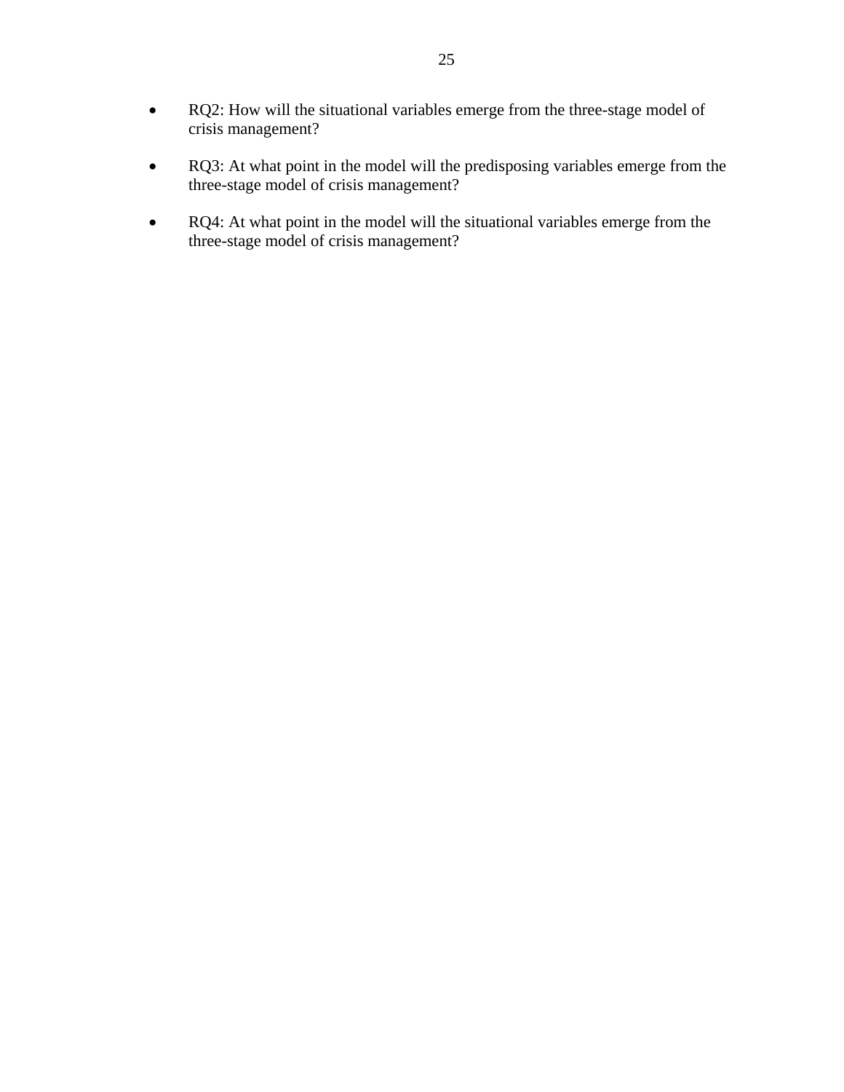- RQ2: How will the situational variables emerge from the three-stage model of crisis management?
- RQ3: At what point in the model will the predisposing variables emerge from the three-stage model of crisis management?
- RQ4: At what point in the model will the situational variables emerge from the three-stage model of crisis management?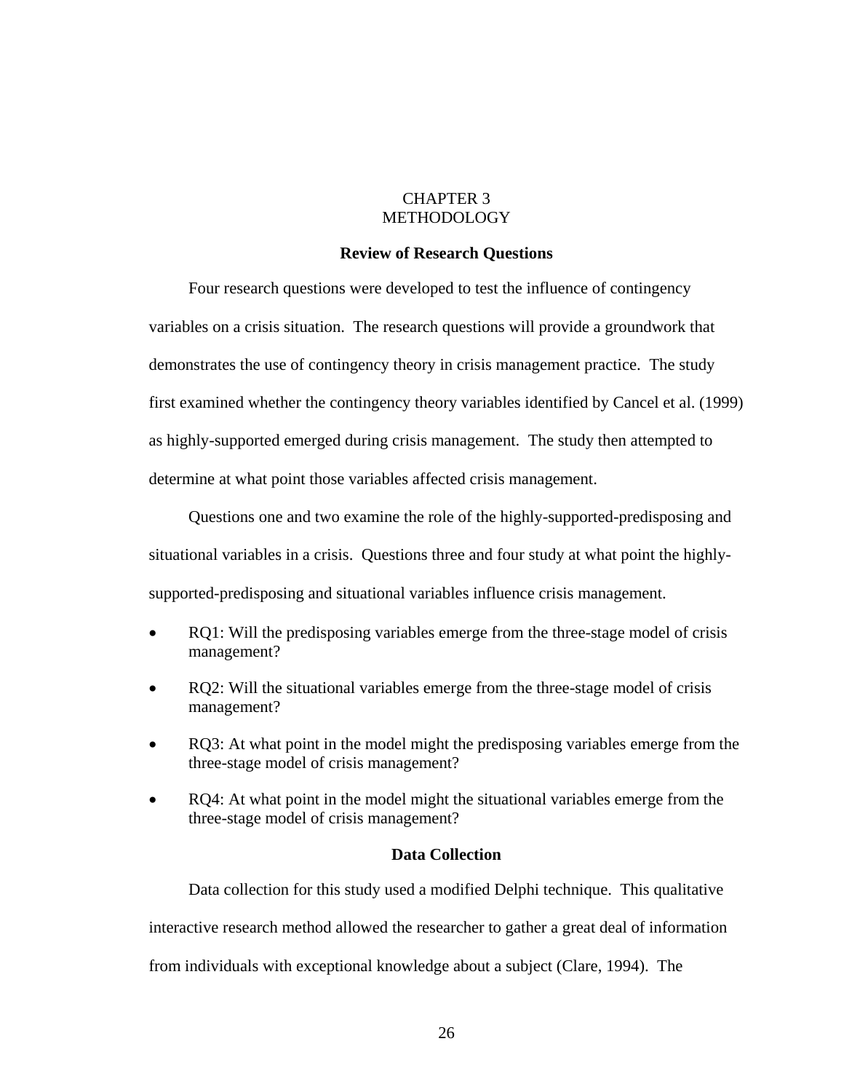# CHAPTER 3 METHODOLOGY

## **Review of Research Questions**

<span id="page-33-0"></span>Four research questions were developed to test the influence of contingency variables on a crisis situation. The research questions will provide a groundwork that demonstrates the use of contingency theory in crisis management practice. The study first examined whether the contingency theory variables identified by Cancel et al. (1999) as highly-supported emerged during crisis management. The study then attempted to determine at what point those variables affected crisis management.

Questions one and two examine the role of the highly-supported-predisposing and situational variables in a crisis. Questions three and four study at what point the highlysupported-predisposing and situational variables influence crisis management.

- RQ1: Will the predisposing variables emerge from the three-stage model of crisis management?
- RQ2: Will the situational variables emerge from the three-stage model of crisis management?
- RQ3: At what point in the model might the predisposing variables emerge from the three-stage model of crisis management?
- RQ4: At what point in the model might the situational variables emerge from the three-stage model of crisis management?

## **Data Collection**

Data collection for this study used a modified Delphi technique. This qualitative interactive research method allowed the researcher to gather a great deal of information from individuals with exceptional knowledge about a subject (Clare, 1994). The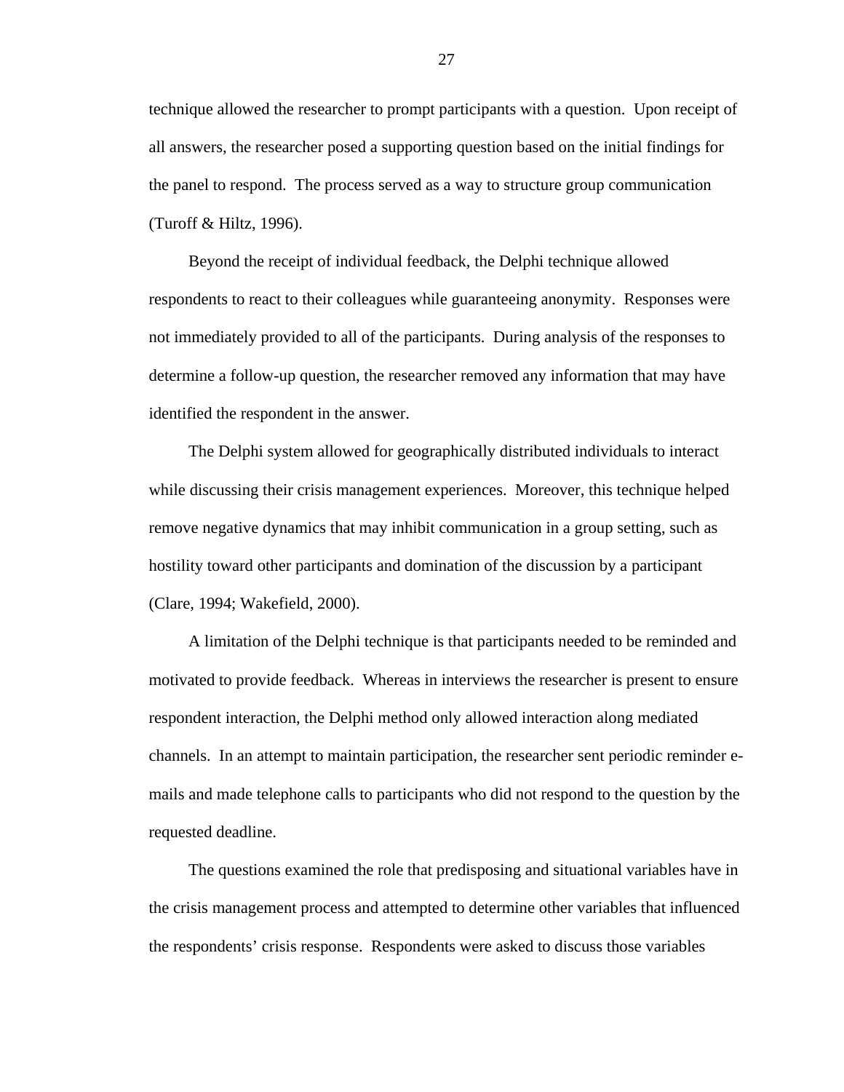technique allowed the researcher to prompt participants with a question. Upon receipt of all answers, the researcher posed a supporting question based on the initial findings for the panel to respond. The process served as a way to structure group communication (Turoff & Hiltz, 1996).

Beyond the receipt of individual feedback, the Delphi technique allowed respondents to react to their colleagues while guaranteeing anonymity. Responses were not immediately provided to all of the participants. During analysis of the responses to determine a follow-up question, the researcher removed any information that may have identified the respondent in the answer.

The Delphi system allowed for geographically distributed individuals to interact while discussing their crisis management experiences. Moreover, this technique helped remove negative dynamics that may inhibit communication in a group setting, such as hostility toward other participants and domination of the discussion by a participant (Clare, 1994; Wakefield, 2000).

A limitation of the Delphi technique is that participants needed to be reminded and motivated to provide feedback. Whereas in interviews the researcher is present to ensure respondent interaction, the Delphi method only allowed interaction along mediated channels. In an attempt to maintain participation, the researcher sent periodic reminder emails and made telephone calls to participants who did not respond to the question by the requested deadline.

The questions examined the role that predisposing and situational variables have in the crisis management process and attempted to determine other variables that influenced the respondents' crisis response. Respondents were asked to discuss those variables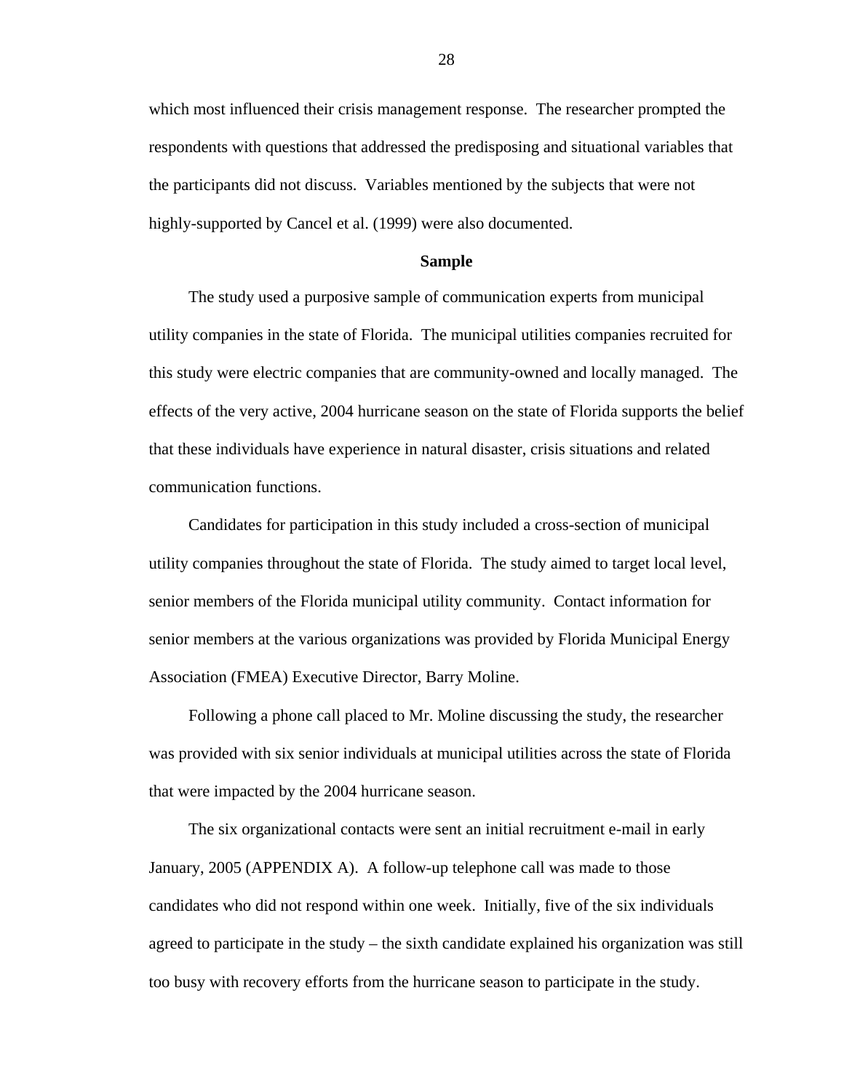<span id="page-35-0"></span>which most influenced their crisis management response. The researcher prompted the respondents with questions that addressed the predisposing and situational variables that the participants did not discuss. Variables mentioned by the subjects that were not highly-supported by Cancel et al. (1999) were also documented.

#### **Sample**

The study used a purposive sample of communication experts from municipal utility companies in the state of Florida. The municipal utilities companies recruited for this study were electric companies that are community-owned and locally managed. The effects of the very active, 2004 hurricane season on the state of Florida supports the belief that these individuals have experience in natural disaster, crisis situations and related communication functions.

Candidates for participation in this study included a cross-section of municipal utility companies throughout the state of Florida. The study aimed to target local level, senior members of the Florida municipal utility community. Contact information for senior members at the various organizations was provided by Florida Municipal Energy Association (FMEA) Executive Director, Barry Moline.

Following a phone call placed to Mr. Moline discussing the study, the researcher was provided with six senior individuals at municipal utilities across the state of Florida that were impacted by the 2004 hurricane season.

The six organizational contacts were sent an initial recruitment e-mail in early January, 2005 (APPENDIX A). A follow-up telephone call was made to those candidates who did not respond within one week. Initially, five of the six individuals agreed to participate in the study – the sixth candidate explained his organization was still too busy with recovery efforts from the hurricane season to participate in the study.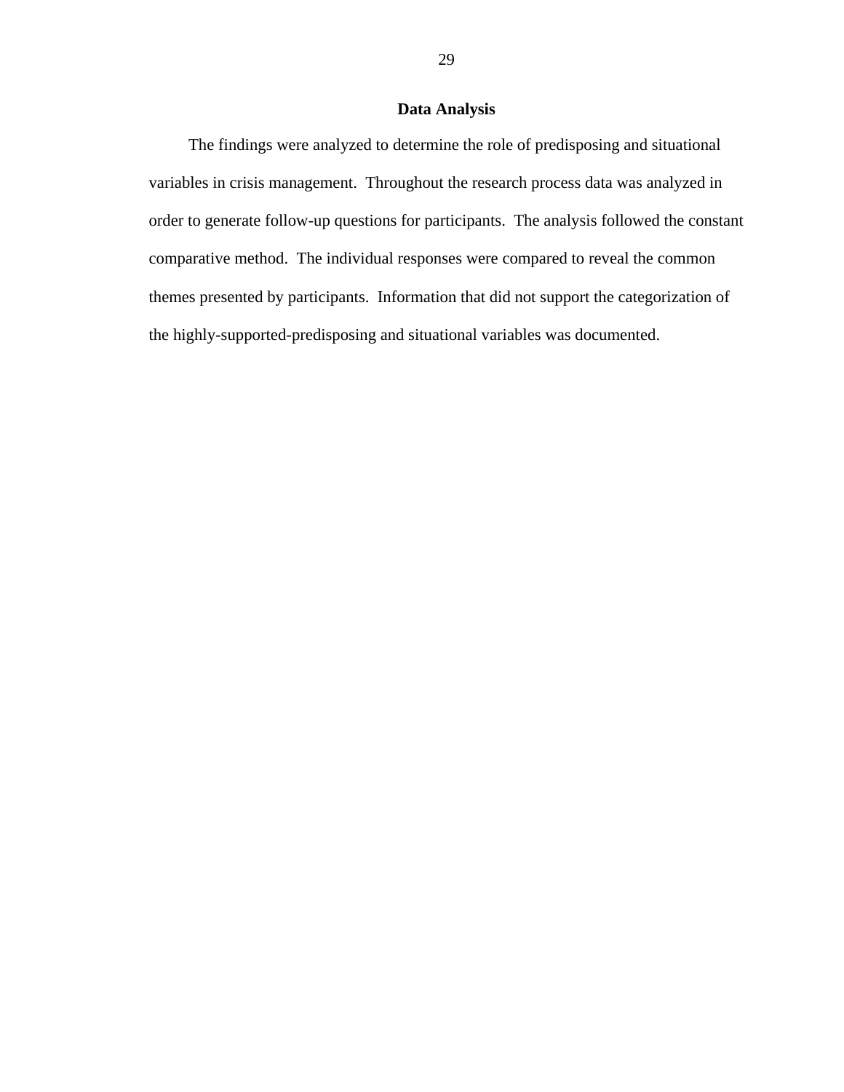# **Data Analysis**

The findings were analyzed to determine the role of predisposing and situational variables in crisis management. Throughout the research process data was analyzed in order to generate follow-up questions for participants. The analysis followed the constant comparative method. The individual responses were compared to reveal the common themes presented by participants. Information that did not support the categorization of the highly-supported-predisposing and situational variables was documented.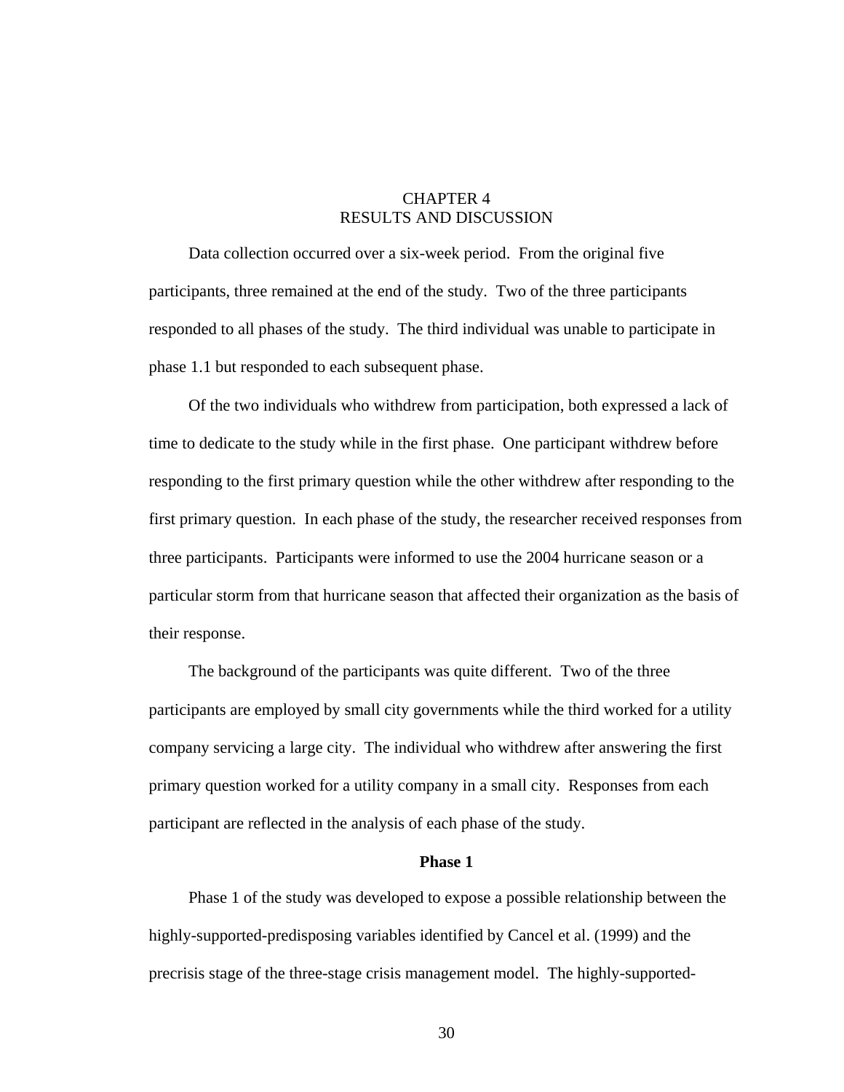### CHAPTER 4 RESULTS AND DISCUSSION

Data collection occurred over a six-week period. From the original five participants, three remained at the end of the study. Two of the three participants responded to all phases of the study. The third individual was unable to participate in phase 1.1 but responded to each subsequent phase.

Of the two individuals who withdrew from participation, both expressed a lack of time to dedicate to the study while in the first phase. One participant withdrew before responding to the first primary question while the other withdrew after responding to the first primary question. In each phase of the study, the researcher received responses from three participants. Participants were informed to use the 2004 hurricane season or a particular storm from that hurricane season that affected their organization as the basis of their response.

The background of the participants was quite different. Two of the three participants are employed by small city governments while the third worked for a utility company servicing a large city. The individual who withdrew after answering the first primary question worked for a utility company in a small city. Responses from each participant are reflected in the analysis of each phase of the study.

#### **Phase 1**

Phase 1 of the study was developed to expose a possible relationship between the highly-supported-predisposing variables identified by Cancel et al. (1999) and the precrisis stage of the three-stage crisis management model. The highly-supported-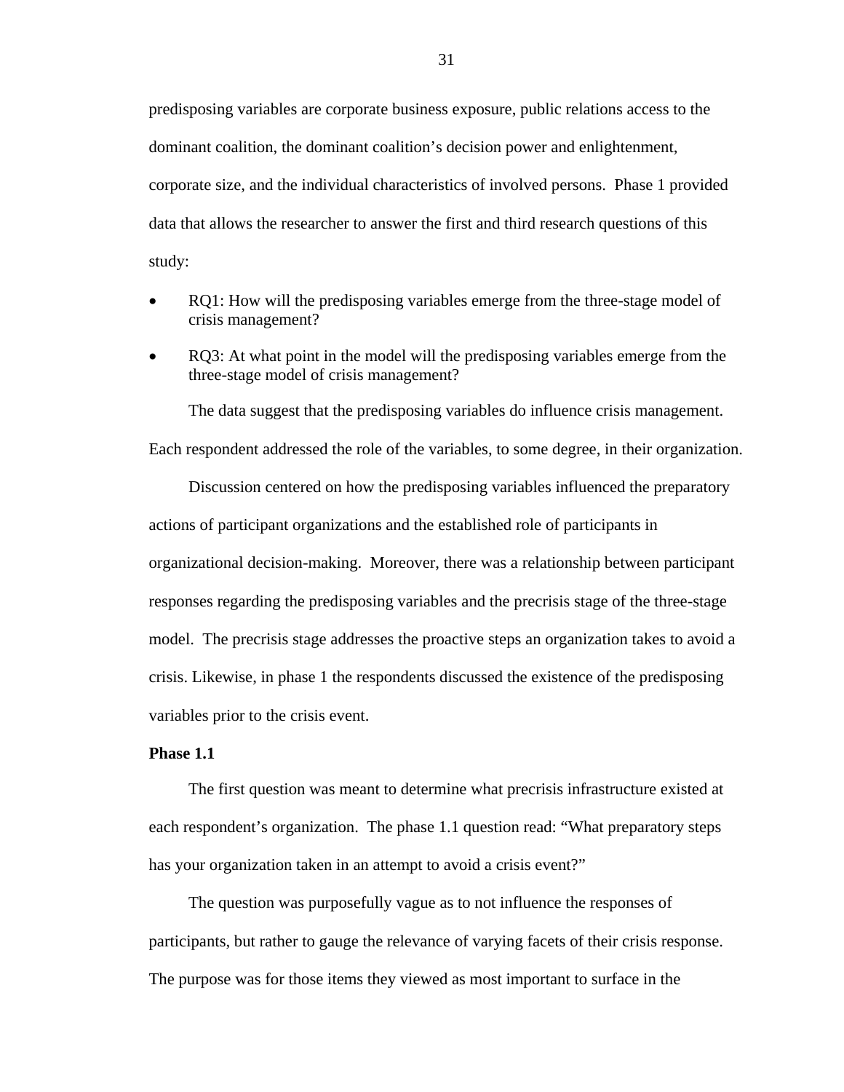predisposing variables are corporate business exposure, public relations access to the dominant coalition, the dominant coalition's decision power and enlightenment, corporate size, and the individual characteristics of involved persons. Phase 1 provided data that allows the researcher to answer the first and third research questions of this study:

- RQ1: How will the predisposing variables emerge from the three-stage model of crisis management?
- RQ3: At what point in the model will the predisposing variables emerge from the three-stage model of crisis management?

The data suggest that the predisposing variables do influence crisis management. Each respondent addressed the role of the variables, to some degree, in their organization.

Discussion centered on how the predisposing variables influenced the preparatory actions of participant organizations and the established role of participants in organizational decision-making. Moreover, there was a relationship between participant responses regarding the predisposing variables and the precrisis stage of the three-stage model. The precrisis stage addresses the proactive steps an organization takes to avoid a crisis. Likewise, in phase 1 the respondents discussed the existence of the predisposing variables prior to the crisis event.

#### **Phase 1.1**

The first question was meant to determine what precrisis infrastructure existed at each respondent's organization. The phase 1.1 question read: "What preparatory steps has your organization taken in an attempt to avoid a crisis event?"

The question was purposefully vague as to not influence the responses of participants, but rather to gauge the relevance of varying facets of their crisis response. The purpose was for those items they viewed as most important to surface in the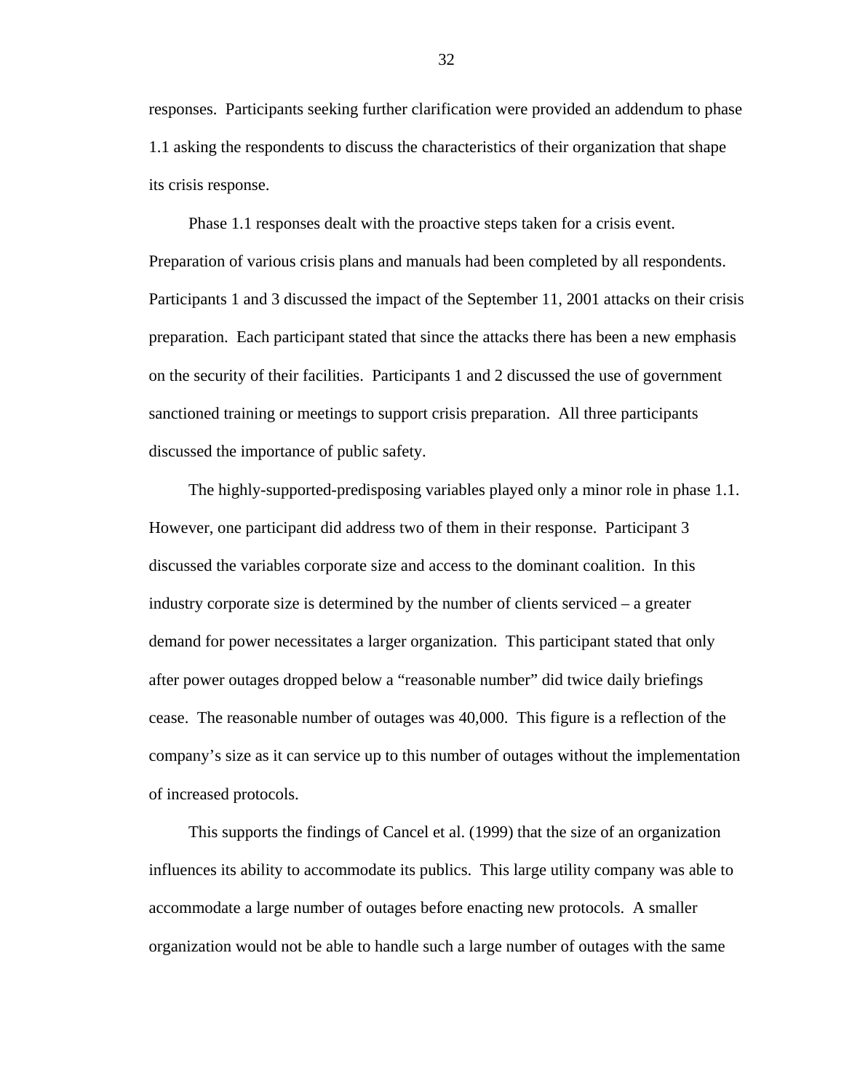responses. Participants seeking further clarification were provided an addendum to phase 1.1 asking the respondents to discuss the characteristics of their organization that shape its crisis response.

Phase 1.1 responses dealt with the proactive steps taken for a crisis event. Preparation of various crisis plans and manuals had been completed by all respondents. Participants 1 and 3 discussed the impact of the September 11, 2001 attacks on their crisis preparation. Each participant stated that since the attacks there has been a new emphasis on the security of their facilities. Participants 1 and 2 discussed the use of government sanctioned training or meetings to support crisis preparation. All three participants discussed the importance of public safety.

The highly-supported-predisposing variables played only a minor role in phase 1.1. However, one participant did address two of them in their response. Participant 3 discussed the variables corporate size and access to the dominant coalition. In this industry corporate size is determined by the number of clients serviced – a greater demand for power necessitates a larger organization. This participant stated that only after power outages dropped below a "reasonable number" did twice daily briefings cease. The reasonable number of outages was 40,000. This figure is a reflection of the company's size as it can service up to this number of outages without the implementation of increased protocols.

This supports the findings of Cancel et al. (1999) that the size of an organization influences its ability to accommodate its publics. This large utility company was able to accommodate a large number of outages before enacting new protocols. A smaller organization would not be able to handle such a large number of outages with the same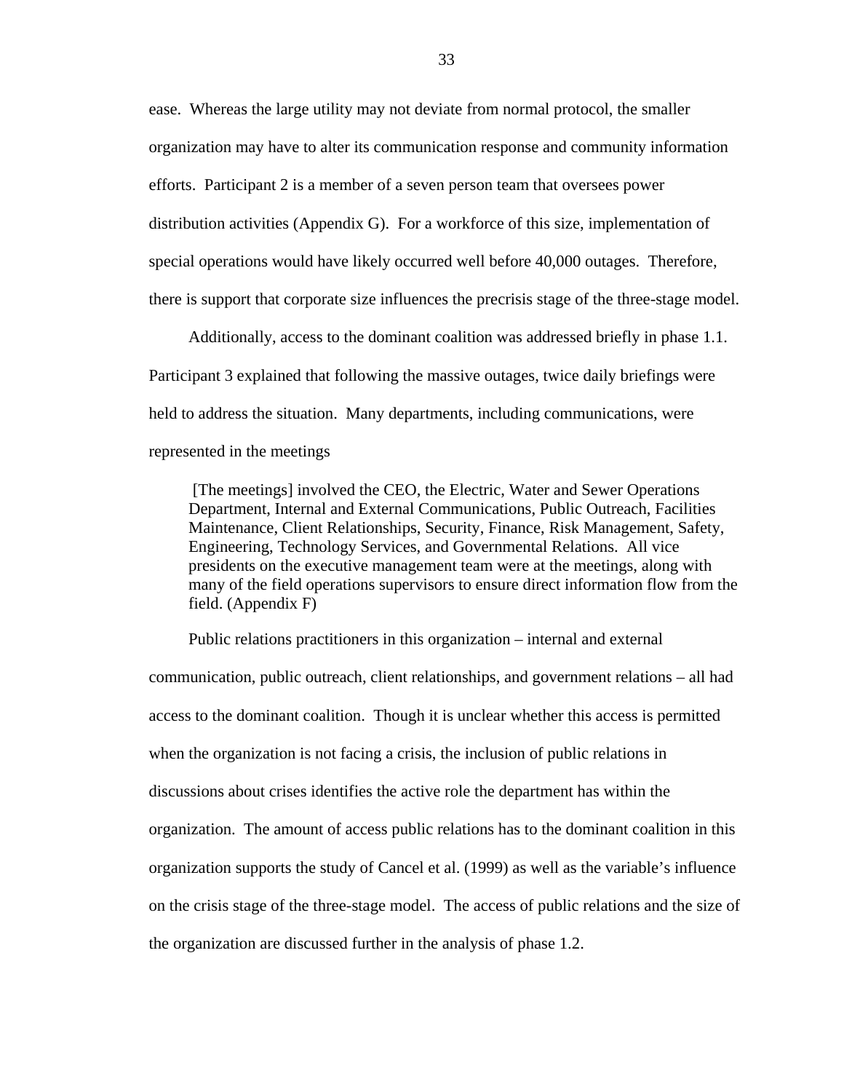ease. Whereas the large utility may not deviate from normal protocol, the smaller organization may have to alter its communication response and community information efforts. Participant 2 is a member of a seven person team that oversees power distribution activities (Appendix G). For a workforce of this size, implementation of special operations would have likely occurred well before 40,000 outages. Therefore, there is support that corporate size influences the precrisis stage of the three-stage model.

Additionally, access to the dominant coalition was addressed briefly in phase 1.1. Participant 3 explained that following the massive outages, twice daily briefings were held to address the situation. Many departments, including communications, were represented in the meetings

 [The meetings] involved the CEO, the Electric, Water and Sewer Operations Department, Internal and External Communications, Public Outreach, Facilities Maintenance, Client Relationships, Security, Finance, Risk Management, Safety, Engineering, Technology Services, and Governmental Relations. All vice presidents on the executive management team were at the meetings, along with many of the field operations supervisors to ensure direct information flow from the field. (Appendix F)

Public relations practitioners in this organization – internal and external communication, public outreach, client relationships, and government relations – all had access to the dominant coalition. Though it is unclear whether this access is permitted when the organization is not facing a crisis, the inclusion of public relations in discussions about crises identifies the active role the department has within the organization. The amount of access public relations has to the dominant coalition in this organization supports the study of Cancel et al. (1999) as well as the variable's influence on the crisis stage of the three-stage model. The access of public relations and the size of the organization are discussed further in the analysis of phase 1.2.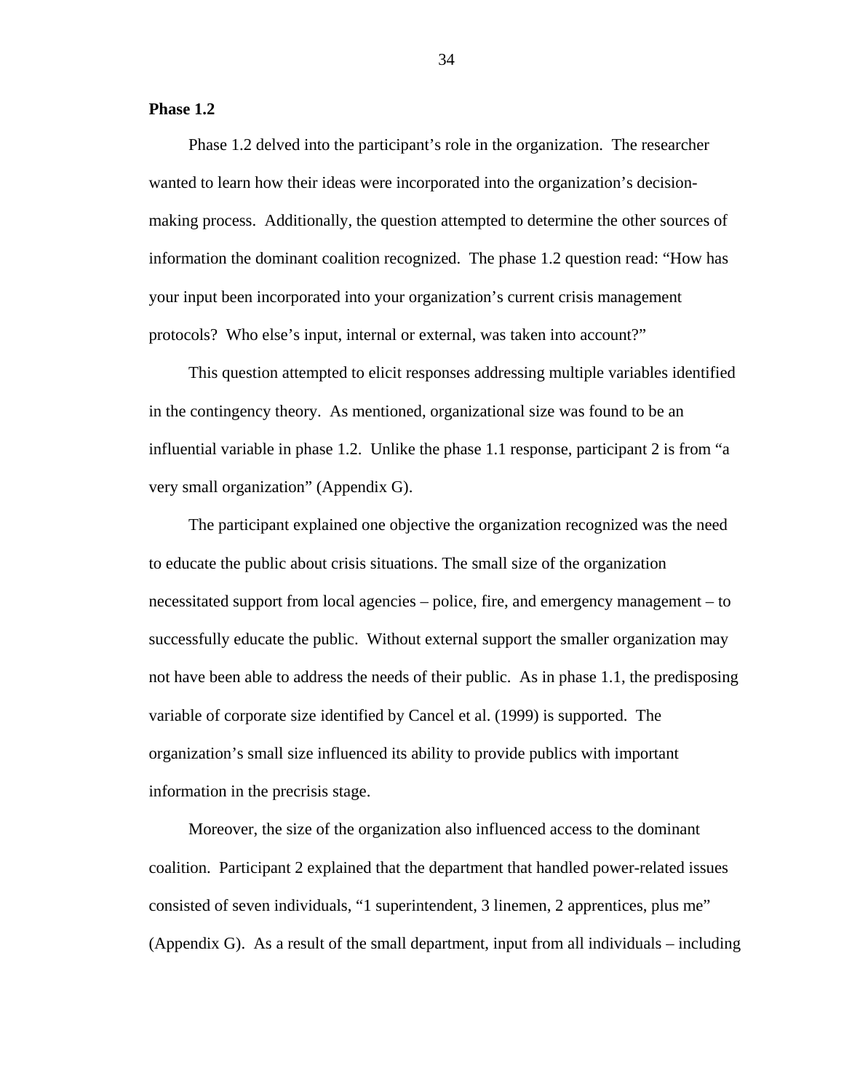#### **Phase 1.2**

Phase 1.2 delved into the participant's role in the organization. The researcher wanted to learn how their ideas were incorporated into the organization's decisionmaking process. Additionally, the question attempted to determine the other sources of information the dominant coalition recognized. The phase 1.2 question read: "How has your input been incorporated into your organization's current crisis management protocols? Who else's input, internal or external, was taken into account?"

This question attempted to elicit responses addressing multiple variables identified in the contingency theory. As mentioned, organizational size was found to be an influential variable in phase 1.2. Unlike the phase 1.1 response, participant 2 is from "a very small organization" (Appendix G).

The participant explained one objective the organization recognized was the need to educate the public about crisis situations. The small size of the organization necessitated support from local agencies – police, fire, and emergency management – to successfully educate the public. Without external support the smaller organization may not have been able to address the needs of their public. As in phase 1.1, the predisposing variable of corporate size identified by Cancel et al. (1999) is supported. The organization's small size influenced its ability to provide publics with important information in the precrisis stage.

Moreover, the size of the organization also influenced access to the dominant coalition. Participant 2 explained that the department that handled power-related issues consisted of seven individuals, "1 superintendent, 3 linemen, 2 apprentices, plus me" (Appendix G). As a result of the small department, input from all individuals – including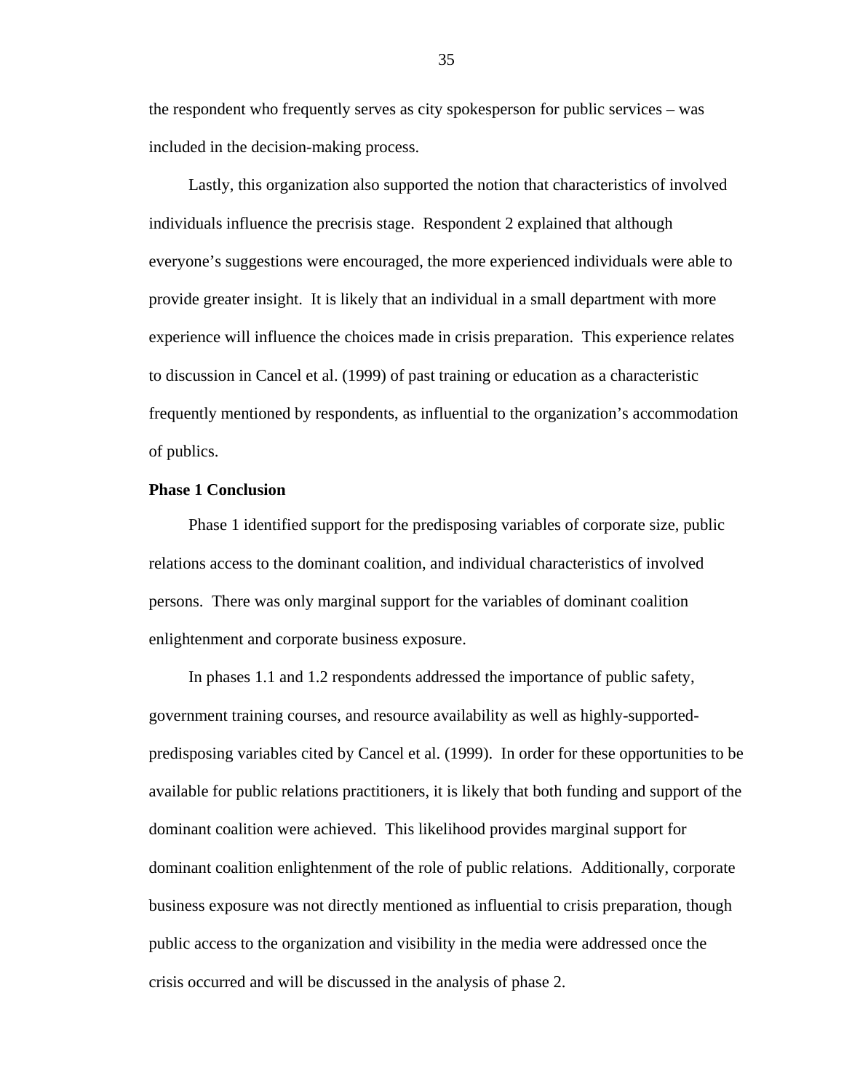the respondent who frequently serves as city spokesperson for public services – was included in the decision-making process.

Lastly, this organization also supported the notion that characteristics of involved individuals influence the precrisis stage. Respondent 2 explained that although everyone's suggestions were encouraged, the more experienced individuals were able to provide greater insight. It is likely that an individual in a small department with more experience will influence the choices made in crisis preparation. This experience relates to discussion in Cancel et al. (1999) of past training or education as a characteristic frequently mentioned by respondents, as influential to the organization's accommodation of publics.

#### **Phase 1 Conclusion**

Phase 1 identified support for the predisposing variables of corporate size, public relations access to the dominant coalition, and individual characteristics of involved persons. There was only marginal support for the variables of dominant coalition enlightenment and corporate business exposure.

In phases 1.1 and 1.2 respondents addressed the importance of public safety, government training courses, and resource availability as well as highly-supportedpredisposing variables cited by Cancel et al. (1999). In order for these opportunities to be available for public relations practitioners, it is likely that both funding and support of the dominant coalition were achieved. This likelihood provides marginal support for dominant coalition enlightenment of the role of public relations. Additionally, corporate business exposure was not directly mentioned as influential to crisis preparation, though public access to the organization and visibility in the media were addressed once the crisis occurred and will be discussed in the analysis of phase 2.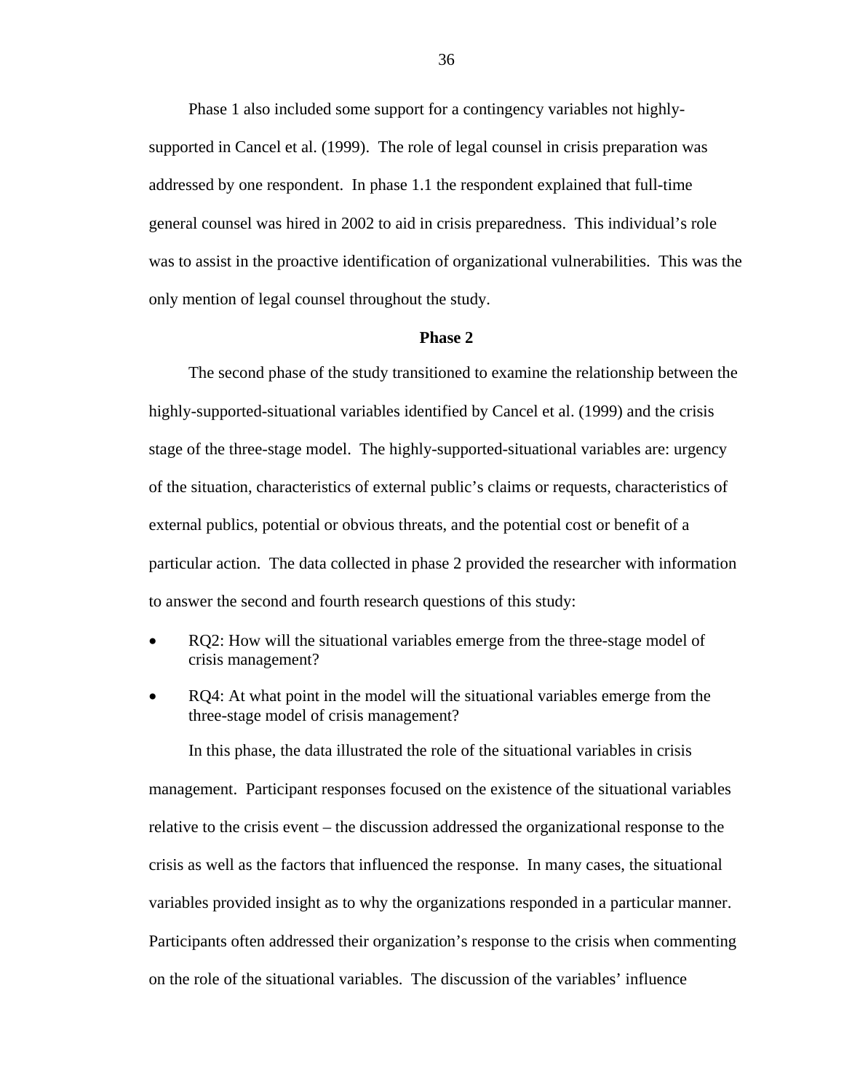Phase 1 also included some support for a contingency variables not highlysupported in Cancel et al. (1999). The role of legal counsel in crisis preparation was addressed by one respondent. In phase 1.1 the respondent explained that full-time general counsel was hired in 2002 to aid in crisis preparedness. This individual's role was to assist in the proactive identification of organizational vulnerabilities. This was the only mention of legal counsel throughout the study.

#### **Phase 2**

The second phase of the study transitioned to examine the relationship between the highly-supported-situational variables identified by Cancel et al. (1999) and the crisis stage of the three-stage model. The highly-supported-situational variables are: urgency of the situation, characteristics of external public's claims or requests, characteristics of external publics, potential or obvious threats, and the potential cost or benefit of a particular action. The data collected in phase 2 provided the researcher with information to answer the second and fourth research questions of this study:

- RQ2: How will the situational variables emerge from the three-stage model of crisis management?
- RQ4: At what point in the model will the situational variables emerge from the three-stage model of crisis management?

In this phase, the data illustrated the role of the situational variables in crisis management. Participant responses focused on the existence of the situational variables relative to the crisis event – the discussion addressed the organizational response to the crisis as well as the factors that influenced the response. In many cases, the situational variables provided insight as to why the organizations responded in a particular manner. Participants often addressed their organization's response to the crisis when commenting on the role of the situational variables. The discussion of the variables' influence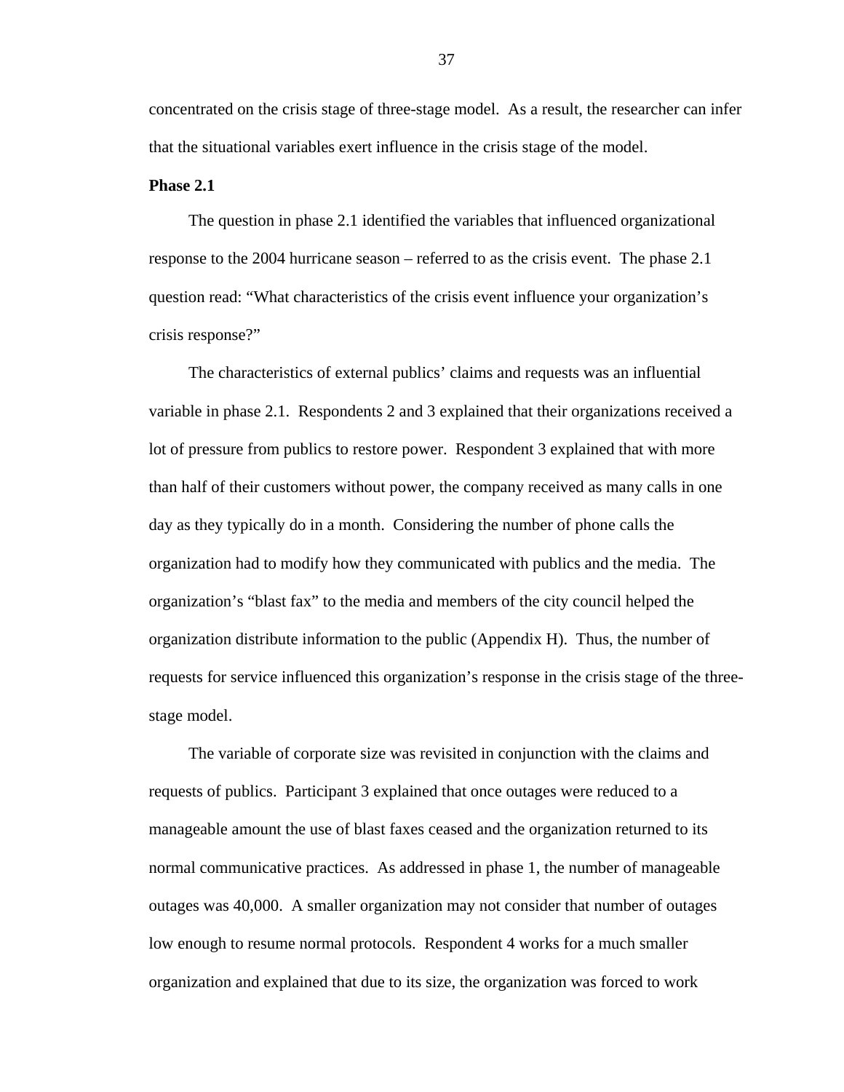concentrated on the crisis stage of three-stage model. As a result, the researcher can infer that the situational variables exert influence in the crisis stage of the model.

#### **Phase 2.1**

The question in phase 2.1 identified the variables that influenced organizational response to the 2004 hurricane season – referred to as the crisis event. The phase 2.1 question read: "What characteristics of the crisis event influence your organization's crisis response?"

The characteristics of external publics' claims and requests was an influential variable in phase 2.1. Respondents 2 and 3 explained that their organizations received a lot of pressure from publics to restore power. Respondent 3 explained that with more than half of their customers without power, the company received as many calls in one day as they typically do in a month. Considering the number of phone calls the organization had to modify how they communicated with publics and the media. The organization's "blast fax" to the media and members of the city council helped the organization distribute information to the public (Appendix H). Thus, the number of requests for service influenced this organization's response in the crisis stage of the threestage model.

The variable of corporate size was revisited in conjunction with the claims and requests of publics. Participant 3 explained that once outages were reduced to a manageable amount the use of blast faxes ceased and the organization returned to its normal communicative practices. As addressed in phase 1, the number of manageable outages was 40,000. A smaller organization may not consider that number of outages low enough to resume normal protocols. Respondent 4 works for a much smaller organization and explained that due to its size, the organization was forced to work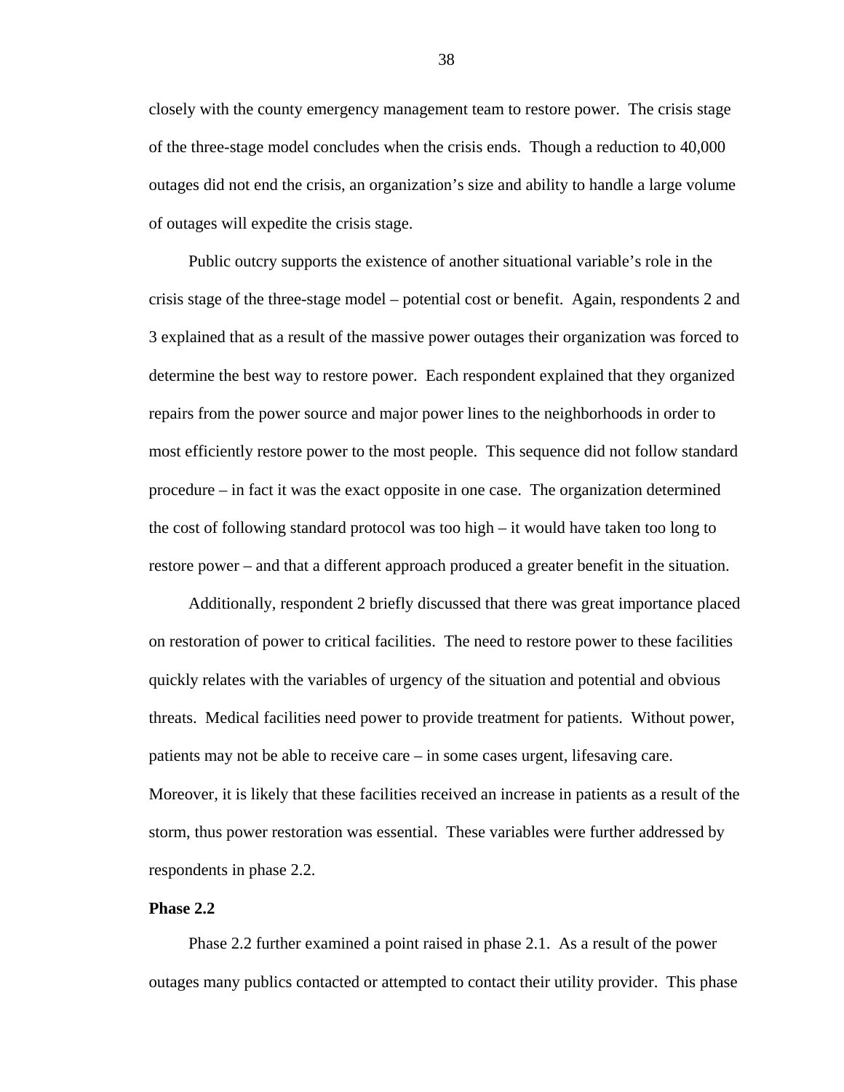closely with the county emergency management team to restore power. The crisis stage of the three-stage model concludes when the crisis ends. Though a reduction to 40,000 outages did not end the crisis, an organization's size and ability to handle a large volume of outages will expedite the crisis stage.

Public outcry supports the existence of another situational variable's role in the crisis stage of the three-stage model – potential cost or benefit. Again, respondents 2 and 3 explained that as a result of the massive power outages their organization was forced to determine the best way to restore power. Each respondent explained that they organized repairs from the power source and major power lines to the neighborhoods in order to most efficiently restore power to the most people. This sequence did not follow standard procedure – in fact it was the exact opposite in one case. The organization determined the cost of following standard protocol was too high – it would have taken too long to restore power – and that a different approach produced a greater benefit in the situation.

Additionally, respondent 2 briefly discussed that there was great importance placed on restoration of power to critical facilities. The need to restore power to these facilities quickly relates with the variables of urgency of the situation and potential and obvious threats. Medical facilities need power to provide treatment for patients. Without power, patients may not be able to receive care – in some cases urgent, lifesaving care. Moreover, it is likely that these facilities received an increase in patients as a result of the storm, thus power restoration was essential. These variables were further addressed by respondents in phase 2.2.

#### **Phase 2.2**

Phase 2.2 further examined a point raised in phase 2.1. As a result of the power outages many publics contacted or attempted to contact their utility provider. This phase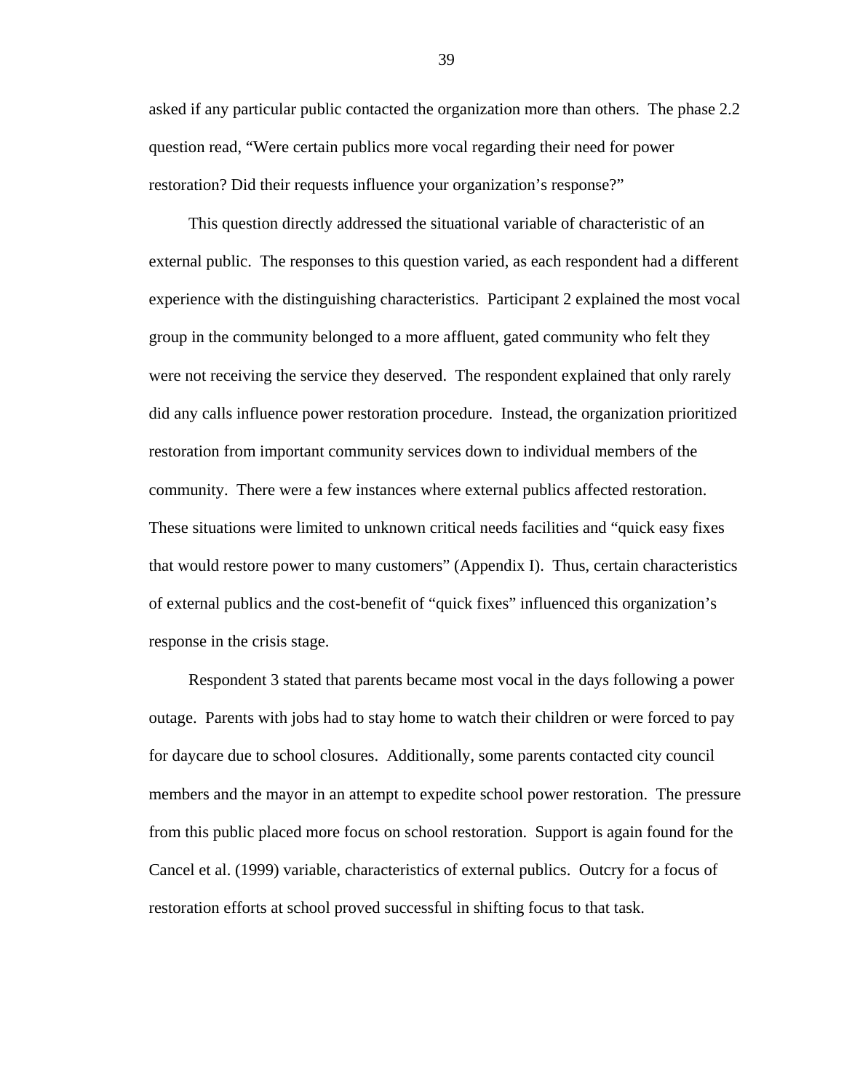asked if any particular public contacted the organization more than others. The phase 2.2 question read, "Were certain publics more vocal regarding their need for power restoration? Did their requests influence your organization's response?"

This question directly addressed the situational variable of characteristic of an external public. The responses to this question varied, as each respondent had a different experience with the distinguishing characteristics. Participant 2 explained the most vocal group in the community belonged to a more affluent, gated community who felt they were not receiving the service they deserved. The respondent explained that only rarely did any calls influence power restoration procedure. Instead, the organization prioritized restoration from important community services down to individual members of the community. There were a few instances where external publics affected restoration. These situations were limited to unknown critical needs facilities and "quick easy fixes that would restore power to many customers" (Appendix I). Thus, certain characteristics of external publics and the cost-benefit of "quick fixes" influenced this organization's response in the crisis stage.

Respondent 3 stated that parents became most vocal in the days following a power outage. Parents with jobs had to stay home to watch their children or were forced to pay for daycare due to school closures. Additionally, some parents contacted city council members and the mayor in an attempt to expedite school power restoration. The pressure from this public placed more focus on school restoration. Support is again found for the Cancel et al. (1999) variable, characteristics of external publics. Outcry for a focus of restoration efforts at school proved successful in shifting focus to that task.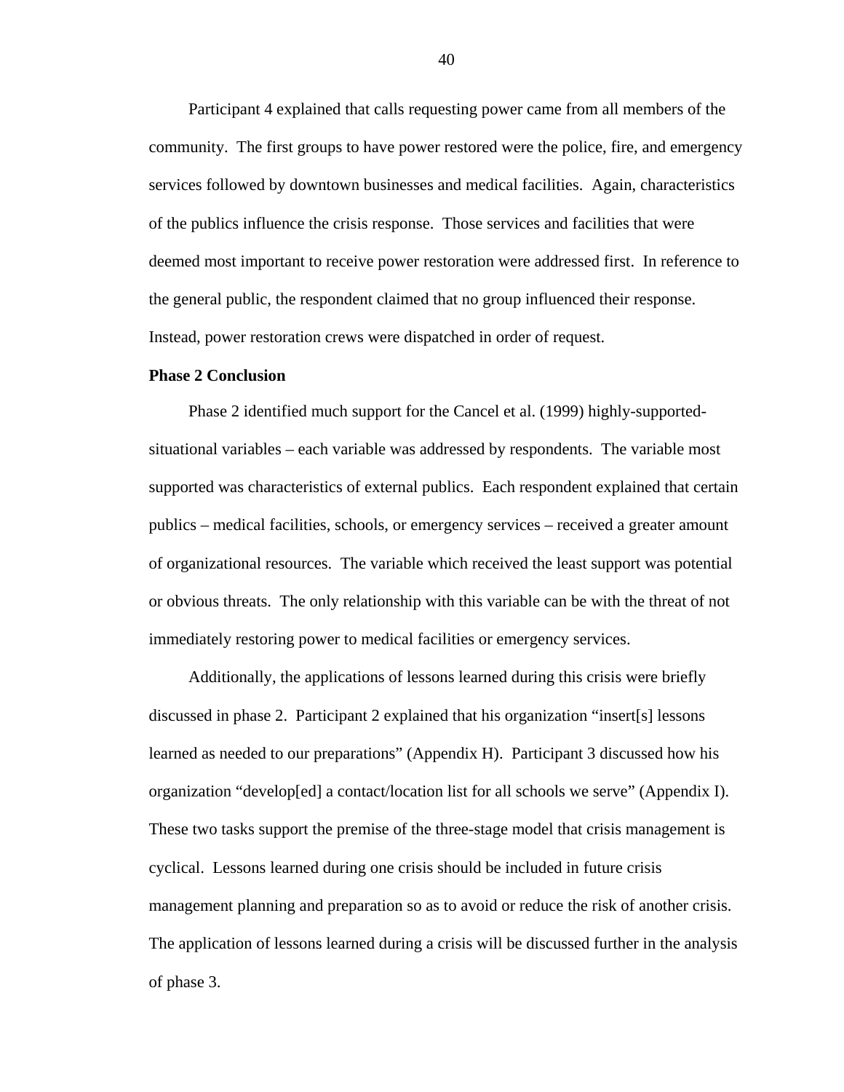Participant 4 explained that calls requesting power came from all members of the community. The first groups to have power restored were the police, fire, and emergency services followed by downtown businesses and medical facilities. Again, characteristics of the publics influence the crisis response. Those services and facilities that were deemed most important to receive power restoration were addressed first. In reference to the general public, the respondent claimed that no group influenced their response. Instead, power restoration crews were dispatched in order of request.

#### **Phase 2 Conclusion**

Phase 2 identified much support for the Cancel et al. (1999) highly-supportedsituational variables – each variable was addressed by respondents. The variable most supported was characteristics of external publics. Each respondent explained that certain publics – medical facilities, schools, or emergency services – received a greater amount of organizational resources. The variable which received the least support was potential or obvious threats. The only relationship with this variable can be with the threat of not immediately restoring power to medical facilities or emergency services.

Additionally, the applications of lessons learned during this crisis were briefly discussed in phase 2. Participant 2 explained that his organization "insert[s] lessons learned as needed to our preparations" (Appendix H). Participant 3 discussed how his organization "develop[ed] a contact/location list for all schools we serve" (Appendix I). These two tasks support the premise of the three-stage model that crisis management is cyclical. Lessons learned during one crisis should be included in future crisis management planning and preparation so as to avoid or reduce the risk of another crisis. The application of lessons learned during a crisis will be discussed further in the analysis of phase 3.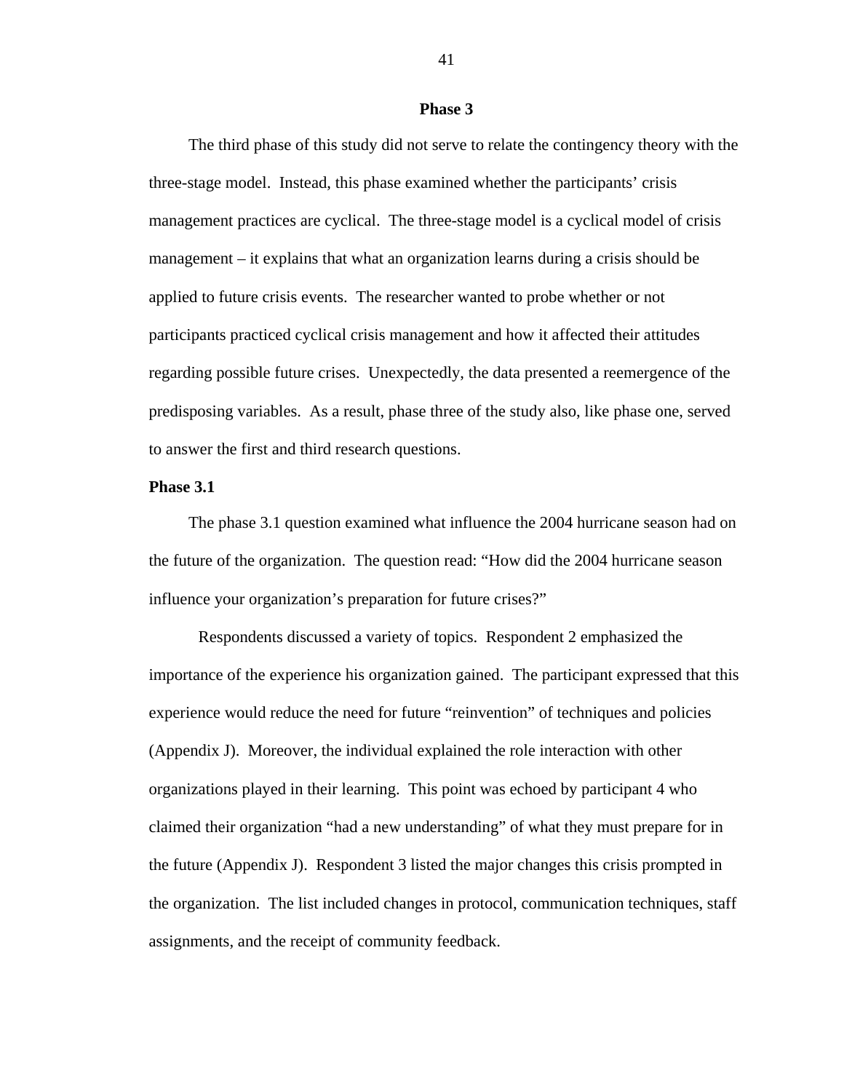#### **Phase 3**

The third phase of this study did not serve to relate the contingency theory with the three-stage model. Instead, this phase examined whether the participants' crisis management practices are cyclical. The three-stage model is a cyclical model of crisis management – it explains that what an organization learns during a crisis should be applied to future crisis events. The researcher wanted to probe whether or not participants practiced cyclical crisis management and how it affected their attitudes regarding possible future crises. Unexpectedly, the data presented a reemergence of the predisposing variables. As a result, phase three of the study also, like phase one, served to answer the first and third research questions.

#### **Phase 3.1**

The phase 3.1 question examined what influence the 2004 hurricane season had on the future of the organization. The question read: "How did the 2004 hurricane season influence your organization's preparation for future crises?"

 Respondents discussed a variety of topics. Respondent 2 emphasized the importance of the experience his organization gained. The participant expressed that this experience would reduce the need for future "reinvention" of techniques and policies (Appendix J). Moreover, the individual explained the role interaction with other organizations played in their learning. This point was echoed by participant 4 who claimed their organization "had a new understanding" of what they must prepare for in the future (Appendix J). Respondent 3 listed the major changes this crisis prompted in the organization. The list included changes in protocol, communication techniques, staff assignments, and the receipt of community feedback.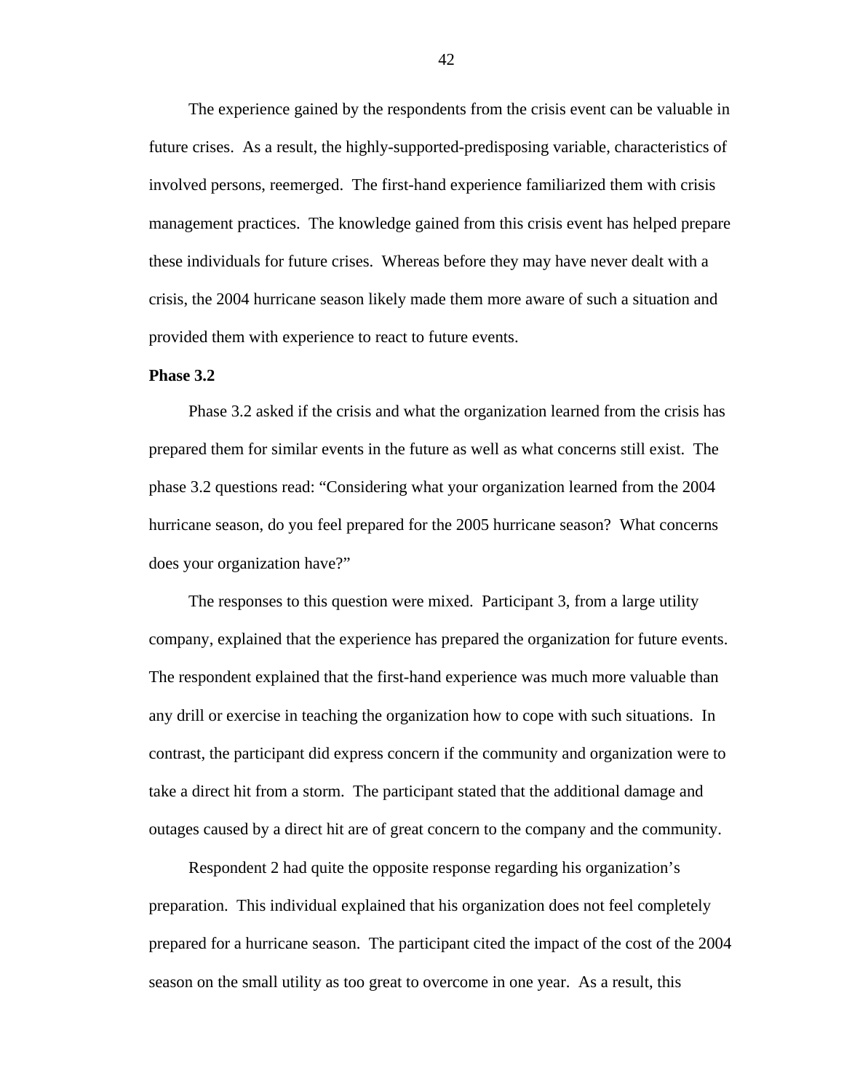The experience gained by the respondents from the crisis event can be valuable in future crises. As a result, the highly-supported-predisposing variable, characteristics of involved persons, reemerged. The first-hand experience familiarized them with crisis management practices. The knowledge gained from this crisis event has helped prepare these individuals for future crises. Whereas before they may have never dealt with a crisis, the 2004 hurricane season likely made them more aware of such a situation and provided them with experience to react to future events.

#### **Phase 3.2**

Phase 3.2 asked if the crisis and what the organization learned from the crisis has prepared them for similar events in the future as well as what concerns still exist. The phase 3.2 questions read: "Considering what your organization learned from the 2004 hurricane season, do you feel prepared for the 2005 hurricane season? What concerns does your organization have?"

The responses to this question were mixed. Participant 3, from a large utility company, explained that the experience has prepared the organization for future events. The respondent explained that the first-hand experience was much more valuable than any drill or exercise in teaching the organization how to cope with such situations. In contrast, the participant did express concern if the community and organization were to take a direct hit from a storm. The participant stated that the additional damage and outages caused by a direct hit are of great concern to the company and the community.

Respondent 2 had quite the opposite response regarding his organization's preparation. This individual explained that his organization does not feel completely prepared for a hurricane season. The participant cited the impact of the cost of the 2004 season on the small utility as too great to overcome in one year. As a result, this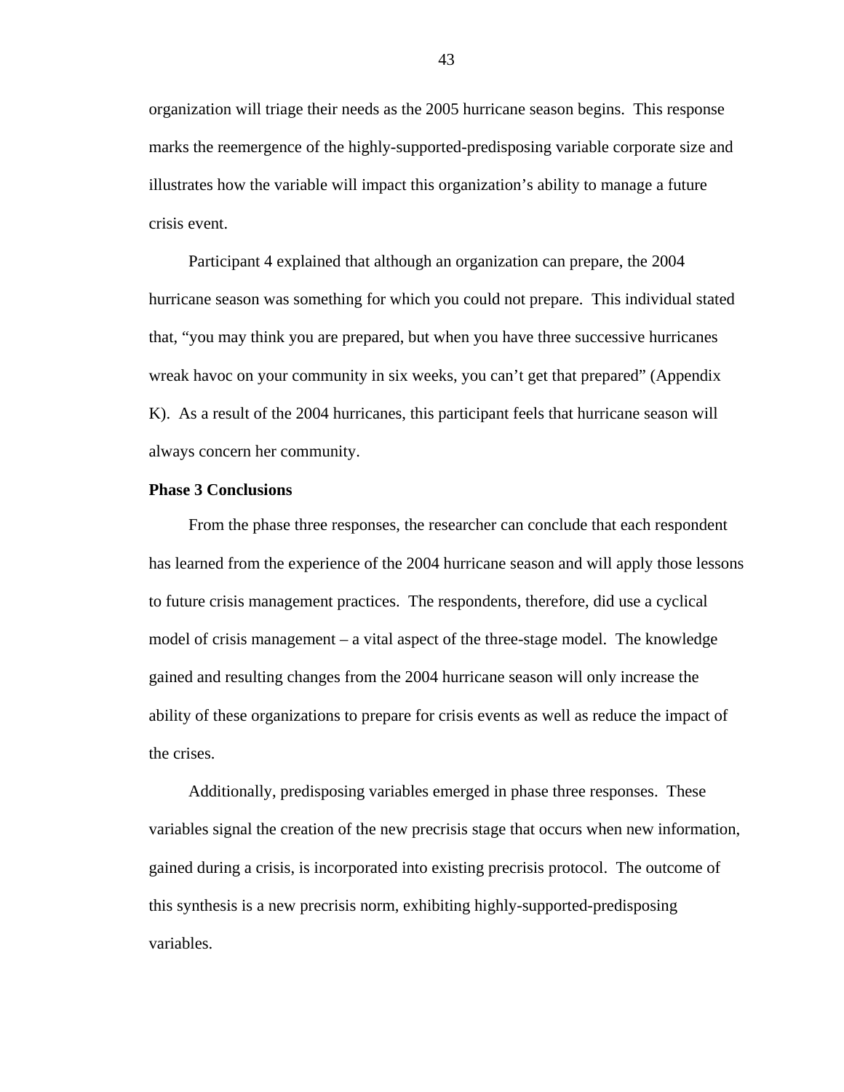organization will triage their needs as the 2005 hurricane season begins. This response marks the reemergence of the highly-supported-predisposing variable corporate size and illustrates how the variable will impact this organization's ability to manage a future crisis event.

Participant 4 explained that although an organization can prepare, the 2004 hurricane season was something for which you could not prepare. This individual stated that, "you may think you are prepared, but when you have three successive hurricanes wreak havoc on your community in six weeks, you can't get that prepared" (Appendix K). As a result of the 2004 hurricanes, this participant feels that hurricane season will always concern her community.

#### **Phase 3 Conclusions**

From the phase three responses, the researcher can conclude that each respondent has learned from the experience of the 2004 hurricane season and will apply those lessons to future crisis management practices. The respondents, therefore, did use a cyclical model of crisis management – a vital aspect of the three-stage model. The knowledge gained and resulting changes from the 2004 hurricane season will only increase the ability of these organizations to prepare for crisis events as well as reduce the impact of the crises.

Additionally, predisposing variables emerged in phase three responses. These variables signal the creation of the new precrisis stage that occurs when new information, gained during a crisis, is incorporated into existing precrisis protocol. The outcome of this synthesis is a new precrisis norm, exhibiting highly-supported-predisposing variables.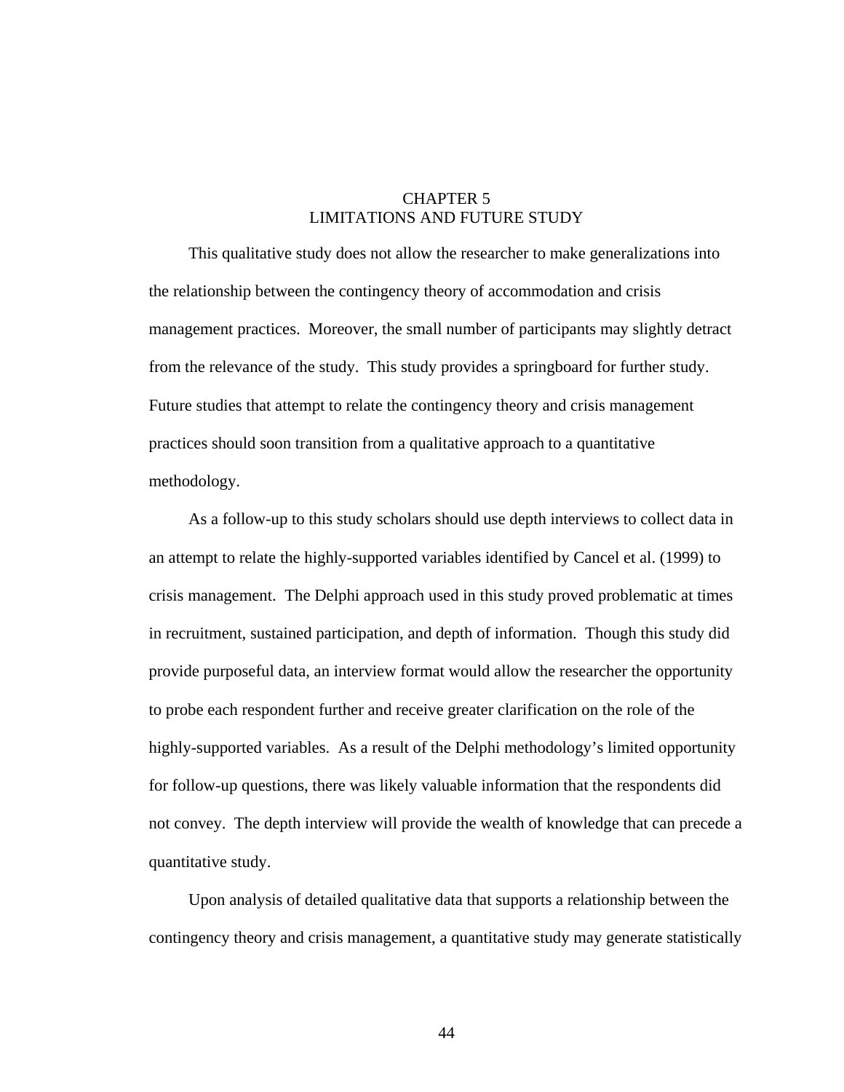### CHAPTER 5 LIMITATIONS AND FUTURE STUDY

This qualitative study does not allow the researcher to make generalizations into the relationship between the contingency theory of accommodation and crisis management practices. Moreover, the small number of participants may slightly detract from the relevance of the study. This study provides a springboard for further study. Future studies that attempt to relate the contingency theory and crisis management practices should soon transition from a qualitative approach to a quantitative methodology.

As a follow-up to this study scholars should use depth interviews to collect data in an attempt to relate the highly-supported variables identified by Cancel et al. (1999) to crisis management. The Delphi approach used in this study proved problematic at times in recruitment, sustained participation, and depth of information. Though this study did provide purposeful data, an interview format would allow the researcher the opportunity to probe each respondent further and receive greater clarification on the role of the highly-supported variables. As a result of the Delphi methodology's limited opportunity for follow-up questions, there was likely valuable information that the respondents did not convey. The depth interview will provide the wealth of knowledge that can precede a quantitative study.

Upon analysis of detailed qualitative data that supports a relationship between the contingency theory and crisis management, a quantitative study may generate statistically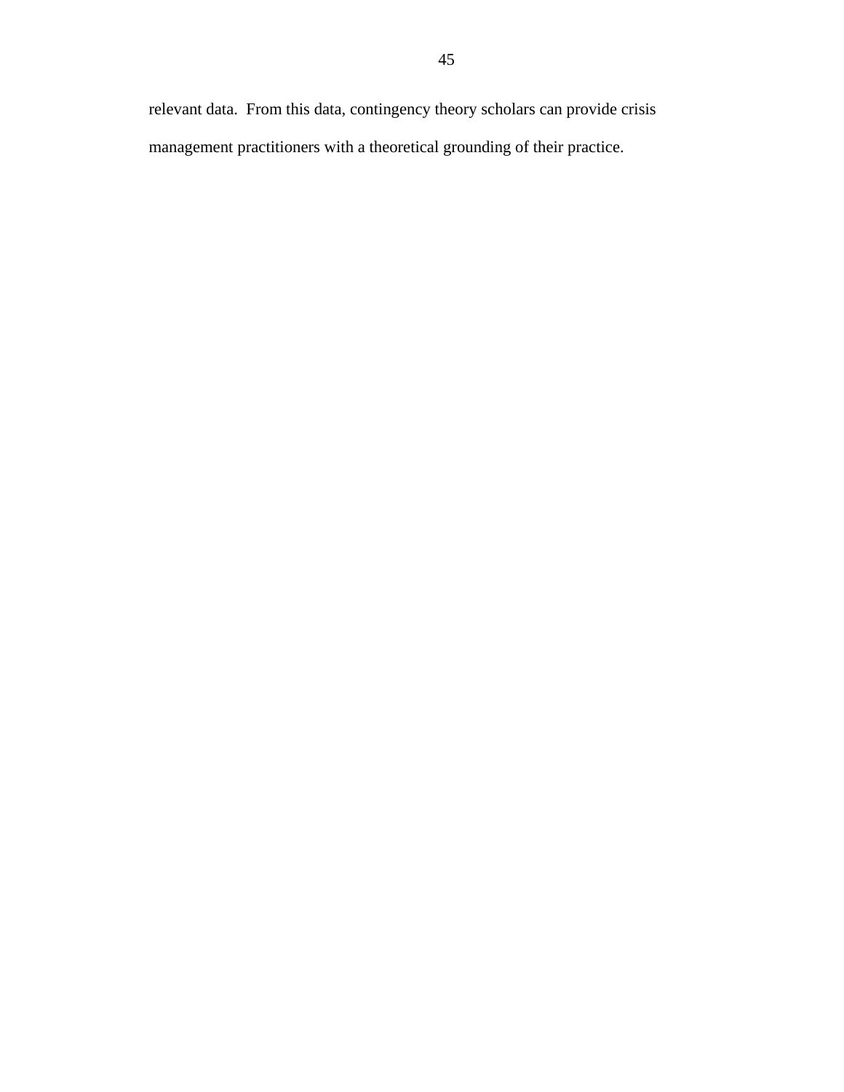relevant data. From this data, contingency theory scholars can provide crisis management practitioners with a theoretical grounding of their practice.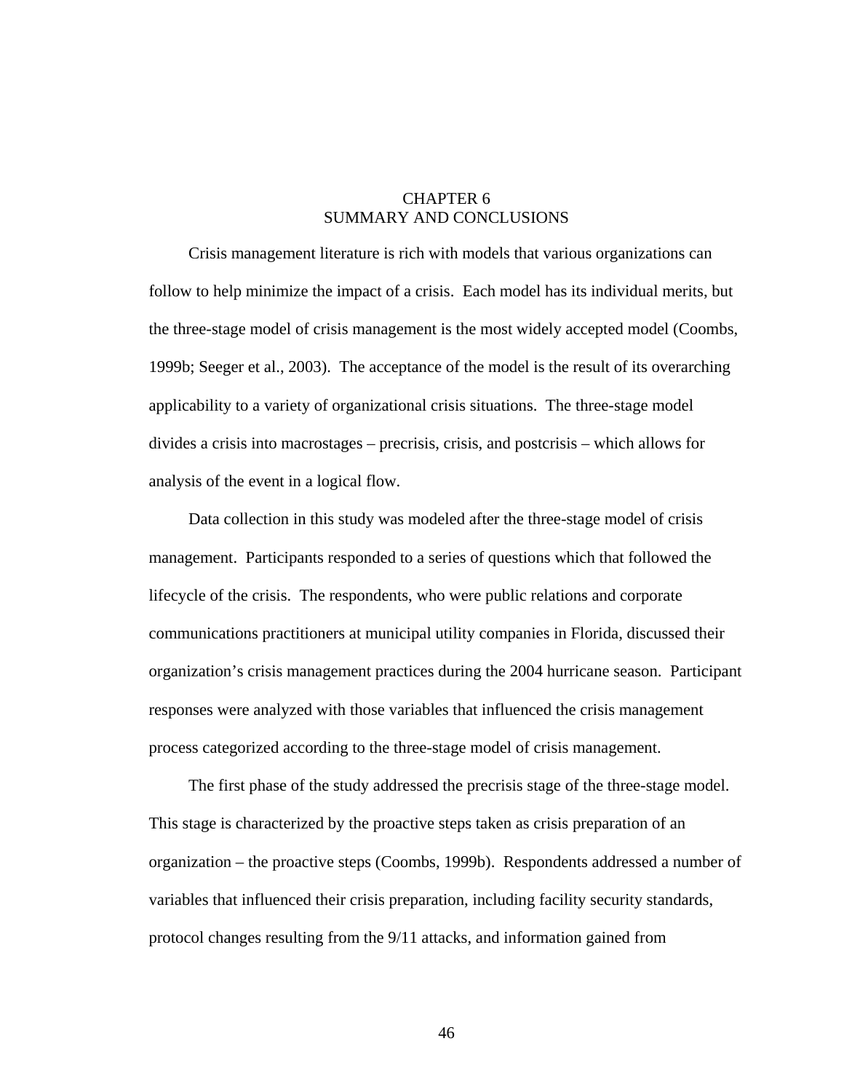### CHAPTER 6 SUMMARY AND CONCLUSIONS

Crisis management literature is rich with models that various organizations can follow to help minimize the impact of a crisis. Each model has its individual merits, but the three-stage model of crisis management is the most widely accepted model (Coombs, 1999b; Seeger et al., 2003). The acceptance of the model is the result of its overarching applicability to a variety of organizational crisis situations. The three-stage model divides a crisis into macrostages – precrisis, crisis, and postcrisis – which allows for analysis of the event in a logical flow.

Data collection in this study was modeled after the three-stage model of crisis management. Participants responded to a series of questions which that followed the lifecycle of the crisis. The respondents, who were public relations and corporate communications practitioners at municipal utility companies in Florida, discussed their organization's crisis management practices during the 2004 hurricane season. Participant responses were analyzed with those variables that influenced the crisis management process categorized according to the three-stage model of crisis management.

The first phase of the study addressed the precrisis stage of the three-stage model. This stage is characterized by the proactive steps taken as crisis preparation of an organization – the proactive steps (Coombs, 1999b). Respondents addressed a number of variables that influenced their crisis preparation, including facility security standards, protocol changes resulting from the 9/11 attacks, and information gained from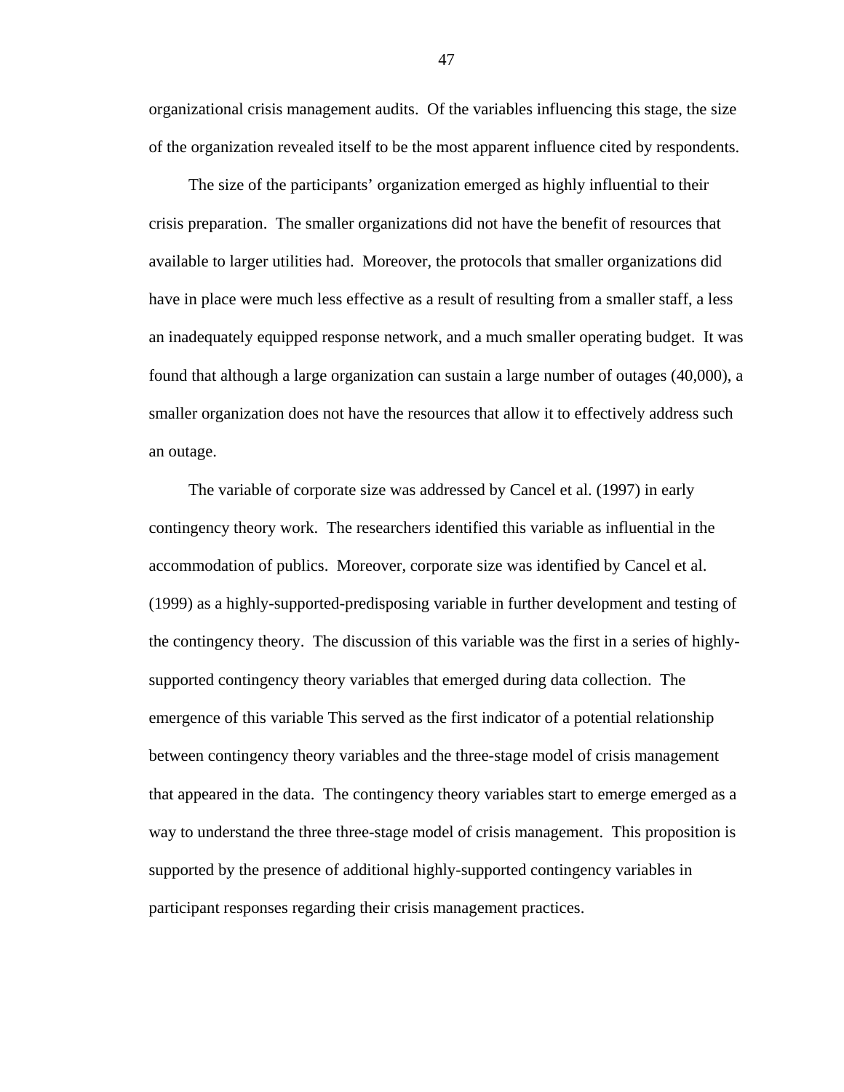organizational crisis management audits. Of the variables influencing this stage, the size of the organization revealed itself to be the most apparent influence cited by respondents.

The size of the participants' organization emerged as highly influential to their crisis preparation. The smaller organizations did not have the benefit of resources that available to larger utilities had. Moreover, the protocols that smaller organizations did have in place were much less effective as a result of resulting from a smaller staff, a less an inadequately equipped response network, and a much smaller operating budget. It was found that although a large organization can sustain a large number of outages (40,000), a smaller organization does not have the resources that allow it to effectively address such an outage.

The variable of corporate size was addressed by Cancel et al. (1997) in early contingency theory work. The researchers identified this variable as influential in the accommodation of publics. Moreover, corporate size was identified by Cancel et al. (1999) as a highly-supported-predisposing variable in further development and testing of the contingency theory. The discussion of this variable was the first in a series of highlysupported contingency theory variables that emerged during data collection. The emergence of this variable This served as the first indicator of a potential relationship between contingency theory variables and the three-stage model of crisis management that appeared in the data. The contingency theory variables start to emerge emerged as a way to understand the three three-stage model of crisis management. This proposition is supported by the presence of additional highly-supported contingency variables in participant responses regarding their crisis management practices.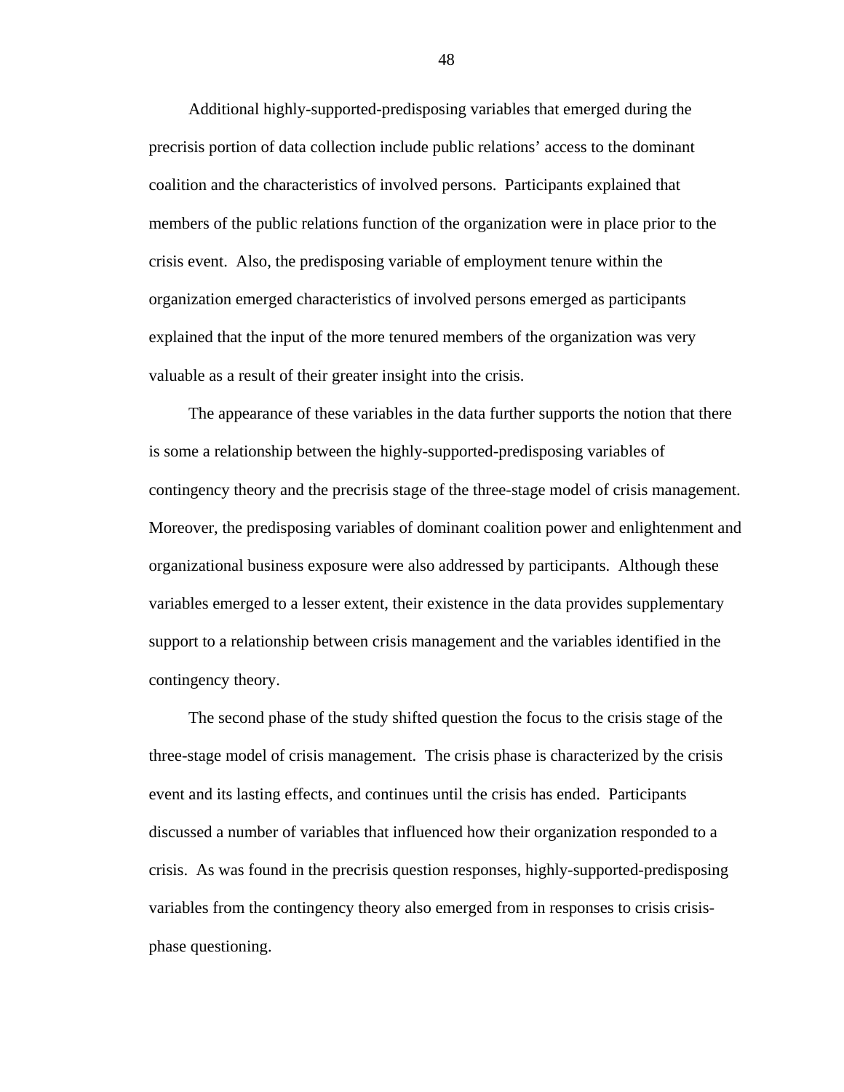Additional highly-supported-predisposing variables that emerged during the precrisis portion of data collection include public relations' access to the dominant coalition and the characteristics of involved persons. Participants explained that members of the public relations function of the organization were in place prior to the crisis event. Also, the predisposing variable of employment tenure within the organization emerged characteristics of involved persons emerged as participants explained that the input of the more tenured members of the organization was very valuable as a result of their greater insight into the crisis.

The appearance of these variables in the data further supports the notion that there is some a relationship between the highly-supported-predisposing variables of contingency theory and the precrisis stage of the three-stage model of crisis management. Moreover, the predisposing variables of dominant coalition power and enlightenment and organizational business exposure were also addressed by participants. Although these variables emerged to a lesser extent, their existence in the data provides supplementary support to a relationship between crisis management and the variables identified in the contingency theory.

The second phase of the study shifted question the focus to the crisis stage of the three-stage model of crisis management. The crisis phase is characterized by the crisis event and its lasting effects, and continues until the crisis has ended. Participants discussed a number of variables that influenced how their organization responded to a crisis. As was found in the precrisis question responses, highly-supported-predisposing variables from the contingency theory also emerged from in responses to crisis crisisphase questioning.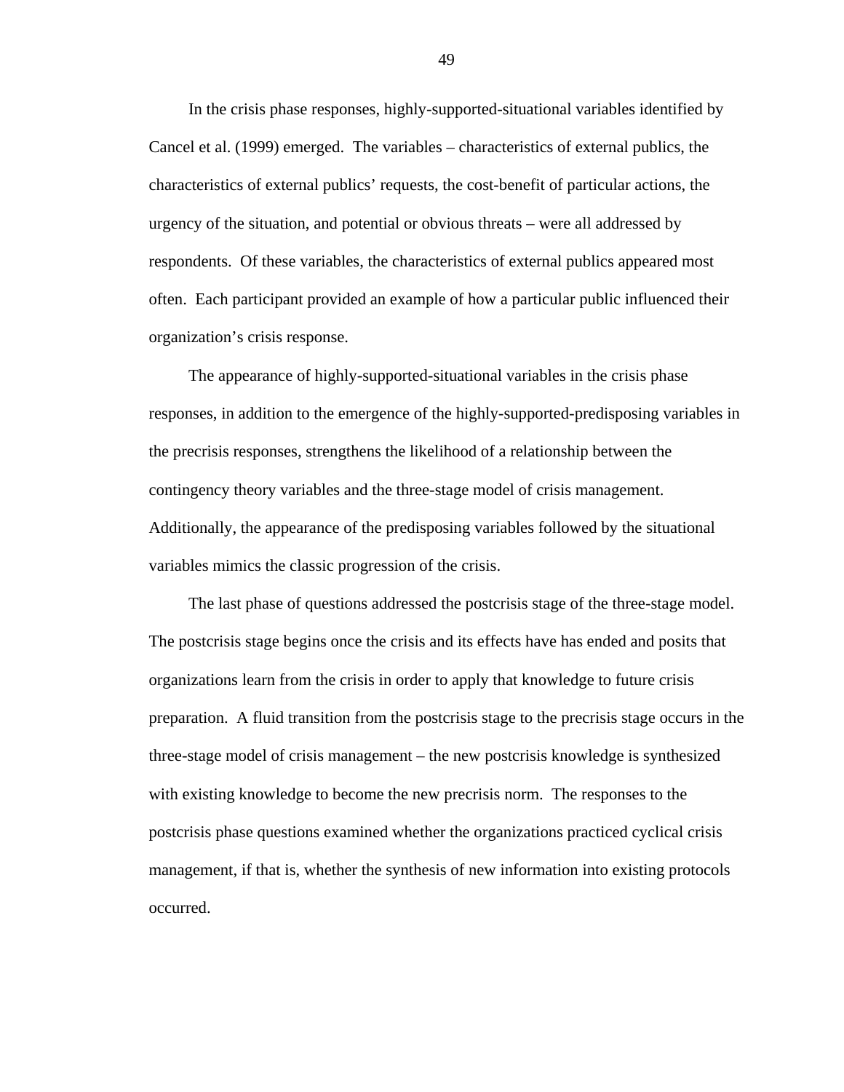In the crisis phase responses, highly-supported-situational variables identified by Cancel et al. (1999) emerged. The variables – characteristics of external publics, the characteristics of external publics' requests, the cost-benefit of particular actions, the urgency of the situation, and potential or obvious threats – were all addressed by respondents. Of these variables, the characteristics of external publics appeared most often. Each participant provided an example of how a particular public influenced their organization's crisis response.

The appearance of highly-supported-situational variables in the crisis phase responses, in addition to the emergence of the highly-supported-predisposing variables in the precrisis responses, strengthens the likelihood of a relationship between the contingency theory variables and the three-stage model of crisis management. Additionally, the appearance of the predisposing variables followed by the situational variables mimics the classic progression of the crisis.

The last phase of questions addressed the postcrisis stage of the three-stage model. The postcrisis stage begins once the crisis and its effects have has ended and posits that organizations learn from the crisis in order to apply that knowledge to future crisis preparation. A fluid transition from the postcrisis stage to the precrisis stage occurs in the three-stage model of crisis management – the new postcrisis knowledge is synthesized with existing knowledge to become the new precrisis norm. The responses to the postcrisis phase questions examined whether the organizations practiced cyclical crisis management, if that is, whether the synthesis of new information into existing protocols occurred.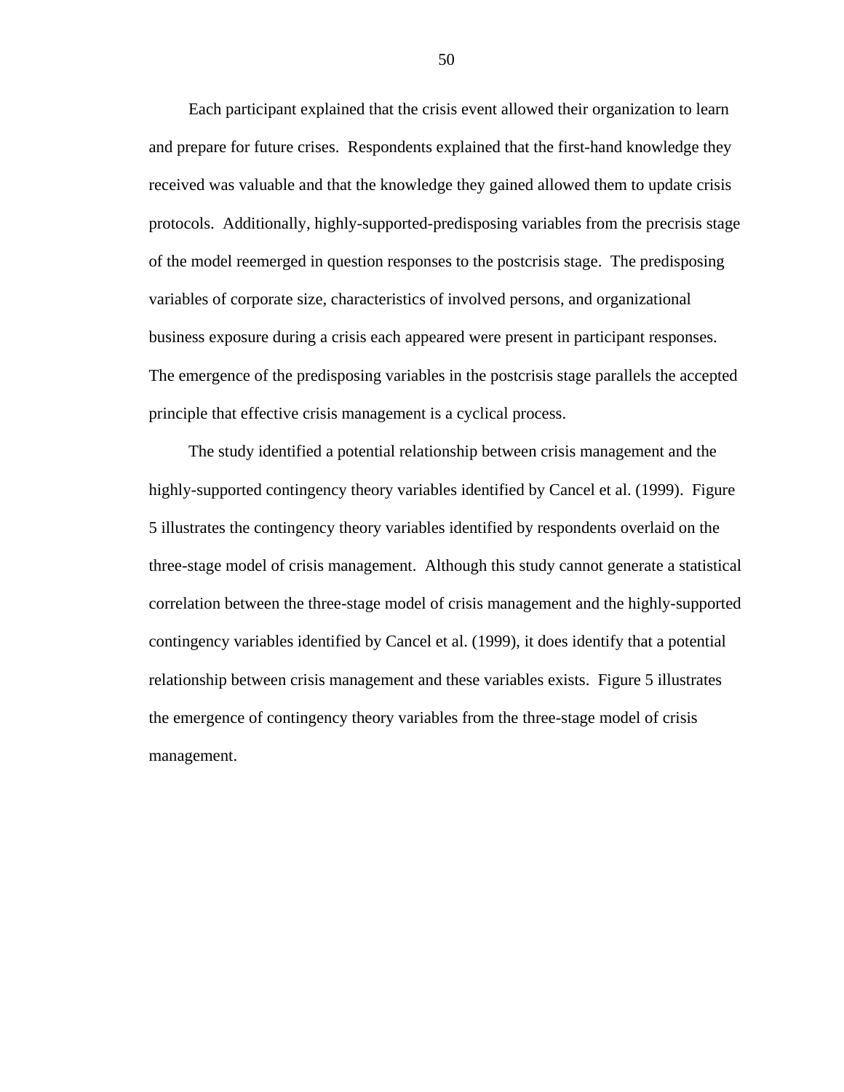Each participant explained that the crisis event allowed their organization to learn and prepare for future crises. Respondents explained that the first-hand knowledge they received was valuable and that the knowledge they gained allowed them to update crisis protocols. Additionally, highly-supported-predisposing variables from the precrisis stage of the model reemerged in question responses to the postcrisis stage. The predisposing variables of corporate size, characteristics of involved persons, and organizational business exposure during a crisis each appeared were present in participant responses. The emergence of the predisposing variables in the postcrisis stage parallels the accepted principle that effective crisis management is a cyclical process.

The study identified a potential relationship between crisis management and the highly-supported contingency theory variables identified by Cancel et al. (1999). Figure 5 illustrates the contingency theory variables identified by respondents overlaid on the three-stage model of crisis management. Although this study cannot generate a statistical correlation between the three-stage model of crisis management and the highly-supported contingency variables identified by Cancel et al. (1999), it does identify that a potential relationship between crisis management and these variables exists. Figure 5 illustrates the emergence of contingency theory variables from the three-stage model of crisis management.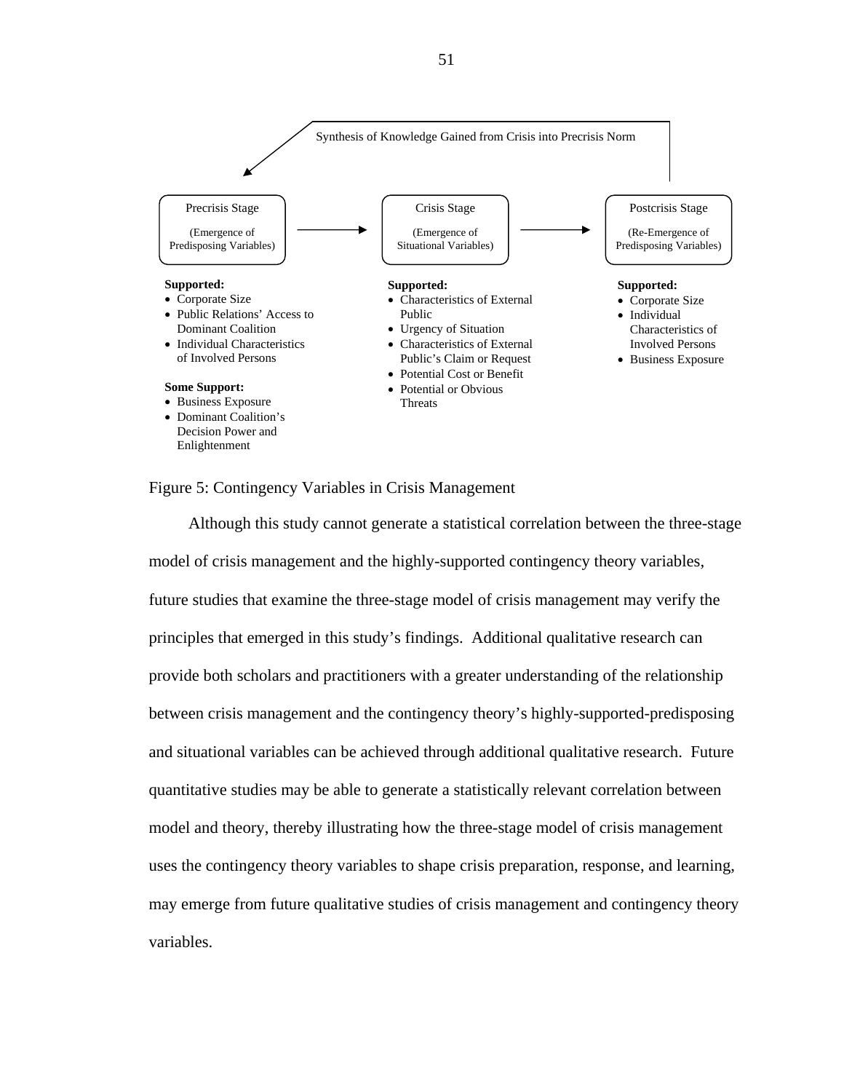

#### Figure 5: Contingency Variables in Crisis Management

Although this study cannot generate a statistical correlation between the three-stage model of crisis management and the highly-supported contingency theory variables, future studies that examine the three-stage model of crisis management may verify the principles that emerged in this study's findings. Additional qualitative research can provide both scholars and practitioners with a greater understanding of the relationship between crisis management and the contingency theory's highly-supported-predisposing and situational variables can be achieved through additional qualitative research. Future quantitative studies may be able to generate a statistically relevant correlation between model and theory, thereby illustrating how the three-stage model of crisis management uses the contingency theory variables to shape crisis preparation, response, and learning, may emerge from future qualitative studies of crisis management and contingency theory variables.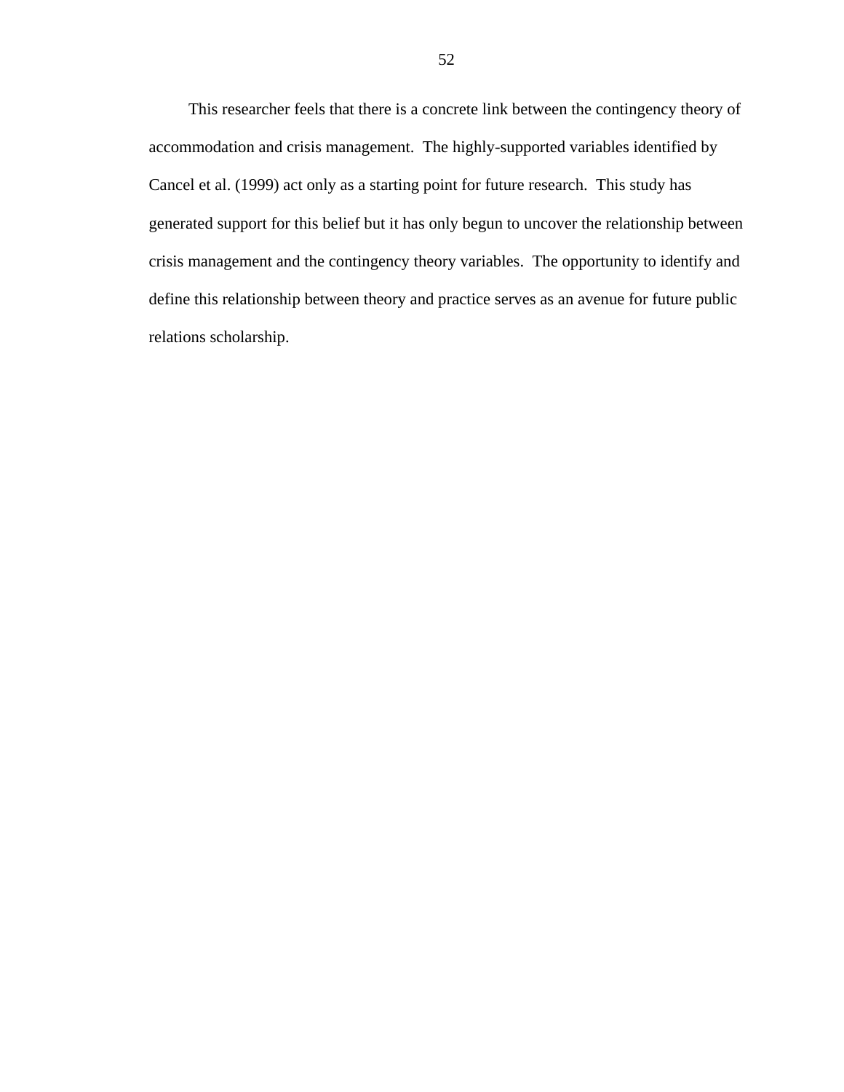This researcher feels that there is a concrete link between the contingency theory of accommodation and crisis management. The highly-supported variables identified by Cancel et al. (1999) act only as a starting point for future research. This study has generated support for this belief but it has only begun to uncover the relationship between crisis management and the contingency theory variables. The opportunity to identify and define this relationship between theory and practice serves as an avenue for future public relations scholarship.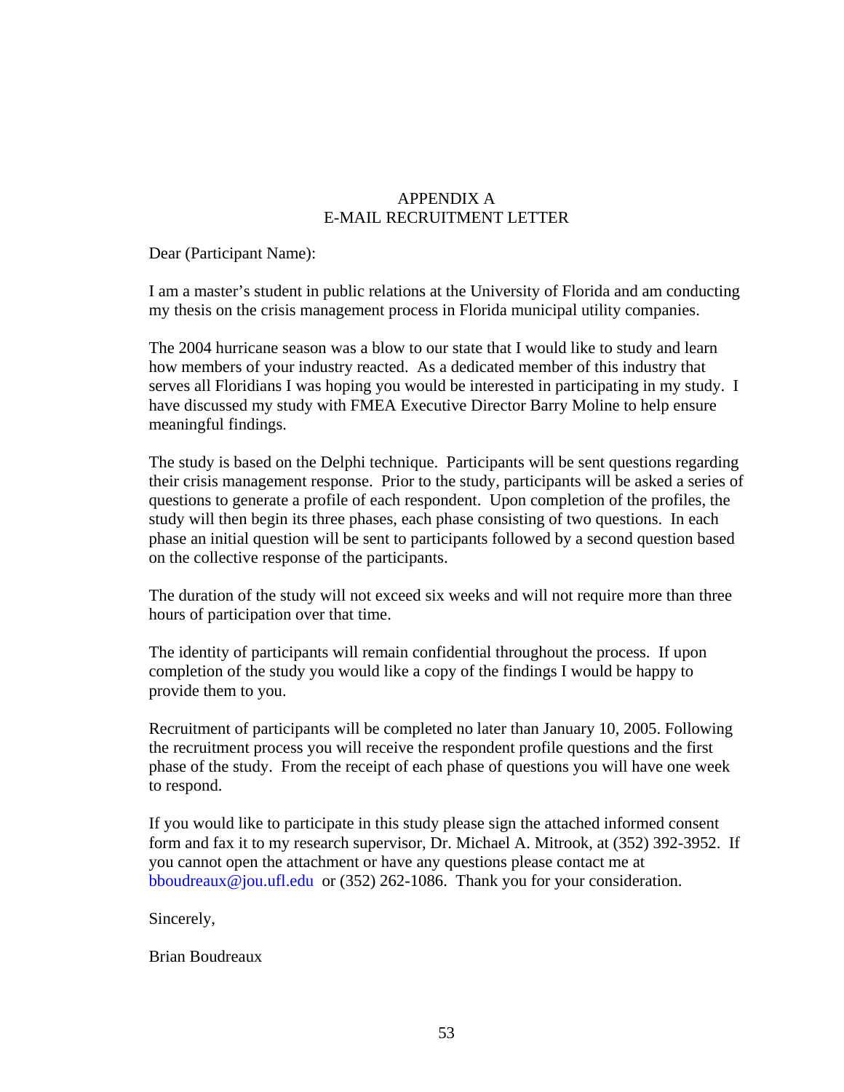## APPENDIX A E-MAIL RECRUITMENT LETTER

Dear (Participant Name):

I am a master's student in public relations at the University of Florida and am conducting my thesis on the crisis management process in Florida municipal utility companies.

The 2004 hurricane season was a blow to our state that I would like to study and learn how members of your industry reacted. As a dedicated member of this industry that serves all Floridians I was hoping you would be interested in participating in my study. I have discussed my study with FMEA Executive Director Barry Moline to help ensure meaningful findings.

The study is based on the Delphi technique. Participants will be sent questions regarding their crisis management response. Prior to the study, participants will be asked a series of questions to generate a profile of each respondent. Upon completion of the profiles, the study will then begin its three phases, each phase consisting of two questions. In each phase an initial question will be sent to participants followed by a second question based on the collective response of the participants.

The duration of the study will not exceed six weeks and will not require more than three hours of participation over that time.

The identity of participants will remain confidential throughout the process. If upon completion of the study you would like a copy of the findings I would be happy to provide them to you.

Recruitment of participants will be completed no later than January 10, 2005. Following the recruitment process you will receive the respondent profile questions and the first phase of the study. From the receipt of each phase of questions you will have one week to respond.

If you would like to participate in this study please sign the attached informed consent form and fax it to my research supervisor, Dr. Michael A. Mitrook, at (352) 392-3952. If you cannot open the attachment or have any questions please contact me at bboudreaux@jou.ufl.edu or (352) 262-1086. Thank you for your consideration.

Sincerely,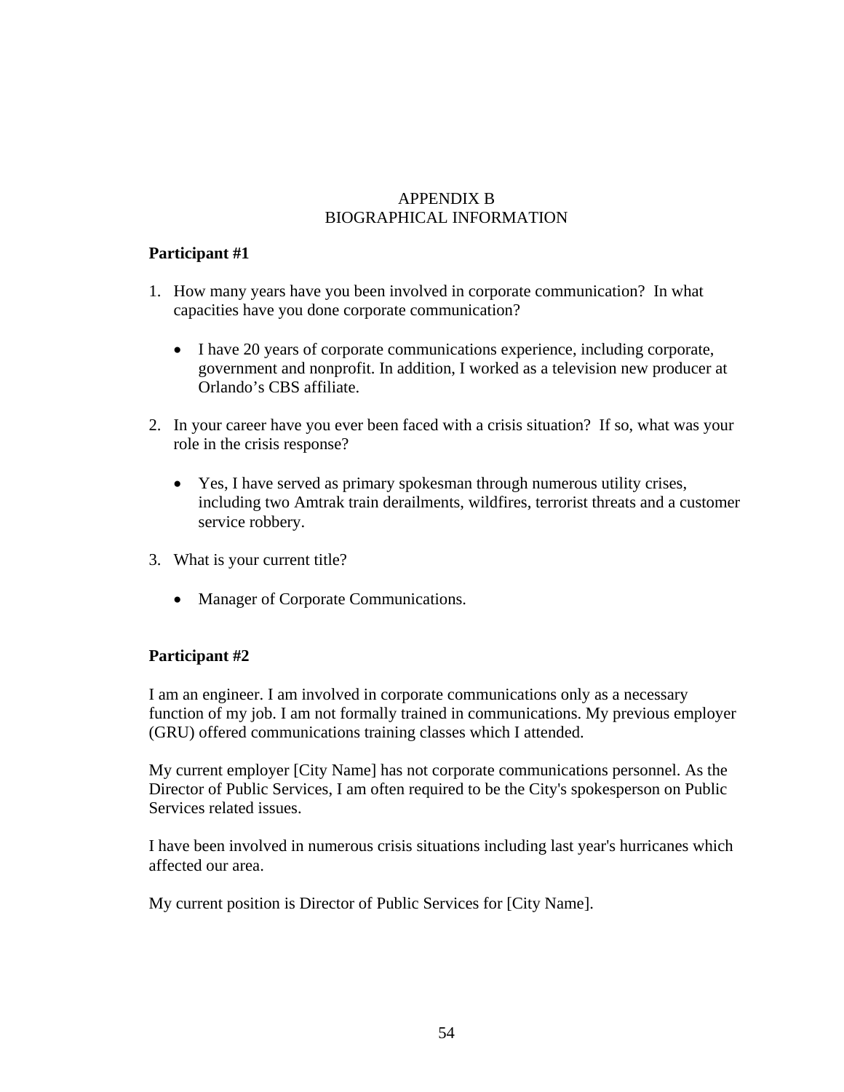# APPENDIX B BIOGRAPHICAL INFORMATION

## **Participant #1**

- 1. How many years have you been involved in corporate communication? In what capacities have you done corporate communication?
	- I have 20 years of corporate communications experience, including corporate, government and nonprofit. In addition, I worked as a television new producer at Orlando's CBS affiliate.
- 2. In your career have you ever been faced with a crisis situation? If so, what was your role in the crisis response?
	- Yes, I have served as primary spokesman through numerous utility crises, including two Amtrak train derailments, wildfires, terrorist threats and a customer service robbery.
- 3. What is your current title?
	- Manager of Corporate Communications.

## **Participant #2**

I am an engineer. I am involved in corporate communications only as a necessary function of my job. I am not formally trained in communications. My previous employer (GRU) offered communications training classes which I attended.

My current employer [City Name] has not corporate communications personnel. As the Director of Public Services, I am often required to be the City's spokesperson on Public Services related issues.

I have been involved in numerous crisis situations including last year's hurricanes which affected our area.

My current position is Director of Public Services for [City Name].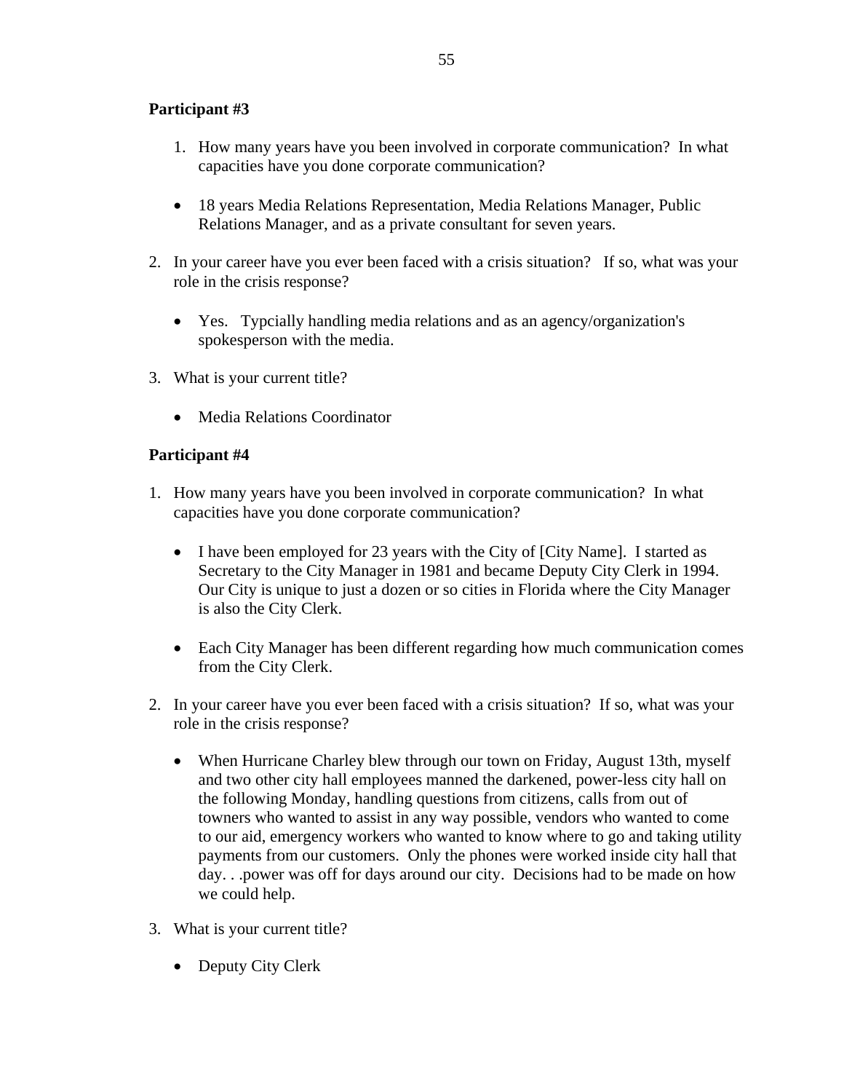# **Participant #3**

- 1. How many years have you been involved in corporate communication? In what capacities have you done corporate communication?
- 18 years Media Relations Representation, Media Relations Manager, Public Relations Manager, and as a private consultant for seven years.
- 2. In your career have you ever been faced with a crisis situation? If so, what was your role in the crisis response?
	- Yes. Typcially handling media relations and as an agency/organization's spokesperson with the media.
- 3. What is your current title?
	- Media Relations Coordinator

## **Participant #4**

- 1. How many years have you been involved in corporate communication? In what capacities have you done corporate communication?
	- I have been employed for 23 years with the City of [City Name]. I started as Secretary to the City Manager in 1981 and became Deputy City Clerk in 1994. Our City is unique to just a dozen or so cities in Florida where the City Manager is also the City Clerk.
	- Each City Manager has been different regarding how much communication comes from the City Clerk.
- 2. In your career have you ever been faced with a crisis situation? If so, what was your role in the crisis response?
	- When Hurricane Charley blew through our town on Friday, August 13th, myself and two other city hall employees manned the darkened, power-less city hall on the following Monday, handling questions from citizens, calls from out of towners who wanted to assist in any way possible, vendors who wanted to come to our aid, emergency workers who wanted to know where to go and taking utility payments from our customers. Only the phones were worked inside city hall that day. . .power was off for days around our city. Decisions had to be made on how we could help.
- 3. What is your current title?
	- Deputy City Clerk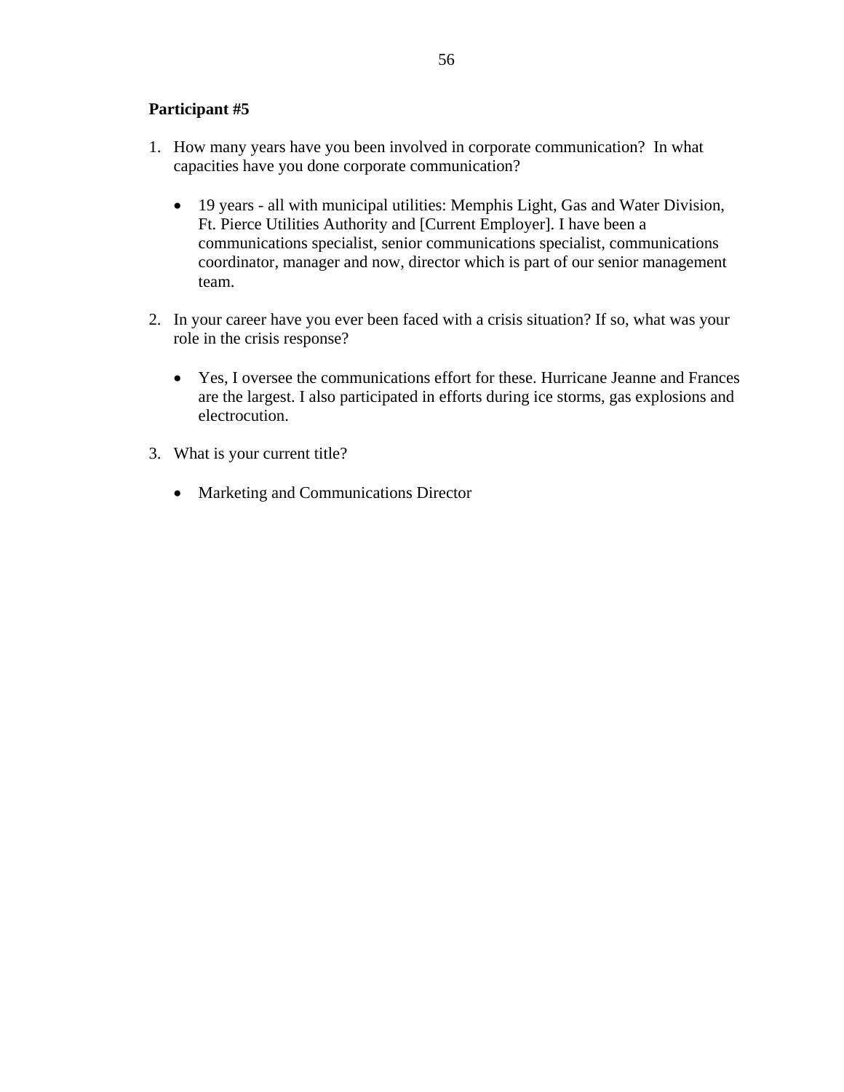## **Participant #5**

- 1. How many years have you been involved in corporate communication? In what capacities have you done corporate communication?
	- 19 years all with municipal utilities: Memphis Light, Gas and Water Division, Ft. Pierce Utilities Authority and [Current Employer]. I have been a communications specialist, senior communications specialist, communications coordinator, manager and now, director which is part of our senior management team.
- 2. In your career have you ever been faced with a crisis situation? If so, what was your role in the crisis response?
	- Yes, I oversee the communications effort for these. Hurricane Jeanne and Frances are the largest. I also participated in efforts during ice storms, gas explosions and electrocution.
- 3. What is your current title?
	- Marketing and Communications Director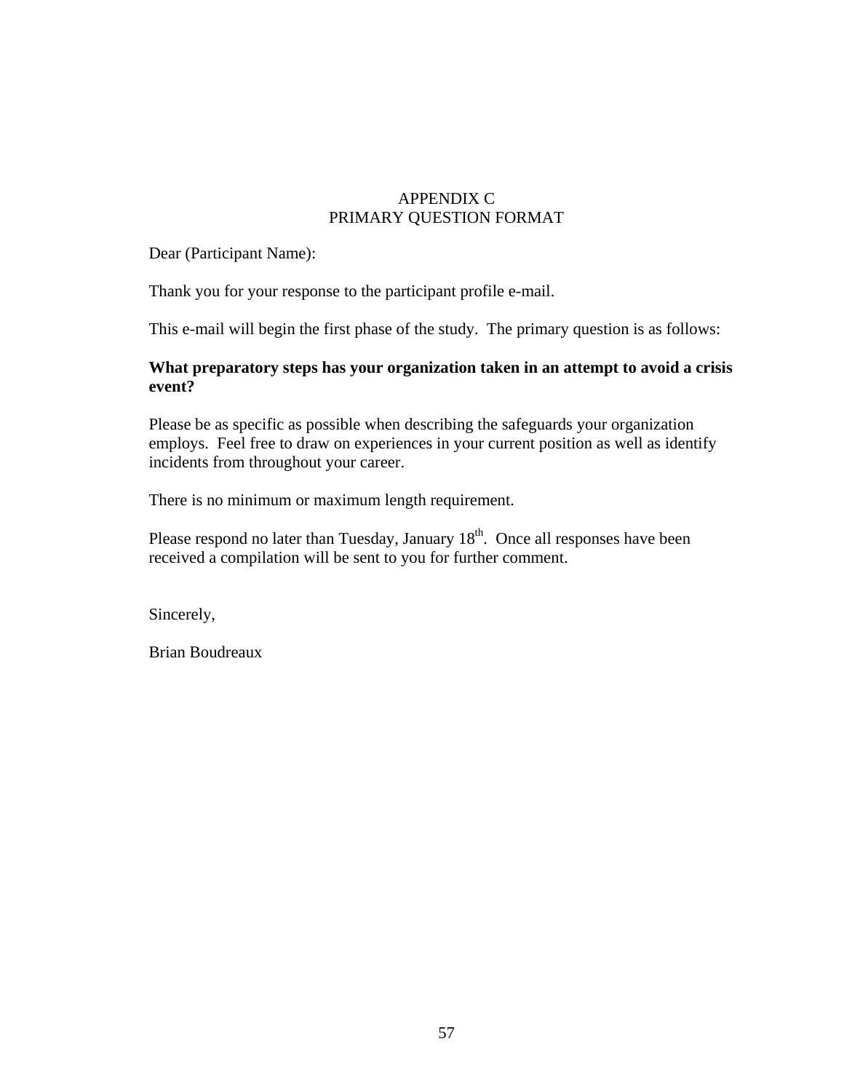# APPENDIX C PRIMARY QUESTION FORMAT

Dear (Participant Name):

Thank you for your response to the participant profile e-mail.

This e-mail will begin the first phase of the study. The primary question is as follows:

### **What preparatory steps has your organization taken in an attempt to avoid a crisis event?**

Please be as specific as possible when describing the safeguards your organization employs. Feel free to draw on experiences in your current position as well as identify incidents from throughout your career.

There is no minimum or maximum length requirement.

Please respond no later than Tuesday, January  $18<sup>th</sup>$ . Once all responses have been received a compilation will be sent to you for further comment.

Sincerely,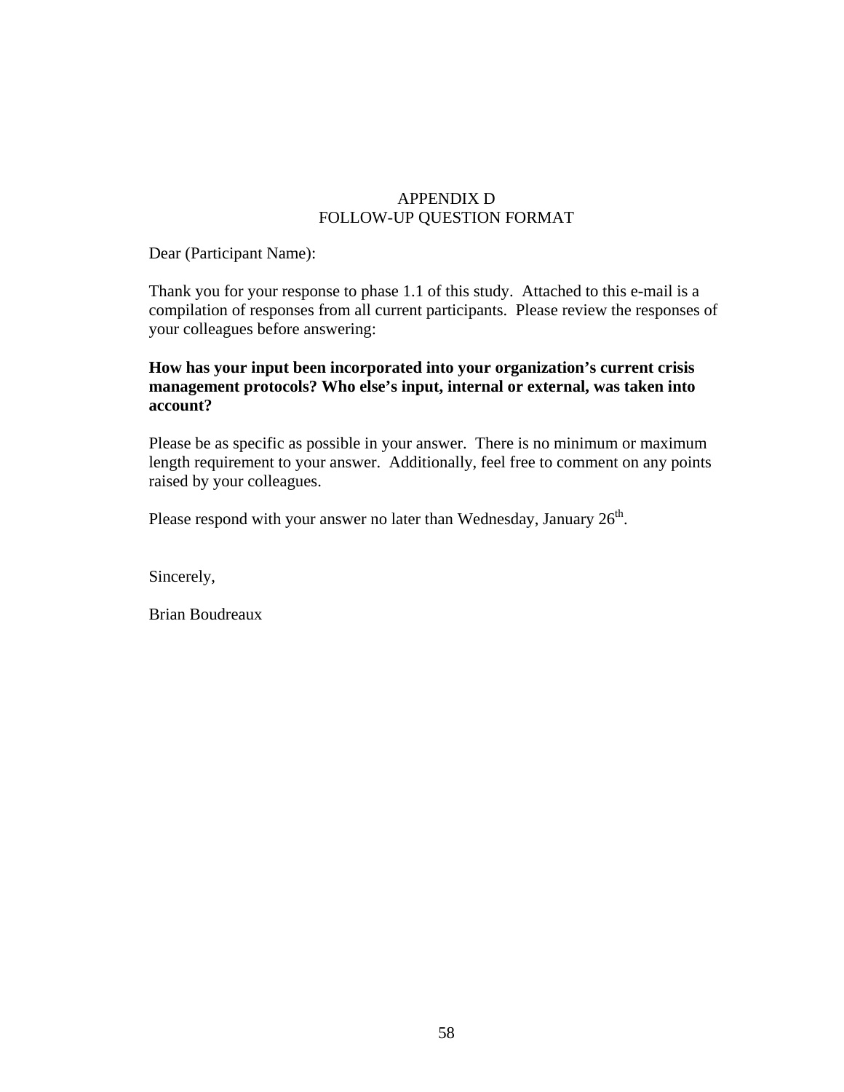## APPENDIX D FOLLOW-UP QUESTION FORMAT

Dear (Participant Name):

Thank you for your response to phase 1.1 of this study. Attached to this e-mail is a compilation of responses from all current participants. Please review the responses of your colleagues before answering:

### **How has your input been incorporated into your organization's current crisis management protocols? Who else's input, internal or external, was taken into account?**

Please be as specific as possible in your answer. There is no minimum or maximum length requirement to your answer. Additionally, feel free to comment on any points raised by your colleagues.

Please respond with your answer no later than Wednesday, January  $26<sup>th</sup>$ .

Sincerely,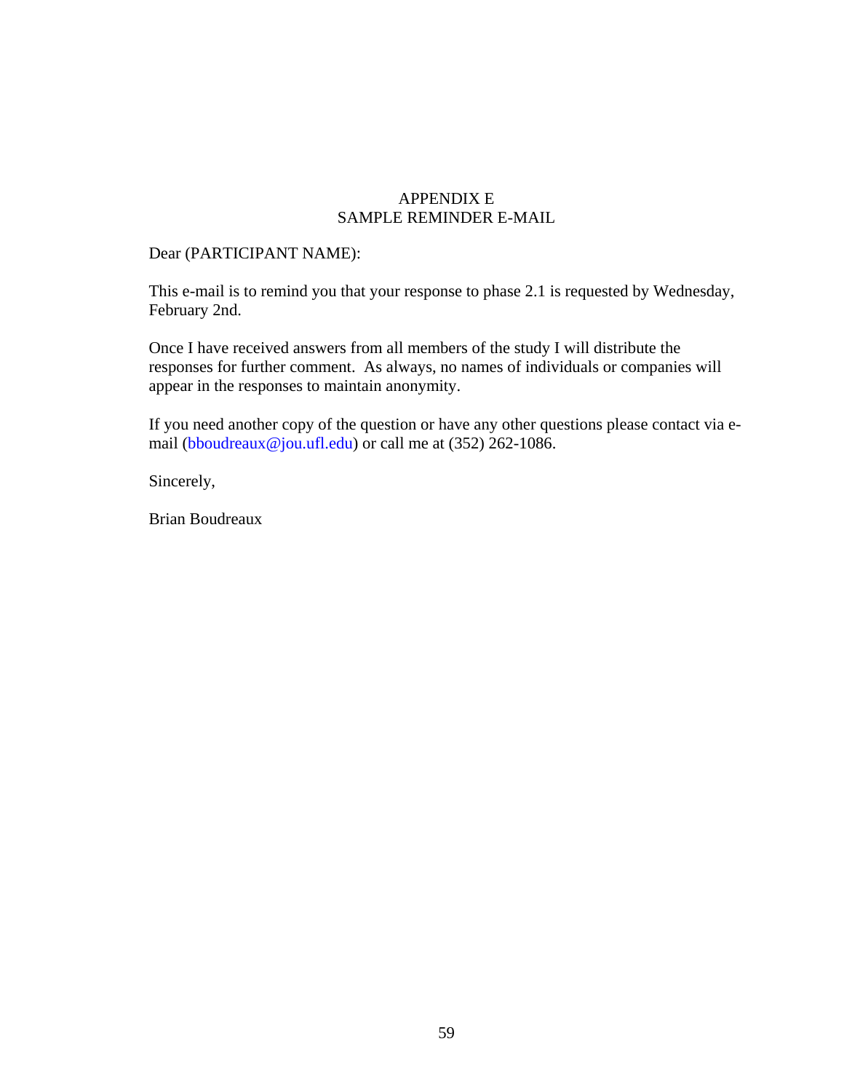### APPENDIX E SAMPLE REMINDER E-MAIL

#### Dear (PARTICIPANT NAME):

This e-mail is to remind you that your response to phase 2.1 is requested by Wednesday, February 2nd.

Once I have received answers from all members of the study I will distribute the responses for further comment. As always, no names of individuals or companies will appear in the responses to maintain anonymity.

If you need another copy of the question or have any other questions please contact via email (bboudreaux@jou.ufl.edu) or call me at (352) 262-1086.

Sincerely,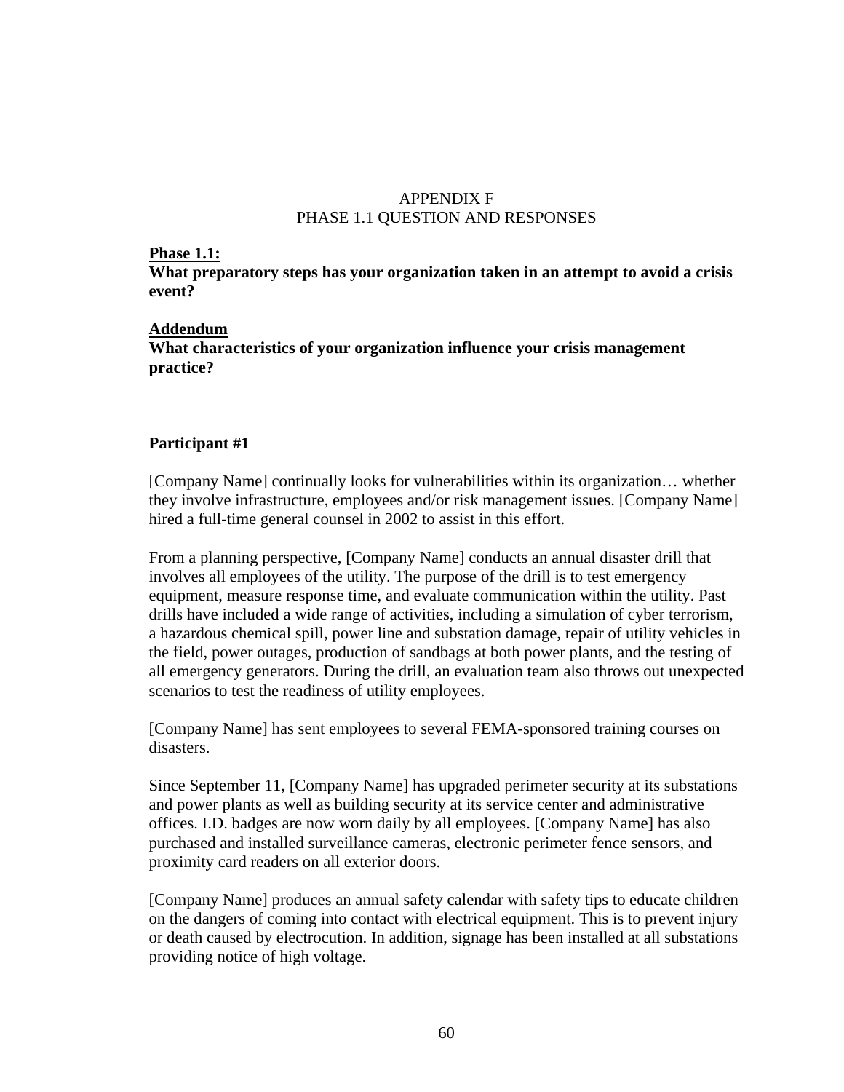## APPENDIX F PHASE 1.1 QUESTION AND RESPONSES

#### **Phase 1.1:**

**What preparatory steps has your organization taken in an attempt to avoid a crisis event?** 

#### **Addendum**

**What characteristics of your organization influence your crisis management practice?**

#### **Participant #1**

[Company Name] continually looks for vulnerabilities within its organization… whether they involve infrastructure, employees and/or risk management issues. [Company Name] hired a full-time general counsel in 2002 to assist in this effort.

From a planning perspective, [Company Name] conducts an annual disaster drill that involves all employees of the utility. The purpose of the drill is to test emergency equipment, measure response time, and evaluate communication within the utility. Past drills have included a wide range of activities, including a simulation of cyber terrorism, a hazardous chemical spill, power line and substation damage, repair of utility vehicles in the field, power outages, production of sandbags at both power plants, and the testing of all emergency generators. During the drill, an evaluation team also throws out unexpected scenarios to test the readiness of utility employees.

[Company Name] has sent employees to several FEMA-sponsored training courses on disasters.

Since September 11, [Company Name] has upgraded perimeter security at its substations and power plants as well as building security at its service center and administrative offices. I.D. badges are now worn daily by all employees. [Company Name] has also purchased and installed surveillance cameras, electronic perimeter fence sensors, and proximity card readers on all exterior doors.

[Company Name] produces an annual safety calendar with safety tips to educate children on the dangers of coming into contact with electrical equipment. This is to prevent injury or death caused by electrocution. In addition, signage has been installed at all substations providing notice of high voltage.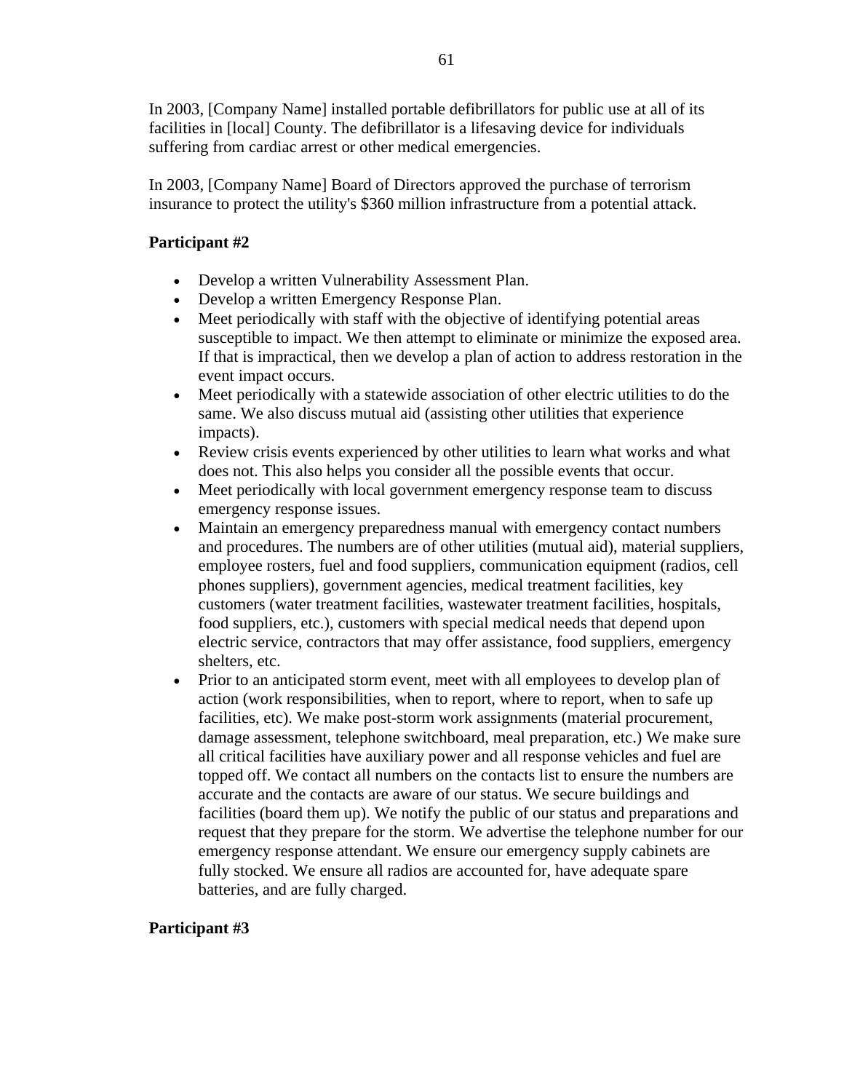In 2003, [Company Name] installed portable defibrillators for public use at all of its facilities in [local] County. The defibrillator is a lifesaving device for individuals suffering from cardiac arrest or other medical emergencies.

In 2003, [Company Name] Board of Directors approved the purchase of terrorism insurance to protect the utility's \$360 million infrastructure from a potential attack.

# **Participant #2**

- Develop a written Vulnerability Assessment Plan.
- Develop a written Emergency Response Plan.
- Meet periodically with staff with the objective of identifying potential areas susceptible to impact. We then attempt to eliminate or minimize the exposed area. If that is impractical, then we develop a plan of action to address restoration in the event impact occurs.
- Meet periodically with a statewide association of other electric utilities to do the same. We also discuss mutual aid (assisting other utilities that experience impacts).
- Review crisis events experienced by other utilities to learn what works and what does not. This also helps you consider all the possible events that occur.
- Meet periodically with local government emergency response team to discuss emergency response issues.
- Maintain an emergency preparedness manual with emergency contact numbers and procedures. The numbers are of other utilities (mutual aid), material suppliers, employee rosters, fuel and food suppliers, communication equipment (radios, cell phones suppliers), government agencies, medical treatment facilities, key customers (water treatment facilities, wastewater treatment facilities, hospitals, food suppliers, etc.), customers with special medical needs that depend upon electric service, contractors that may offer assistance, food suppliers, emergency shelters, etc.
- Prior to an anticipated storm event, meet with all employees to develop plan of action (work responsibilities, when to report, where to report, when to safe up facilities, etc). We make post-storm work assignments (material procurement, damage assessment, telephone switchboard, meal preparation, etc.) We make sure all critical facilities have auxiliary power and all response vehicles and fuel are topped off. We contact all numbers on the contacts list to ensure the numbers are accurate and the contacts are aware of our status. We secure buildings and facilities (board them up). We notify the public of our status and preparations and request that they prepare for the storm. We advertise the telephone number for our emergency response attendant. We ensure our emergency supply cabinets are fully stocked. We ensure all radios are accounted for, have adequate spare batteries, and are fully charged.

## **Participant #3**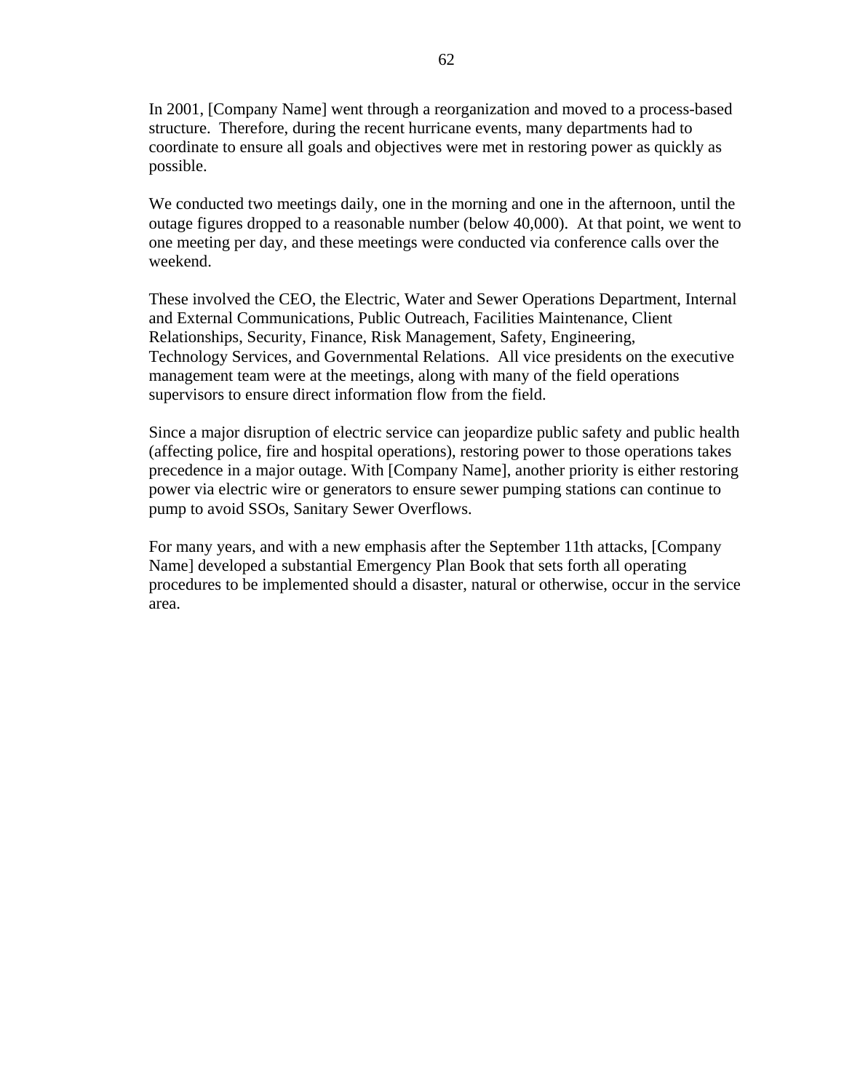In 2001, [Company Name] went through a reorganization and moved to a process-based structure. Therefore, during the recent hurricane events, many departments had to coordinate to ensure all goals and objectives were met in restoring power as quickly as possible.

We conducted two meetings daily, one in the morning and one in the afternoon, until the outage figures dropped to a reasonable number (below 40,000). At that point, we went to one meeting per day, and these meetings were conducted via conference calls over the weekend.

These involved the CEO, the Electric, Water and Sewer Operations Department, Internal and External Communications, Public Outreach, Facilities Maintenance, Client Relationships, Security, Finance, Risk Management, Safety, Engineering, Technology Services, and Governmental Relations. All vice presidents on the executive management team were at the meetings, along with many of the field operations supervisors to ensure direct information flow from the field.

Since a major disruption of electric service can jeopardize public safety and public health (affecting police, fire and hospital operations), restoring power to those operations takes precedence in a major outage. With [Company Name], another priority is either restoring power via electric wire or generators to ensure sewer pumping stations can continue to pump to avoid SSOs, Sanitary Sewer Overflows.

For many years, and with a new emphasis after the September 11th attacks, [Company Name] developed a substantial Emergency Plan Book that sets forth all operating procedures to be implemented should a disaster, natural or otherwise, occur in the service area.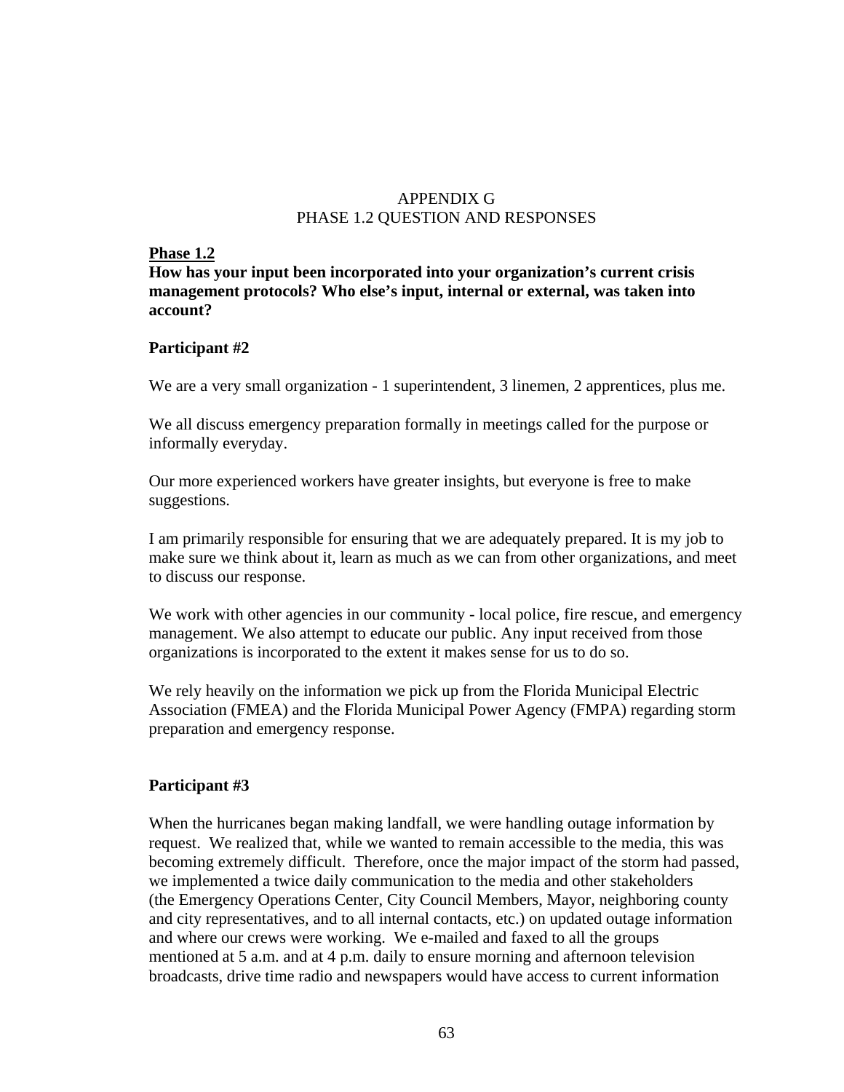### APPENDIX G PHASE 1.2 QUESTION AND RESPONSES

#### **Phase 1.2**

**How has your input been incorporated into your organization's current crisis management protocols? Who else's input, internal or external, was taken into account?** 

### **Participant #2**

We are a very small organization - 1 superintendent, 3 linemen, 2 apprentices, plus me.

We all discuss emergency preparation formally in meetings called for the purpose or informally everyday.

Our more experienced workers have greater insights, but everyone is free to make suggestions.

I am primarily responsible for ensuring that we are adequately prepared. It is my job to make sure we think about it, learn as much as we can from other organizations, and meet to discuss our response.

We work with other agencies in our community - local police, fire rescue, and emergency management. We also attempt to educate our public. Any input received from those organizations is incorporated to the extent it makes sense for us to do so.

We rely heavily on the information we pick up from the Florida Municipal Electric Association (FMEA) and the Florida Municipal Power Agency (FMPA) regarding storm preparation and emergency response.

## **Participant #3**

When the hurricanes began making landfall, we were handling outage information by request. We realized that, while we wanted to remain accessible to the media, this was becoming extremely difficult. Therefore, once the major impact of the storm had passed, we implemented a twice daily communication to the media and other stakeholders (the Emergency Operations Center, City Council Members, Mayor, neighboring county and city representatives, and to all internal contacts, etc.) on updated outage information and where our crews were working. We e-mailed and faxed to all the groups mentioned at 5 a.m. and at 4 p.m. daily to ensure morning and afternoon television broadcasts, drive time radio and newspapers would have access to current information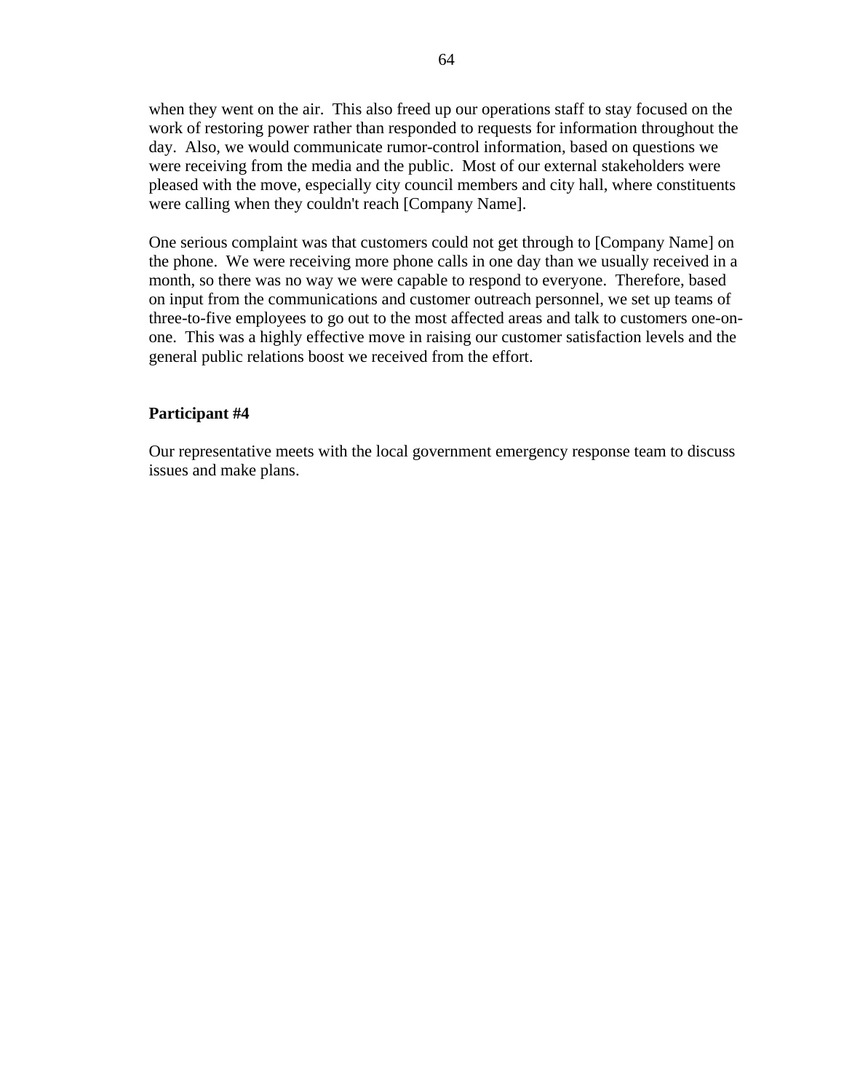when they went on the air. This also freed up our operations staff to stay focused on the work of restoring power rather than responded to requests for information throughout the day. Also, we would communicate rumor-control information, based on questions we were receiving from the media and the public. Most of our external stakeholders were pleased with the move, especially city council members and city hall, where constituents were calling when they couldn't reach [Company Name].

One serious complaint was that customers could not get through to [Company Name] on the phone. We were receiving more phone calls in one day than we usually received in a month, so there was no way we were capable to respond to everyone. Therefore, based on input from the communications and customer outreach personnel, we set up teams of three-to-five employees to go out to the most affected areas and talk to customers one-onone. This was a highly effective move in raising our customer satisfaction levels and the general public relations boost we received from the effort.

#### **Participant #4**

Our representative meets with the local government emergency response team to discuss issues and make plans.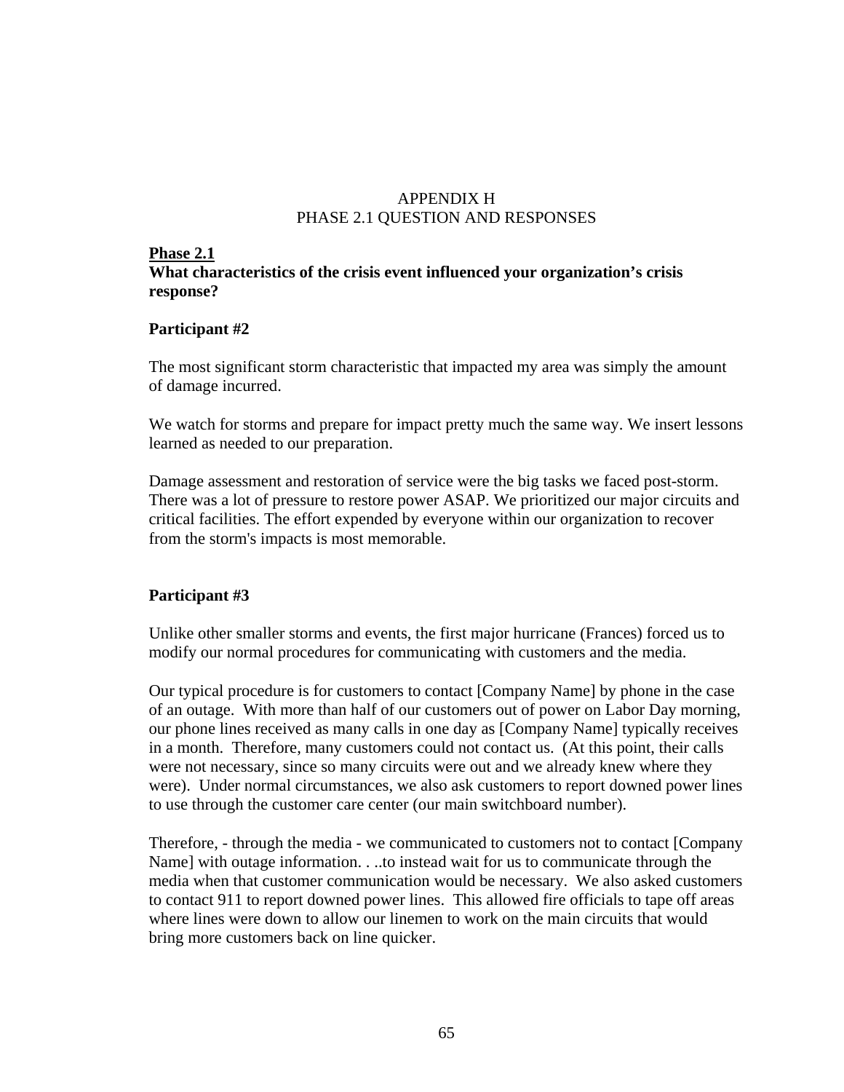## APPENDIX H PHASE 2.1 QUESTION AND RESPONSES

#### **Phase 2.1**

## **What characteristics of the crisis event influenced your organization's crisis response?**

## **Participant #2**

The most significant storm characteristic that impacted my area was simply the amount of damage incurred.

We watch for storms and prepare for impact pretty much the same way. We insert lessons learned as needed to our preparation.

Damage assessment and restoration of service were the big tasks we faced post-storm. There was a lot of pressure to restore power ASAP. We prioritized our major circuits and critical facilities. The effort expended by everyone within our organization to recover from the storm's impacts is most memorable.

## **Participant #3**

Unlike other smaller storms and events, the first major hurricane (Frances) forced us to modify our normal procedures for communicating with customers and the media.

Our typical procedure is for customers to contact [Company Name] by phone in the case of an outage. With more than half of our customers out of power on Labor Day morning, our phone lines received as many calls in one day as [Company Name] typically receives in a month. Therefore, many customers could not contact us. (At this point, their calls were not necessary, since so many circuits were out and we already knew where they were). Under normal circumstances, we also ask customers to report downed power lines to use through the customer care center (our main switchboard number).

Therefore, - through the media - we communicated to customers not to contact [Company Name] with outage information. . ..to instead wait for us to communicate through the media when that customer communication would be necessary. We also asked customers to contact 911 to report downed power lines. This allowed fire officials to tape off areas where lines were down to allow our linemen to work on the main circuits that would bring more customers back on line quicker.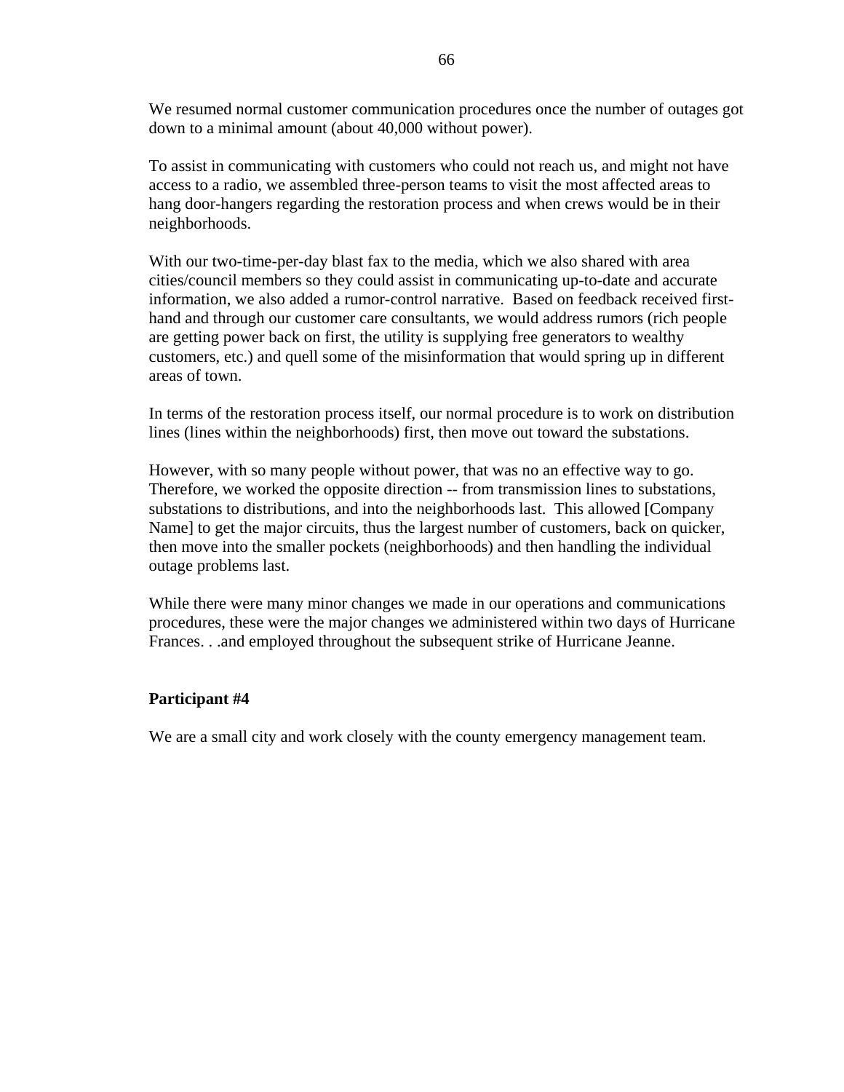We resumed normal customer communication procedures once the number of outages got down to a minimal amount (about 40,000 without power).

To assist in communicating with customers who could not reach us, and might not have access to a radio, we assembled three-person teams to visit the most affected areas to hang door-hangers regarding the restoration process and when crews would be in their neighborhoods.

With our two-time-per-day blast fax to the media, which we also shared with area cities/council members so they could assist in communicating up-to-date and accurate information, we also added a rumor-control narrative. Based on feedback received firsthand and through our customer care consultants, we would address rumors (rich people are getting power back on first, the utility is supplying free generators to wealthy customers, etc.) and quell some of the misinformation that would spring up in different areas of town.

In terms of the restoration process itself, our normal procedure is to work on distribution lines (lines within the neighborhoods) first, then move out toward the substations.

However, with so many people without power, that was no an effective way to go. Therefore, we worked the opposite direction -- from transmission lines to substations, substations to distributions, and into the neighborhoods last. This allowed [Company Name] to get the major circuits, thus the largest number of customers, back on quicker, then move into the smaller pockets (neighborhoods) and then handling the individual outage problems last.

While there were many minor changes we made in our operations and communications procedures, these were the major changes we administered within two days of Hurricane Frances. . .and employed throughout the subsequent strike of Hurricane Jeanne.

#### **Participant #4**

We are a small city and work closely with the county emergency management team.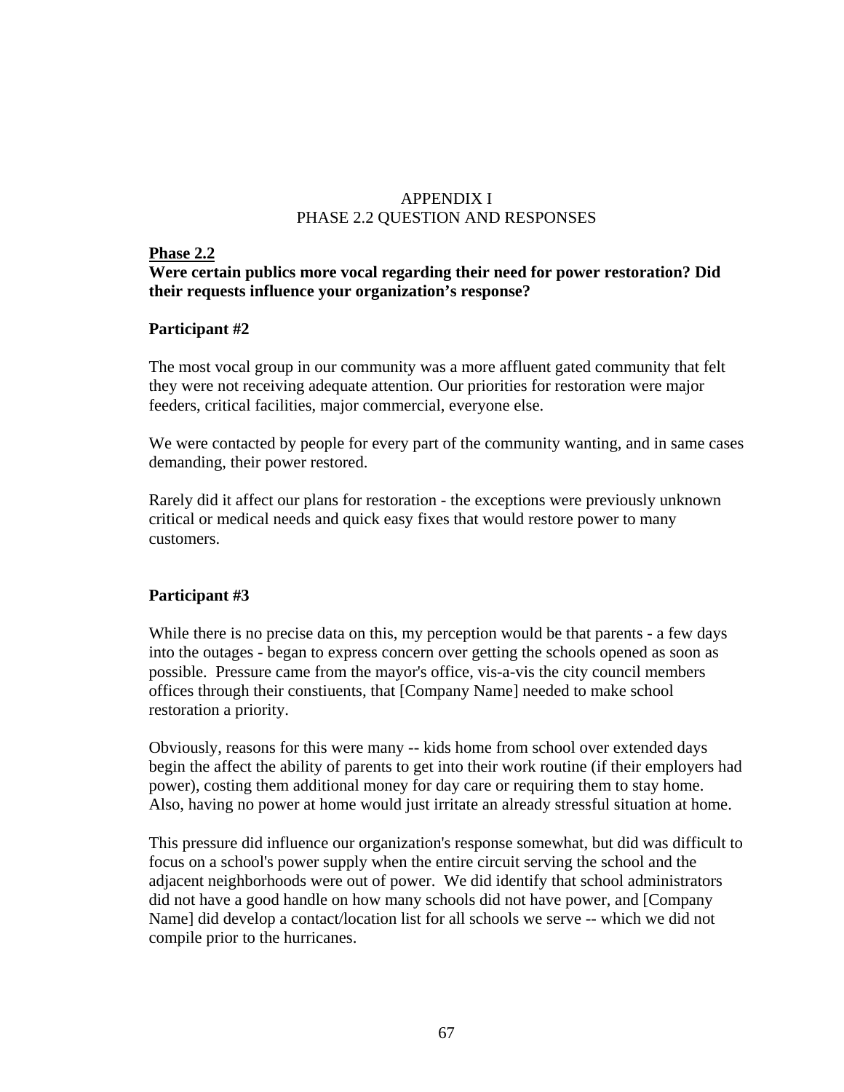## APPENDIX I PHASE 2.2 QUESTION AND RESPONSES

#### **Phase 2.2**

## **Were certain publics more vocal regarding their need for power restoration? Did their requests influence your organization's response?**

## **Participant #2**

The most vocal group in our community was a more affluent gated community that felt they were not receiving adequate attention. Our priorities for restoration were major feeders, critical facilities, major commercial, everyone else.

We were contacted by people for every part of the community wanting, and in same cases demanding, their power restored.

Rarely did it affect our plans for restoration - the exceptions were previously unknown critical or medical needs and quick easy fixes that would restore power to many customers.

## **Participant #3**

While there is no precise data on this, my perception would be that parents - a few days into the outages - began to express concern over getting the schools opened as soon as possible. Pressure came from the mayor's office, vis-a-vis the city council members offices through their constiuents, that [Company Name] needed to make school restoration a priority.

Obviously, reasons for this were many -- kids home from school over extended days begin the affect the ability of parents to get into their work routine (if their employers had power), costing them additional money for day care or requiring them to stay home. Also, having no power at home would just irritate an already stressful situation at home.

This pressure did influence our organization's response somewhat, but did was difficult to focus on a school's power supply when the entire circuit serving the school and the adjacent neighborhoods were out of power. We did identify that school administrators did not have a good handle on how many schools did not have power, and [Company Name] did develop a contact/location list for all schools we serve -- which we did not compile prior to the hurricanes.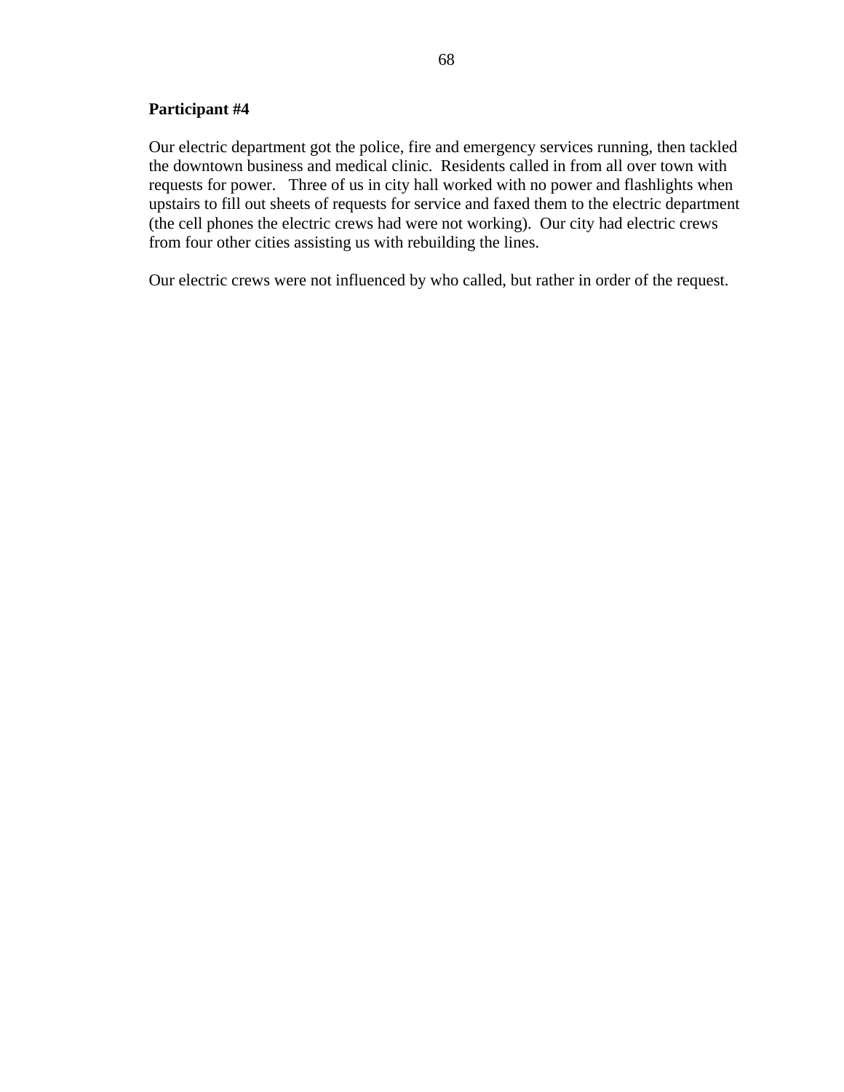#### **Participant #4**

Our electric department got the police, fire and emergency services running, then tackled the downtown business and medical clinic. Residents called in from all over town with requests for power. Three of us in city hall worked with no power and flashlights when upstairs to fill out sheets of requests for service and faxed them to the electric department (the cell phones the electric crews had were not working). Our city had electric crews from four other cities assisting us with rebuilding the lines.

Our electric crews were not influenced by who called, but rather in order of the request.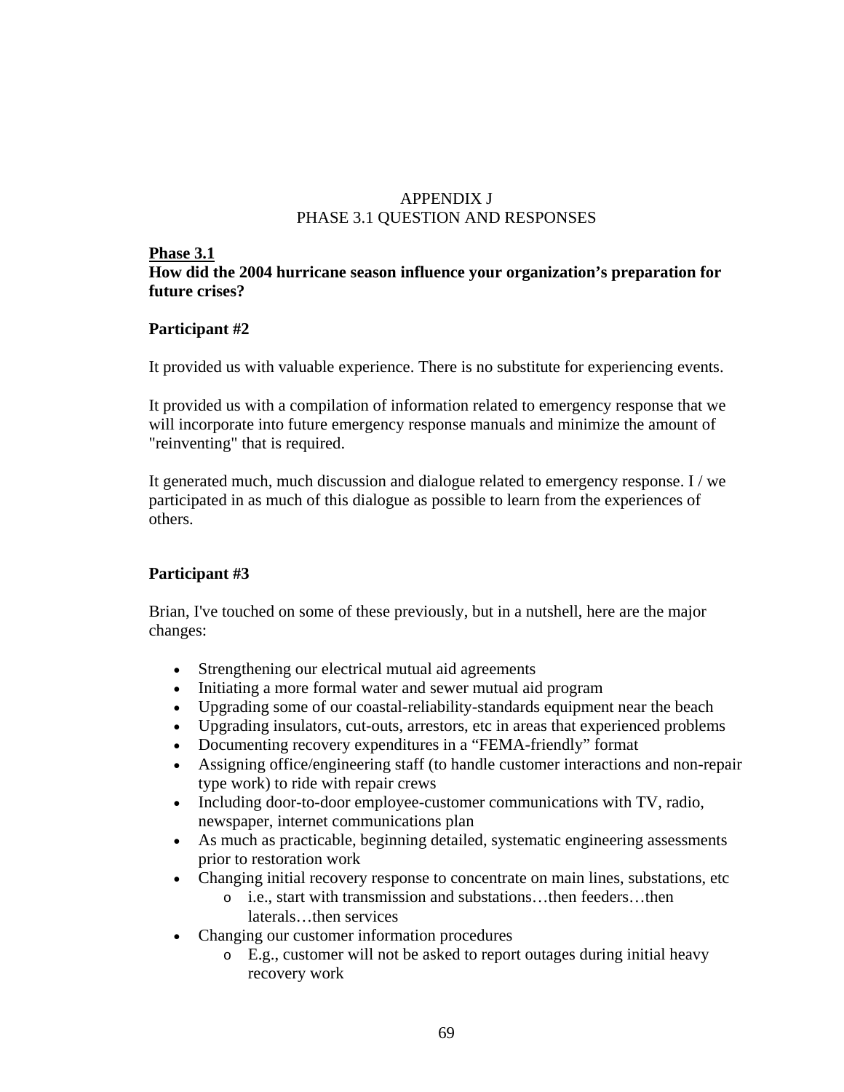## APPENDIX J PHASE 3.1 QUESTION AND RESPONSES

#### **Phase 3.1**

## **How did the 2004 hurricane season influence your organization's preparation for future crises?**

## **Participant #2**

It provided us with valuable experience. There is no substitute for experiencing events.

It provided us with a compilation of information related to emergency response that we will incorporate into future emergency response manuals and minimize the amount of "reinventing" that is required.

It generated much, much discussion and dialogue related to emergency response. I / we participated in as much of this dialogue as possible to learn from the experiences of others.

## **Participant #3**

Brian, I've touched on some of these previously, but in a nutshell, here are the major changes:

- Strengthening our electrical mutual aid agreements
- Initiating a more formal water and sewer mutual aid program
- Upgrading some of our coastal-reliability-standards equipment near the beach
- Upgrading insulators, cut-outs, arrestors, etc in areas that experienced problems
- Documenting recovery expenditures in a "FEMA-friendly" format
- Assigning office/engineering staff (to handle customer interactions and non-repair type work) to ride with repair crews
- Including door-to-door employee-customer communications with TV, radio, newspaper, internet communications plan
- As much as practicable, beginning detailed, systematic engineering assessments prior to restoration work
- Changing initial recovery response to concentrate on main lines, substations, etc
	- o i.e., start with transmission and substations…then feeders…then laterals…then services
- Changing our customer information procedures
	- o E.g., customer will not be asked to report outages during initial heavy recovery work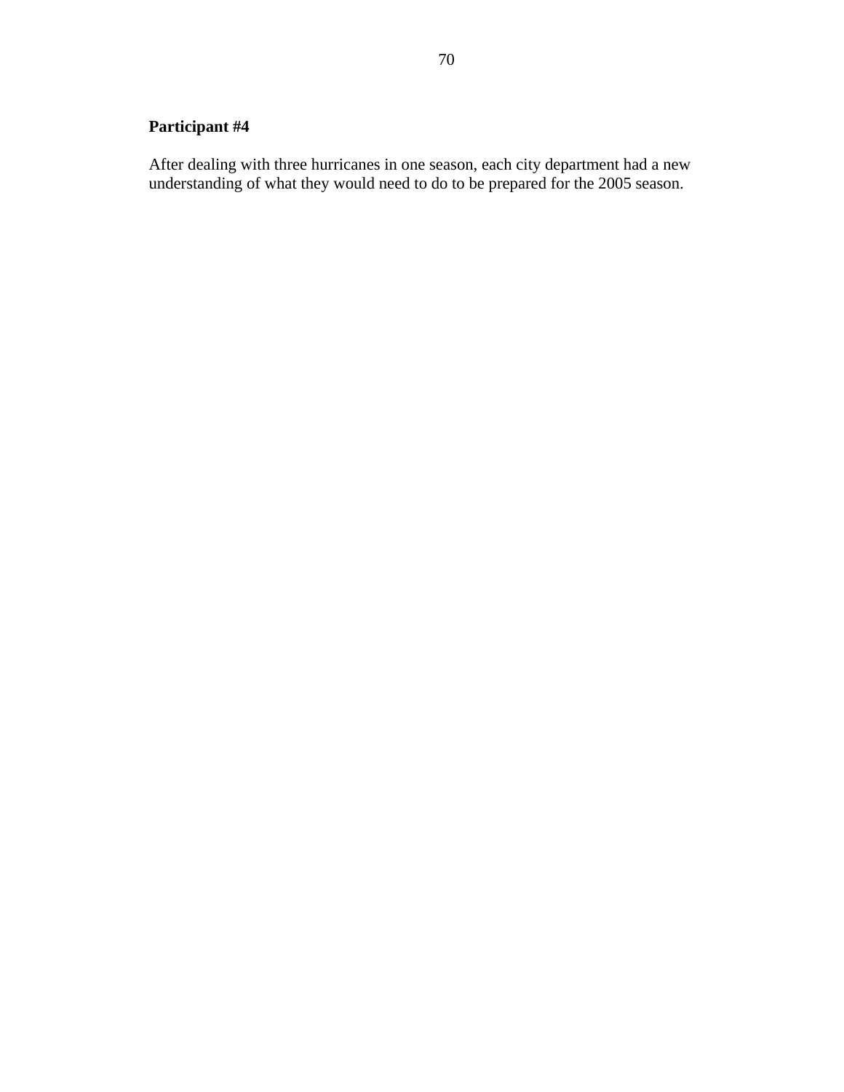# **Participant #4**

After dealing with three hurricanes in one season, each city department had a new understanding of what they would need to do to be prepared for the 2005 season.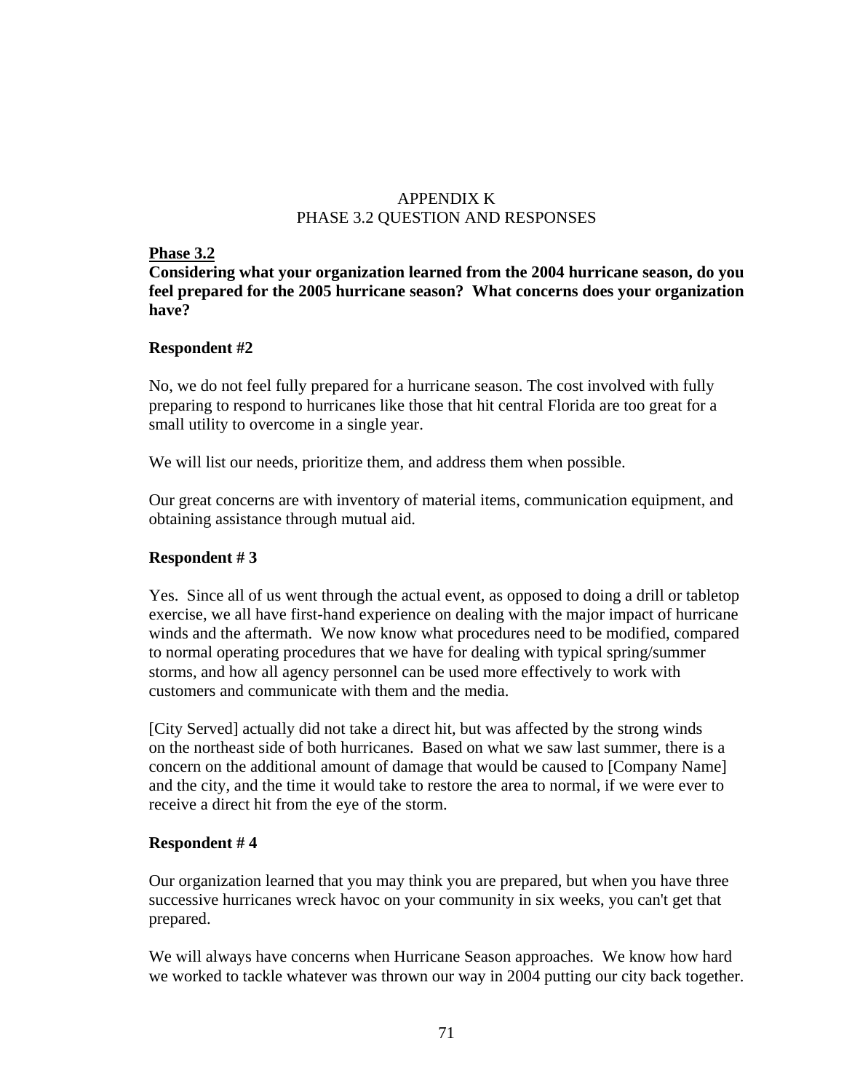## APPENDIX K PHASE 3.2 QUESTION AND RESPONSES

#### **Phase 3.2**

**Considering what your organization learned from the 2004 hurricane season, do you feel prepared for the 2005 hurricane season? What concerns does your organization have?** 

## **Respondent #2**

No, we do not feel fully prepared for a hurricane season. The cost involved with fully preparing to respond to hurricanes like those that hit central Florida are too great for a small utility to overcome in a single year.

We will list our needs, prioritize them, and address them when possible.

Our great concerns are with inventory of material items, communication equipment, and obtaining assistance through mutual aid.

## **Respondent # 3**

Yes. Since all of us went through the actual event, as opposed to doing a drill or tabletop exercise, we all have first-hand experience on dealing with the major impact of hurricane winds and the aftermath. We now know what procedures need to be modified, compared to normal operating procedures that we have for dealing with typical spring/summer storms, and how all agency personnel can be used more effectively to work with customers and communicate with them and the media.

[City Served] actually did not take a direct hit, but was affected by the strong winds on the northeast side of both hurricanes. Based on what we saw last summer, there is a concern on the additional amount of damage that would be caused to [Company Name] and the city, and the time it would take to restore the area to normal, if we were ever to receive a direct hit from the eye of the storm.

#### **Respondent # 4**

Our organization learned that you may think you are prepared, but when you have three successive hurricanes wreck havoc on your community in six weeks, you can't get that prepared.

We will always have concerns when Hurricane Season approaches. We know how hard we worked to tackle whatever was thrown our way in 2004 putting our city back together.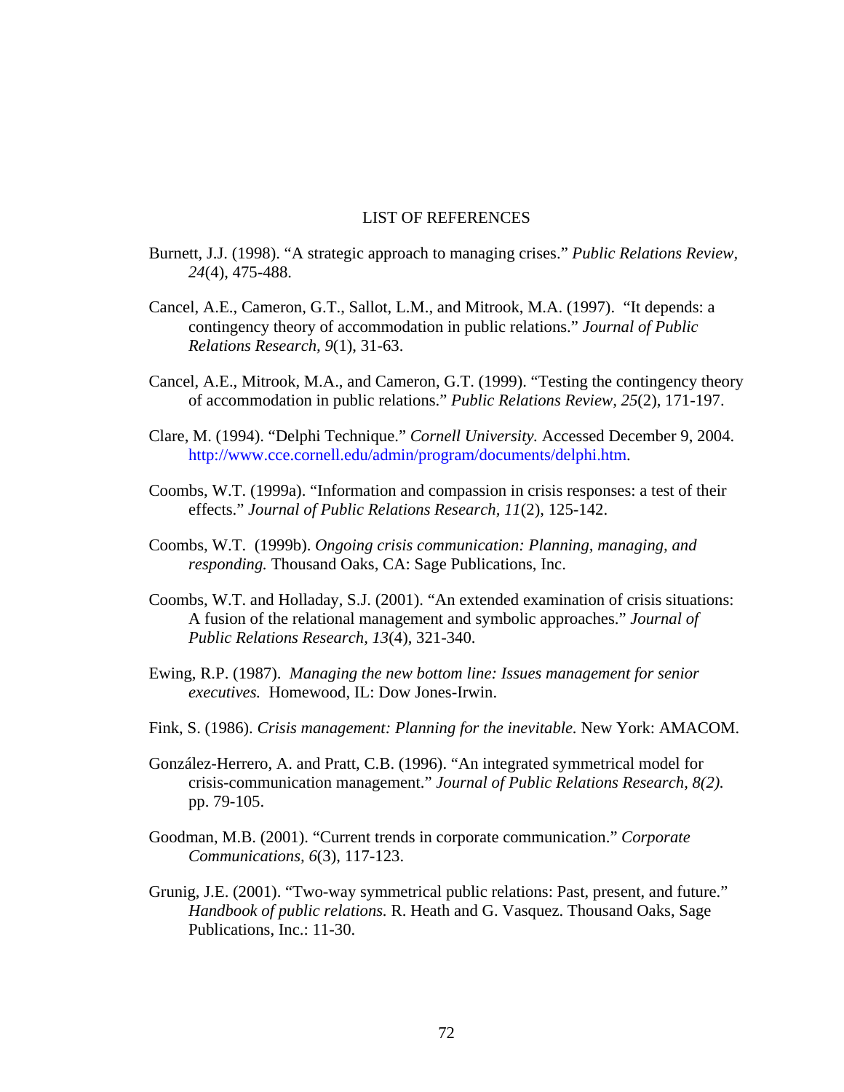#### LIST OF REFERENCES

- Burnett, J.J. (1998). "A strategic approach to managing crises." *Public Relations Review, 24*(4), 475-488.
- Cancel, A.E., Cameron, G.T., Sallot, L.M., and Mitrook, M.A. (1997). "It depends: a contingency theory of accommodation in public relations." *Journal of Public Relations Research, 9*(1), 31-63.
- Cancel, A.E., Mitrook, M.A., and Cameron, G.T. (1999). "Testing the contingency theory of accommodation in public relations." *Public Relations Review, 25*(2), 171-197.
- Clare, M. (1994). "Delphi Technique." *Cornell University.* Accessed December 9, 2004. http://www.cce.cornell.edu/admin/program/documents/delphi.htm.
- Coombs, W.T. (1999a). "Information and compassion in crisis responses: a test of their effects." *Journal of Public Relations Research, 11*(2), 125-142.
- Coombs, W.T. (1999b). *Ongoing crisis communication: Planning, managing, and responding.* Thousand Oaks, CA: Sage Publications, Inc.
- Coombs, W.T. and Holladay, S.J. (2001). "An extended examination of crisis situations: A fusion of the relational management and symbolic approaches." *Journal of Public Relations Research, 13*(4), 321-340.
- Ewing, R.P. (1987). *Managing the new bottom line: Issues management for senior executives.* Homewood, IL: Dow Jones-Irwin.
- Fink, S. (1986). *Crisis management: Planning for the inevitable.* New York: AMACOM.
- González-Herrero, A. and Pratt, C.B. (1996). "An integrated symmetrical model for crisis-communication management." *Journal of Public Relations Research, 8(2).* pp. 79-105.
- Goodman, M.B. (2001). "Current trends in corporate communication." *Corporate Communications, 6*(3), 117-123.
- Grunig, J.E. (2001). "Two-way symmetrical public relations: Past, present, and future." *Handbook of public relations.* R. Heath and G. Vasquez. Thousand Oaks, Sage Publications, Inc.: 11-30.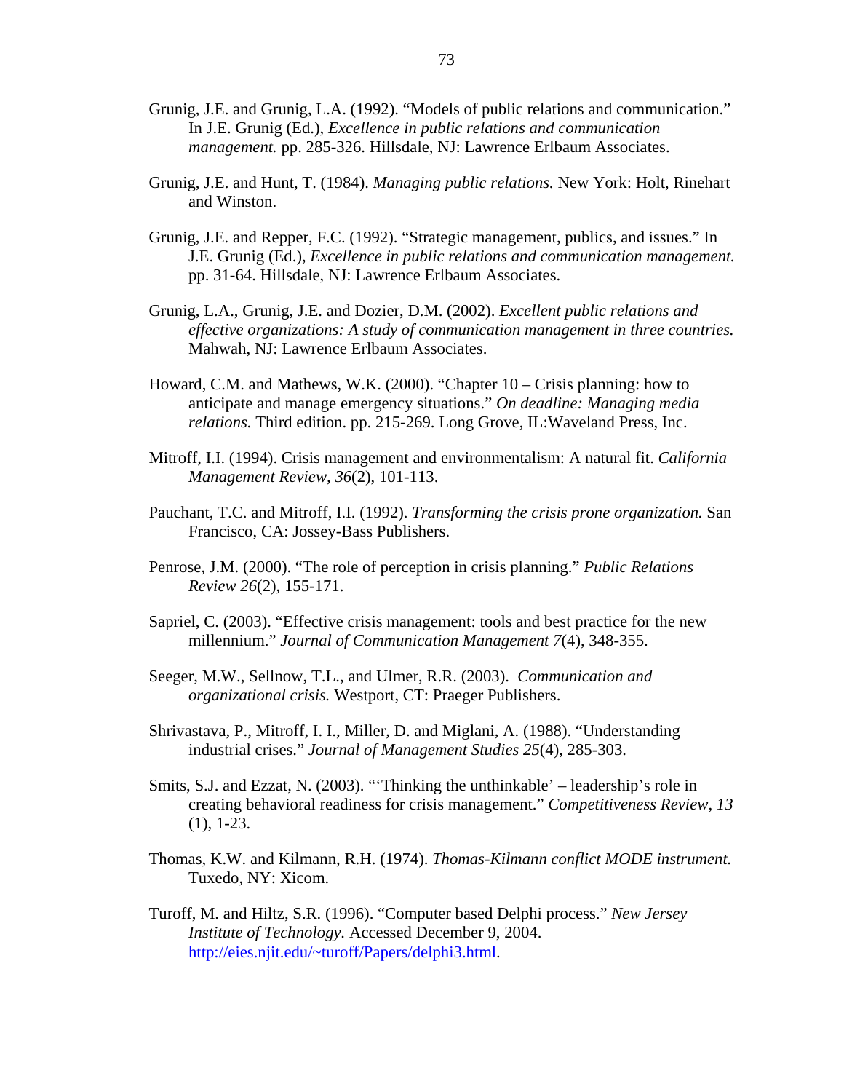- Grunig, J.E. and Grunig, L.A. (1992). "Models of public relations and communication." In J.E. Grunig (Ed.), *Excellence in public relations and communication management.* pp. 285-326. Hillsdale, NJ: Lawrence Erlbaum Associates.
- Grunig, J.E. and Hunt, T. (1984). *Managing public relations.* New York: Holt, Rinehart and Winston.
- Grunig, J.E. and Repper, F.C. (1992). "Strategic management, publics, and issues." In J.E. Grunig (Ed.), *Excellence in public relations and communication management.*  pp. 31-64. Hillsdale, NJ: Lawrence Erlbaum Associates.
- Grunig, L.A., Grunig, J.E. and Dozier, D.M. (2002). *Excellent public relations and effective organizations: A study of communication management in three countries.*  Mahwah, NJ: Lawrence Erlbaum Associates.
- Howard, C.M. and Mathews, W.K. (2000). "Chapter 10 Crisis planning: how to anticipate and manage emergency situations." *On deadline: Managing media relations.* Third edition. pp. 215-269. Long Grove, IL:Waveland Press, Inc.
- Mitroff, I.I. (1994). Crisis management and environmentalism: A natural fit. *California Management Review, 36*(2), 101-113.
- Pauchant, T.C. and Mitroff, I.I. (1992). *Transforming the crisis prone organization.* San Francisco, CA: Jossey-Bass Publishers.
- Penrose, J.M. (2000). "The role of perception in crisis planning." *Public Relations Review 26*(2), 155-171.
- Sapriel, C. (2003). "Effective crisis management: tools and best practice for the new millennium." *Journal of Communication Management 7*(4), 348-355.
- Seeger, M.W., Sellnow, T.L., and Ulmer, R.R. (2003). *Communication and organizational crisis.* Westport, CT: Praeger Publishers.
- Shrivastava, P., Mitroff, I. I., Miller, D. and Miglani, A. (1988). "Understanding industrial crises." *Journal of Management Studies 25*(4), 285-303.
- Smits, S.J. and Ezzat, N. (2003). "'Thinking the unthinkable' leadership's role in creating behavioral readiness for crisis management." *Competitiveness Review, 13*  (1), 1-23.
- Thomas, K.W. and Kilmann, R.H. (1974). *Thomas-Kilmann conflict MODE instrument.* Tuxedo, NY: Xicom.
- Turoff, M. and Hiltz, S.R. (1996). "Computer based Delphi process." *New Jersey Institute of Technology.* Accessed December 9, 2004. http://eies.njit.edu/~turoff/Papers/delphi3.html.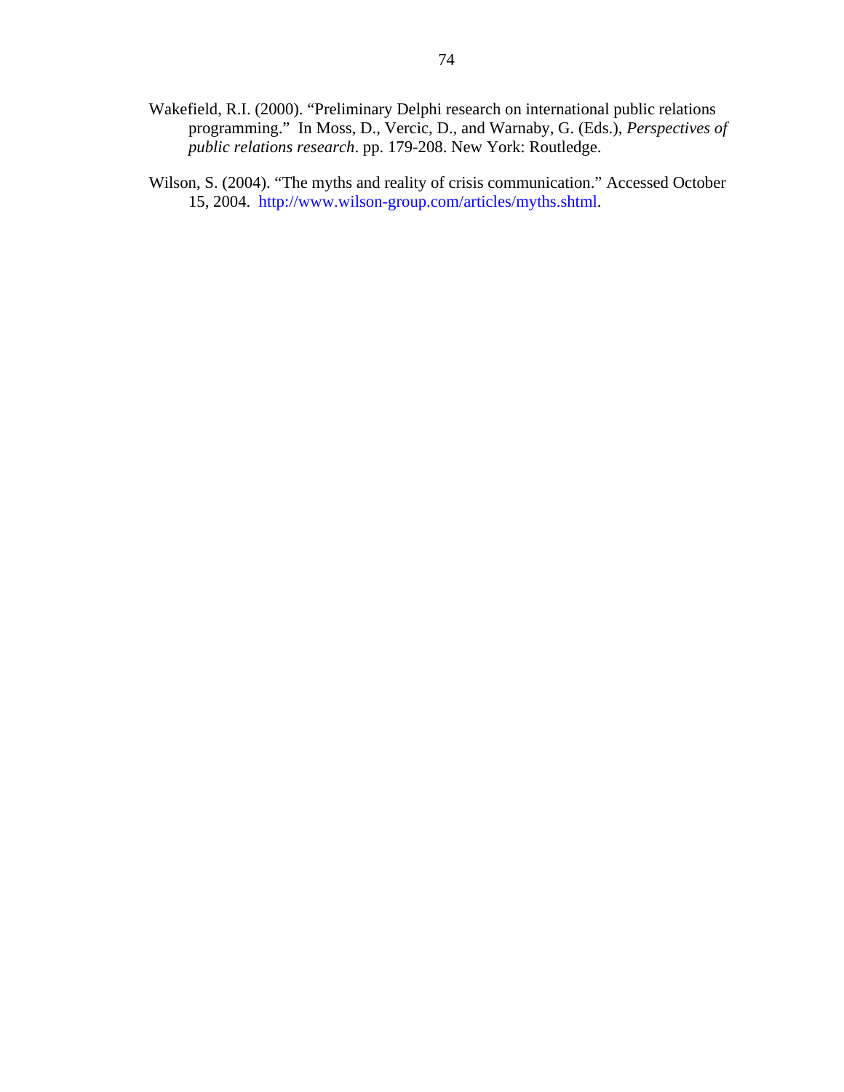- Wakefield, R.I. (2000). "Preliminary Delphi research on international public relations programming." In Moss, D., Vercic, D., and Warnaby, G. (Eds.), *Perspectives of public relations research*. pp. 179-208. New York: Routledge.
- Wilson, S. (2004). "The myths and reality of crisis communication." Accessed October 15, 2004. http://www.wilson-group.com/articles/myths.shtml.